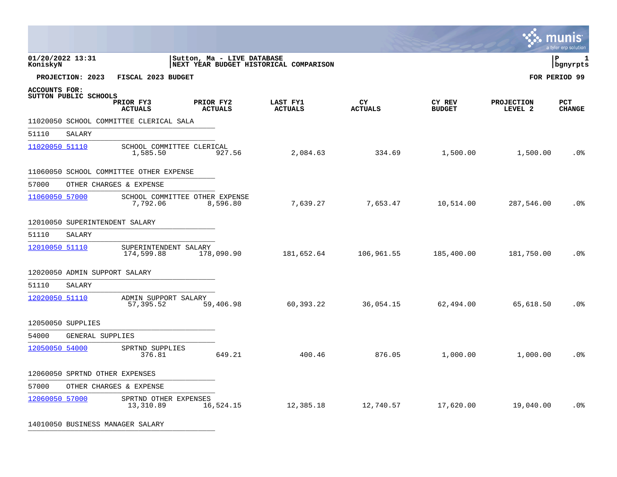|                      |                                |                                            |           |                            |                                        |                      |                         |                              | munis<br>a tyler erp solution |
|----------------------|--------------------------------|--------------------------------------------|-----------|----------------------------|----------------------------------------|----------------------|-------------------------|------------------------------|-------------------------------|
| KoniskyN             | 01/20/2022 13:31               |                                            |           | Sutton, Ma - LIVE DATABASE | NEXT YEAR BUDGET HISTORICAL COMPARISON |                      |                         |                              | l P<br>1<br>  bgnyrpts        |
|                      | PROJECTION: 2023               | FISCAL 2023 BUDGET                         |           |                            |                                        |                      |                         |                              | FOR PERIOD 99                 |
| <b>ACCOUNTS FOR:</b> | SUTTON PUBLIC SCHOOLS          | PRIOR FY3<br><b>ACTUALS</b>                | PRIOR FY2 | <b>ACTUALS</b>             | LAST FY1<br><b>ACTUALS</b>             | CY<br><b>ACTUALS</b> | CY REV<br><b>BUDGET</b> | <b>PROJECTION</b><br>LEVEL 2 | <b>PCT</b><br><b>CHANGE</b>   |
|                      |                                | 11020050 SCHOOL COMMITTEE CLERICAL SALA    |           |                            |                                        |                      |                         |                              |                               |
| 51110                | SALARY                         |                                            |           |                            |                                        |                      |                         |                              |                               |
| 11020050 51110       |                                | SCHOOL COMMITTEE CLERICAL<br>1,585.50      |           | 927.56                     | 2,084.63                               | 334.69               | 1,500.00                | 1,500.00                     | .0 <sub>8</sub>               |
|                      |                                | 11060050 SCHOOL COMMITTEE OTHER EXPENSE    |           |                            |                                        |                      |                         |                              |                               |
| 57000                |                                | OTHER CHARGES & EXPENSE                    |           |                            |                                        |                      |                         |                              |                               |
| 11060050 57000       |                                | SCHOOL COMMITTEE OTHER EXPENSE<br>7,792.06 |           | 8,596.80                   | 7,639.27                               | 7,653.47             | 10,514.00               | 287,546.00                   | .0 <sup>°</sup>               |
|                      | 12010050 SUPERINTENDENT SALARY |                                            |           |                            |                                        |                      |                         |                              |                               |
| 51110                | SALARY                         |                                            |           |                            |                                        |                      |                         |                              |                               |
| 12010050 51110       |                                | SUPERINTENDENT SALARY<br>174,599.88        |           | 178,090.90                 | 181,652.64                             | 106,961.55           | 185,400.00              | 181,750.00                   | .0 <sub>8</sub>               |
|                      | 12020050 ADMIN SUPPORT SALARY  |                                            |           |                            |                                        |                      |                         |                              |                               |
| 51110                | SALARY                         |                                            |           |                            |                                        |                      |                         |                              |                               |
| 12020050 51110       |                                | ADMIN SUPPORT SALARY<br>57,395.52          |           | 59,406.98                  | 60,393.22                              | 36,054.15            | 62,494.00               | 65,618.50                    | .0%                           |
|                      | 12050050 SUPPLIES              |                                            |           |                            |                                        |                      |                         |                              |                               |
| 54000                | GENERAL SUPPLIES               |                                            |           |                            |                                        |                      |                         |                              |                               |
| 12050050 54000       |                                | SPRTND SUPPLIES<br>376.81                  |           | 649.21                     | 400.46                                 | 876.05               | 1,000.00                | 1,000.00                     | .0 <sub>8</sub>               |
|                      | 12060050 SPRTND OTHER EXPENSES |                                            |           |                            |                                        |                      |                         |                              |                               |
| 57000                |                                | OTHER CHARGES & EXPENSE                    |           |                            |                                        |                      |                         |                              |                               |
| 12060050 57000       |                                | SPRTND OTHER EXPENSES<br>13,310.89         |           | 16,524.15                  | 12,385.18                              | 12,740.57            | 17,620.00               | 19,040.00                    | .0 <sub>8</sub>               |
|                      |                                |                                            |           |                            |                                        |                      |                         |                              |                               |

 $\bullet$ 

14010050 BUSINESS MANAGER SALARY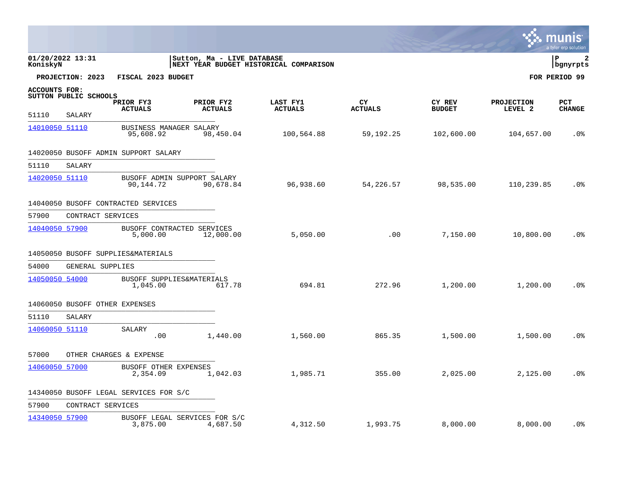|                      |                                |                                           |                             |                                        |                      |                         |                              | <b>S. MUNIS</b><br>a tyler erp solution |
|----------------------|--------------------------------|-------------------------------------------|-----------------------------|----------------------------------------|----------------------|-------------------------|------------------------------|-----------------------------------------|
| KoniskyN             | 01/20/2022 13:31               |                                           | Sutton, Ma - LIVE DATABASE  | NEXT YEAR BUDGET HISTORICAL COMPARISON |                      |                         |                              | l P<br>  bgnyrpts                       |
|                      | PROJECTION: 2023               | FISCAL 2023 BUDGET                        |                             |                                        |                      |                         |                              | FOR PERIOD 99                           |
| <b>ACCOUNTS FOR:</b> | SUTTON PUBLIC SCHOOLS          | PRIOR FY3<br><b>ACTUALS</b>               | PRIOR FY2<br><b>ACTUALS</b> | LAST FY1<br><b>ACTUALS</b>             | CY<br><b>ACTUALS</b> | CY REV<br><b>BUDGET</b> | <b>PROJECTION</b><br>LEVEL 2 | <b>PCT</b><br><b>CHANGE</b>             |
| 51110                | SALARY                         |                                           |                             |                                        |                      |                         |                              |                                         |
| 14010050 51110       |                                | BUSINESS MANAGER SALARY<br>95,608.92      | 98,450.04                   | 100,564.88                             | 59, 192. 25          | 102,600.00              | 104,657.00                   | .0 <sub>8</sub>                         |
|                      |                                | 14020050 BUSOFF ADMIN SUPPORT SALARY      |                             |                                        |                      |                         |                              |                                         |
| 51110                | SALARY                         |                                           |                             |                                        |                      |                         |                              |                                         |
| 14020050 51110       |                                | BUSOFF ADMIN SUPPORT SALARY<br>90,144.72  | 90,678.84                   | 96,938.60                              | 54,226.57            | 98,535.00               | 110,239.85                   | .0 <sub>8</sub>                         |
|                      |                                | 14040050 BUSOFF CONTRACTED SERVICES       |                             |                                        |                      |                         |                              |                                         |
| 57900                | CONTRACT SERVICES              |                                           |                             |                                        |                      |                         |                              |                                         |
| 14040050 57900       |                                | BUSOFF CONTRACTED SERVICES<br>5,000.00    | 12,000.00                   | 5,050.00                               | .00                  | 7,150.00                | 10,800.00                    | $.0\%$                                  |
|                      |                                | 14050050 BUSOFF SUPPLIES&MATERIALS        |                             |                                        |                      |                         |                              |                                         |
| 54000                | GENERAL SUPPLIES               |                                           |                             |                                        |                      |                         |                              |                                         |
| 14050050 54000       |                                | BUSOFF SUPPLIES&MATERIALS<br>1,045.00     | 617.78                      | 694.81                                 | 272.96               | 1,200.00                | 1,200.00                     | .0 <sub>8</sub>                         |
|                      | 14060050 BUSOFF OTHER EXPENSES |                                           |                             |                                        |                      |                         |                              |                                         |
| 51110                | SALARY                         |                                           |                             |                                        |                      |                         |                              |                                         |
| 14060050 51110       |                                | SALARY<br>.00                             | 1,440.00                    | 1,560.00                               | 865.35               | 1,500.00                | 1,500.00                     | .0 <sub>8</sub>                         |
| 57000                |                                | OTHER CHARGES & EXPENSE                   |                             |                                        |                      |                         |                              |                                         |
| 14060050 57000       |                                | BUSOFF OTHER EXPENSES<br>2,354.09         | 1,042.03                    | 1,985.71                               | 355.00               | 2,025.00                | 2,125.00                     | .0%                                     |
|                      |                                | 14340050 BUSOFF LEGAL SERVICES FOR S/C    |                             |                                        |                      |                         |                              |                                         |
| 57900                | CONTRACT SERVICES              |                                           |                             |                                        |                      |                         |                              |                                         |
| 14340050 57900       |                                | BUSOFF LEGAL SERVICES FOR S/C<br>3,875.00 | 4,687.50                    | 4,312.50                               | 1,993.75             | 8,000.00                | 8,000.00                     | .0 <sub>8</sub>                         |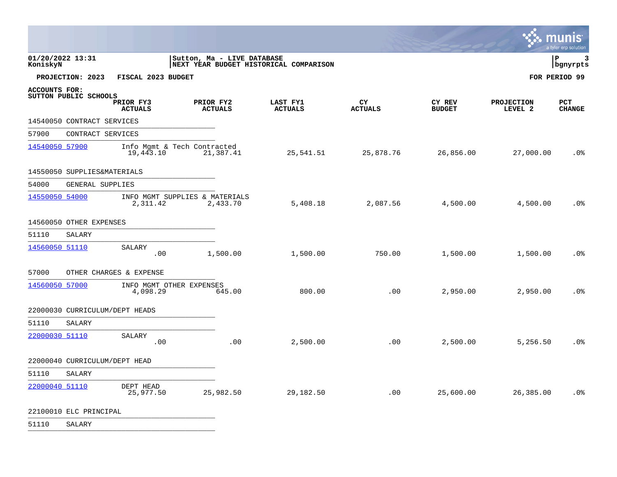|                                               |                                          |                                                                      |                            |                       |                         |                              | <b>INIS</b><br>mu<br>a tyler erp solution |
|-----------------------------------------------|------------------------------------------|----------------------------------------------------------------------|----------------------------|-----------------------|-------------------------|------------------------------|-------------------------------------------|
| 01/20/2022 13:31<br>KoniskyN                  |                                          | Sutton, Ma - LIVE DATABASE<br>NEXT YEAR BUDGET HISTORICAL COMPARISON |                            |                       |                         |                              | l P<br>3<br>bgnyrpts                      |
| PROJECTION: 2023                              | FISCAL 2023 BUDGET                       |                                                                      |                            |                       |                         |                              | FOR PERIOD 99                             |
| <b>ACCOUNTS FOR:</b><br>SUTTON PUBLIC SCHOOLS | PRIOR FY3<br><b>ACTUALS</b>              | PRIOR FY2<br><b>ACTUALS</b>                                          | LAST FY1<br><b>ACTUALS</b> | CY.<br><b>ACTUALS</b> | CY REV<br><b>BUDGET</b> | <b>PROJECTION</b><br>LEVEL 2 | <b>PCT</b><br><b>CHANGE</b>               |
| 14540050 CONTRACT SERVICES                    |                                          |                                                                      |                            |                       |                         |                              |                                           |
| 57900                                         | CONTRACT SERVICES                        |                                                                      |                            |                       |                         |                              |                                           |
| 14540050 57900                                | Info Mgmt & Tech Contracted<br>19,443.10 | 21,387.41                                                            | 25,541.51                  | 25,878.76             | 26,856.00               | 27,000.00                    | .0 <sup>°</sup>                           |
| 14550050 SUPPLIES&MATERIALS                   |                                          |                                                                      |                            |                       |                         |                              |                                           |
| 54000                                         | GENERAL SUPPLIES                         |                                                                      |                            |                       |                         |                              |                                           |
| 14550050 54000                                | 2,311.42                                 | INFO MGMT SUPPLIES & MATERIALS<br>2,433.70                           | 5,408.18                   | 2,087.56              | 4,500.00                | 4,500.00                     | .0 <sup>°</sup>                           |
| 14560050 OTHER EXPENSES                       |                                          |                                                                      |                            |                       |                         |                              |                                           |
| 51110<br>SALARY                               |                                          |                                                                      |                            |                       |                         |                              |                                           |
| 14560050 51110                                | SALARY<br>.00                            | 1,500.00                                                             | 1,500.00                   | 750.00                | 1,500.00                | 1,500.00                     | .0 <sub>8</sub>                           |
| 57000                                         | OTHER CHARGES & EXPENSE                  |                                                                      |                            |                       |                         |                              |                                           |
| 14560050 57000                                | INFO MGMT OTHER EXPENSES<br>4,098.29     | 645.00                                                               | 800.00                     | .00                   | 2,950.00                | 2,950.00                     | .0%                                       |
| 22000030 CURRICULUM/DEPT HEADS                |                                          |                                                                      |                            |                       |                         |                              |                                           |
| 51110<br>SALARY                               |                                          |                                                                      |                            |                       |                         |                              |                                           |
| 22000030 51110                                | <b>SALARY</b><br>.00                     | .00                                                                  | 2,500.00                   | .00                   | 2,500.00                | 5,256.50                     | .0%                                       |
| 22000040 CURRICULUM/DEPT HEAD                 |                                          |                                                                      |                            |                       |                         |                              |                                           |
| 51110<br>SALARY                               |                                          |                                                                      |                            |                       |                         |                              |                                           |
| 22000040 51110                                | DEPT HEAD<br>25,977.50                   | 25,982.50                                                            | 29,182.50                  | .00                   | 25,600.00               | 26,385.00                    | .0%                                       |
|                                               |                                          |                                                                      |                            |                       |                         |                              |                                           |

 $\bullet$ 

22100010 ELC PRINCIPAL **ELECT PROPRETTA**L

51110 SALARY \_\_\_\_\_\_\_\_\_\_\_\_\_\_\_\_\_\_\_\_\_\_\_\_\_\_\_\_\_\_\_\_\_\_\_\_\_\_\_\_\_\_\_\_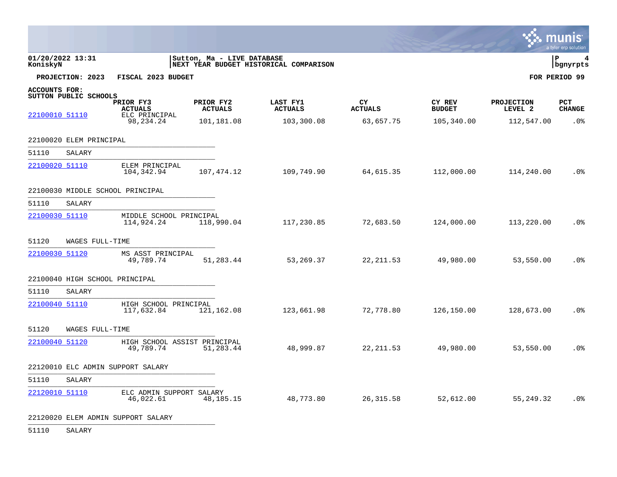|                      |                                |                                           |                             |                                        |                       |                         |                              | a tyler erp solution        |
|----------------------|--------------------------------|-------------------------------------------|-----------------------------|----------------------------------------|-----------------------|-------------------------|------------------------------|-----------------------------|
| KoniskyN             | 01/20/2022 13:31               |                                           | Sutton, Ma - LIVE DATABASE  | NEXT YEAR BUDGET HISTORICAL COMPARISON |                       |                         |                              | l P<br>  bgnyrpts           |
|                      | PROJECTION: 2023               | FISCAL 2023 BUDGET                        |                             |                                        |                       |                         |                              | FOR PERIOD 99               |
| <b>ACCOUNTS FOR:</b> | SUTTON PUBLIC SCHOOLS          |                                           |                             |                                        |                       |                         |                              |                             |
|                      |                                | PRIOR FY3<br><b>ACTUALS</b>               | PRIOR FY2<br><b>ACTUALS</b> | LAST FY1<br><b>ACTUALS</b>             | CY.<br><b>ACTUALS</b> | CY REV<br><b>BUDGET</b> | <b>PROJECTION</b><br>LEVEL 2 | <b>PCT</b><br><b>CHANGE</b> |
| 22100010 51110       |                                | ELC PRINCIPAL<br>98, 234. 24              | 101,181.08                  | 103,300.08                             | 63,657.75             | 105,340.00              | 112,547.00                   | .0%                         |
|                      | 22100020 ELEM PRINCIPAL        |                                           |                             |                                        |                       |                         |                              |                             |
| 51110                | SALARY                         |                                           |                             |                                        |                       |                         |                              |                             |
| 22100020 51110       |                                | ELEM PRINCIPAL<br>104,342.94              | 107, 474.12                 | 109,749.90                             | 64,615.35             | 112,000.00              | 114,240.00                   | .0 <sub>8</sub>             |
|                      |                                | 22100030 MIDDLE SCHOOL PRINCIPAL          |                             |                                        |                       |                         |                              |                             |
| 51110                | SALARY                         |                                           |                             |                                        |                       |                         |                              |                             |
| 22100030 51110       |                                | MIDDLE SCHOOL PRINCIPAL<br>114,924.24     | 118,990.04                  | 117,230.85                             | 72,683.50             | 124,000.00              | 113,220.00                   | .0 <sub>8</sub>             |
| 51120                | WAGES FULL-TIME                |                                           |                             |                                        |                       |                         |                              |                             |
| 22100030 51120       |                                | MS ASST PRINCIPAL<br>49,789.74            | 51,283.44                   | 53,269.37                              | 22, 211.53            | 49,980.00               | 53,550.00                    | .0 <sub>8</sub>             |
|                      | 22100040 HIGH SCHOOL PRINCIPAL |                                           |                             |                                        |                       |                         |                              |                             |
| 51110                | SALARY                         |                                           |                             |                                        |                       |                         |                              |                             |
| 22100040 51110       |                                | HIGH SCHOOL PRINCIPAL<br>117,632.84       | 121,162.08                  | 123,661.98                             | 72,778.80             | 126,150.00              | 128,673.00                   | .0%                         |
| 51120                | WAGES FULL-TIME                |                                           |                             |                                        |                       |                         |                              |                             |
| 22100040 51120       |                                | HIGH SCHOOL ASSIST PRINCIPAL<br>49,789.74 | 51,283.44                   | 48,999.87                              | 22, 211.53            | 49,980.00               | 53,550.00                    | .0 <sub>8</sub>             |
|                      |                                | 22120010 ELC ADMIN SUPPORT SALARY         |                             |                                        |                       |                         |                              |                             |
| 51110                | SALARY                         |                                           |                             |                                        |                       |                         |                              |                             |
| 22120010 51110       |                                | ELC ADMIN SUPPORT SALARY<br>46,022.61     | 48, 185. 15                 | 48,773.80                              | 26, 315.58            | 52,612.00               | 55,249.32                    | .0 <sub>8</sub>             |

22120020 ELEM ADMIN SUPPORT SALARY

51110 SALARY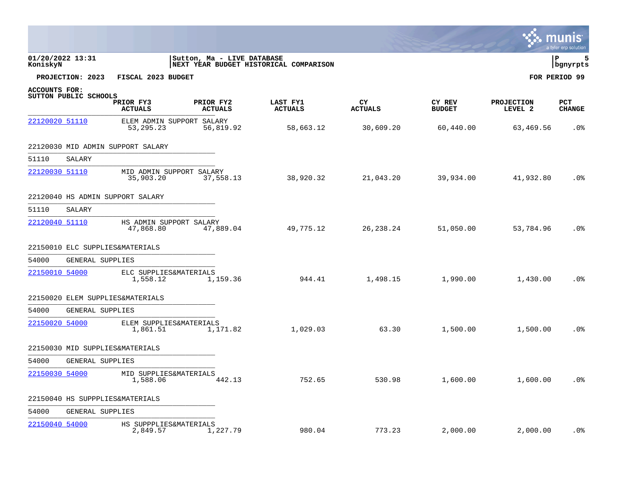|                |                       |                                          |                             |                                        |                      |                         |                       | a tyler erp solution  |
|----------------|-----------------------|------------------------------------------|-----------------------------|----------------------------------------|----------------------|-------------------------|-----------------------|-----------------------|
| KoniskyN       | 01/20/2022 13:31      |                                          | Sutton, Ma - LIVE DATABASE  | NEXT YEAR BUDGET HISTORICAL COMPARISON |                      |                         |                       | ΙP<br>5<br>  bgnyrpts |
|                | PROJECTION: 2023      | FISCAL 2023 BUDGET                       |                             |                                        |                      |                         |                       | FOR PERIOD 99         |
| ACCOUNTS FOR:  |                       |                                          |                             |                                        |                      |                         |                       |                       |
|                | SUTTON PUBLIC SCHOOLS | PRIOR FY3<br><b>ACTUALS</b>              | PRIOR FY2<br><b>ACTUALS</b> | LAST FY1<br><b>ACTUALS</b>             | CY<br><b>ACTUALS</b> | CY REV<br><b>BUDGET</b> | PROJECTION<br>LEVEL 2 | PCT<br><b>CHANGE</b>  |
| 22120020 51110 |                       | ELEM ADMIN SUPPORT SALARY<br>53, 295. 23 | 56,819.92                   | 58,663.12                              | 30,609.20            | 60,440.00               | 63,469.56             | .0 <sub>8</sub>       |
|                |                       | 22120030 MID ADMIN SUPPORT SALARY        |                             |                                        |                      |                         |                       |                       |
| 51110          | SALARY                |                                          |                             |                                        |                      |                         |                       |                       |
| 22120030 51110 |                       | MID ADMIN SUPPORT SALARY<br>35,903.20    | 37,558.13                   | 38,920.32                              | 21,043.20            | 39,934.00               | 41,932.80             | .0%                   |
|                |                       | 22120040 HS ADMIN SUPPORT SALARY         |                             |                                        |                      |                         |                       |                       |
| 51110          | SALARY                |                                          |                             |                                        |                      |                         |                       |                       |
| 22120040 51110 |                       | HS ADMIN SUPPORT SALARY<br>47,868.80     | 47,889.04                   | 49,775.12                              | 26, 238. 24          | 51,050.00               | 53,784.96             | .0 <sub>8</sub>       |
|                |                       | 22150010 ELC SUPPLIES&MATERIALS          |                             |                                        |                      |                         |                       |                       |
| 54000          | GENERAL SUPPLIES      |                                          |                             |                                        |                      |                         |                       |                       |
| 22150010 54000 |                       | ELC SUPPLIES&MATERIALS<br>1,558.12       | 1,159.36                    | 944.41                                 | 1,498.15             | 1,990.00                | 1,430.00              | .0 <sub>8</sub>       |
|                |                       | 22150020 ELEM SUPPLIES&MATERIALS         |                             |                                        |                      |                         |                       |                       |
| 54000          | GENERAL SUPPLIES      |                                          |                             |                                        |                      |                         |                       |                       |
| 22150020 54000 |                       | ELEM SUPPLIES&MATERIALS<br>1,861.51      | 1,171.82                    | 1,029.03                               | 63.30                | 1,500.00                | 1,500.00              | .0 <sub>8</sub>       |
|                |                       | 22150030 MID SUPPLIES&MATERIALS          |                             |                                        |                      |                         |                       |                       |
| 54000          | GENERAL SUPPLIES      |                                          |                             |                                        |                      |                         |                       |                       |
| 22150030 54000 |                       | MID SUPPLIES&MATERIALS<br>1,588.06       | 442.13                      | 752.65                                 | 530.98               | 1,600.00                | 1,600.00              | .0%                   |
|                |                       | 22150040 HS SUPPPLIES&MATERIALS          |                             |                                        |                      |                         |                       |                       |
| 54000          | GENERAL SUPPLIES      |                                          |                             |                                        |                      |                         |                       |                       |
| 22150040 54000 |                       | HS SUPPPLIES&MATERIALS<br>2,849.57       | 1,227.79                    | 980.04                                 | 773.23               | 2,000.00                | 2,000.00              | $.0\%$                |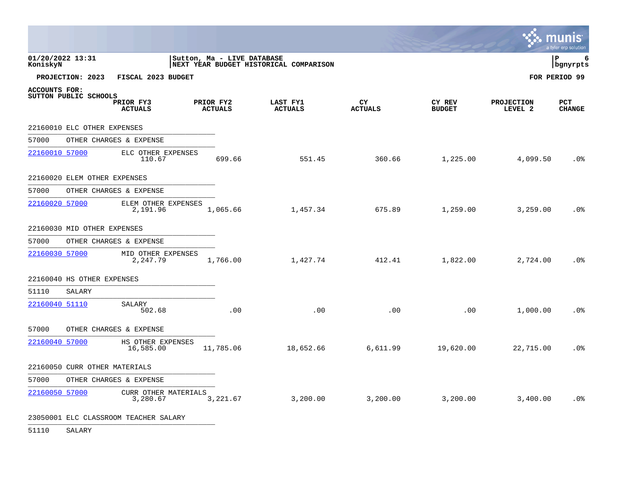|                              |                              |                                       |                             |           |                                        |                             |                         |                              | munis<br>a tyler erp solution |
|------------------------------|------------------------------|---------------------------------------|-----------------------------|-----------|----------------------------------------|-----------------------------|-------------------------|------------------------------|-------------------------------|
| 01/20/2022 13:31<br>KoniskyN |                              |                                       | Sutton, Ma - LIVE DATABASE  |           | NEXT YEAR BUDGET HISTORICAL COMPARISON |                             |                         |                              | lР<br>6<br>  bgnyrpts         |
|                              | PROJECTION: 2023             | FISCAL 2023 BUDGET                    |                             |           |                                        |                             |                         |                              | FOR PERIOD 99                 |
| ACCOUNTS FOR:                | SUTTON PUBLIC SCHOOLS        | PRIOR FY3<br><b>ACTUALS</b>           | PRIOR FY2<br><b>ACTUALS</b> |           | LAST FY1<br><b>ACTUALS</b>             | <b>CY</b><br><b>ACTUALS</b> | CY REV<br><b>BUDGET</b> | <b>PROJECTION</b><br>LEVEL 2 | PCT<br><b>CHANGE</b>          |
|                              | 22160010 ELC OTHER EXPENSES  |                                       |                             |           |                                        |                             |                         |                              |                               |
| 57000                        |                              | OTHER CHARGES & EXPENSE               |                             |           |                                        |                             |                         |                              |                               |
| 22160010 57000               |                              | ELC OTHER EXPENSES<br>110.67          |                             | 699.66    | 551.45                                 | 360.66                      | 1,225.00                | 4,099.50                     | .0 <sub>8</sub>               |
|                              | 22160020 ELEM OTHER EXPENSES |                                       |                             |           |                                        |                             |                         |                              |                               |
| 57000                        |                              | OTHER CHARGES & EXPENSE               |                             |           |                                        |                             |                         |                              |                               |
| 22160020 57000               |                              | ELEM OTHER EXPENSES<br>2,191.96       |                             | 1,065.66  | 1,457.34                               | 675.89                      | 1,259.00                | 3,259.00                     | .0 <sub>8</sub>               |
|                              | 22160030 MID OTHER EXPENSES  |                                       |                             |           |                                        |                             |                         |                              |                               |
| 57000                        |                              | OTHER CHARGES & EXPENSE               |                             |           |                                        |                             |                         |                              |                               |
| 22160030 57000               |                              | MID OTHER EXPENSES<br>2,247.79        |                             | 1,766.00  | 1,427.74                               | 412.41                      | 1,822.00                | 2,724.00                     | .0%                           |
|                              | 22160040 HS OTHER EXPENSES   |                                       |                             |           |                                        |                             |                         |                              |                               |
| 51110                        | SALARY                       |                                       |                             |           |                                        |                             |                         |                              |                               |
| 22160040 51110               |                              | SALARY<br>502.68                      |                             | .00       | .00                                    | .00                         | .00                     | 1,000.00                     | .0 <sub>8</sub>               |
| 57000                        |                              | OTHER CHARGES & EXPENSE               |                             |           |                                        |                             |                         |                              |                               |
| 22160040 57000               |                              | HS OTHER EXPENSES<br>16,585.00        |                             | 11,785.06 | 18,652.66                              | 6,611.99                    | 19,620.00               | 22,715.00                    | .0%                           |
|                              |                              | 22160050 CURR OTHER MATERIALS         |                             |           |                                        |                             |                         |                              |                               |
| 57000                        |                              | OTHER CHARGES & EXPENSE               |                             |           |                                        |                             |                         |                              |                               |
| 22160050 57000               |                              | CURR OTHER MATERIALS<br>3,280.67      |                             | 3,221.67  | 3,200.00                               | 3,200.00                    | 3,200.00                | 3,400.00                     | .0 <sub>8</sub>               |
|                              |                              | 23050001 ELC CLASSROOM TEACHER SALARY |                             |           |                                        |                             |                         |                              |                               |

51110 SALARY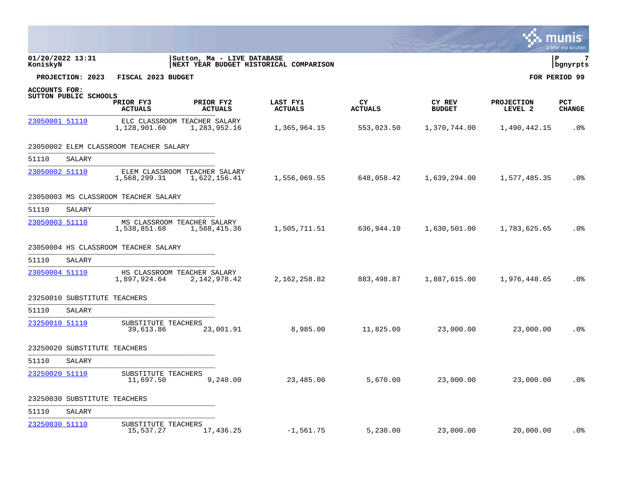|                              |                              |                                               |                             |                                        |                       |                         |                              | a tyler erp solution |
|------------------------------|------------------------------|-----------------------------------------------|-----------------------------|----------------------------------------|-----------------------|-------------------------|------------------------------|----------------------|
| 01/20/2022 13:31<br>KoniskyN |                              |                                               | Sutton, Ma - LIVE DATABASE  | NEXT YEAR BUDGET HISTORICAL COMPARISON |                       |                         |                              | 7<br>ΙP<br>bgnyrpts  |
|                              | PROJECTION: 2023             | FISCAL 2023 BUDGET                            |                             |                                        |                       |                         |                              | FOR PERIOD 99        |
| ACCOUNTS FOR:                | SUTTON PUBLIC SCHOOLS        |                                               |                             |                                        |                       |                         |                              |                      |
|                              |                              | PRIOR FY3<br><b>ACTUALS</b>                   | PRIOR FY2<br><b>ACTUALS</b> | LAST FY1<br><b>ACTUALS</b>             | CY.<br><b>ACTUALS</b> | CY REV<br><b>BUDGET</b> | <b>PROJECTION</b><br>LEVEL 2 | PCT<br><b>CHANGE</b> |
| 23050001 51110               |                              | ELC CLASSROOM TEACHER SALARY<br>1,128,901.60  | 1,283,952.16                | 1,365,964.15                           | 553,023.50            | 1,370,744.00            | 1,490,442.15                 | .0%                  |
|                              |                              | 23050002 ELEM CLASSROOM TEACHER SALARY        |                             |                                        |                       |                         |                              |                      |
| 51110                        | SALARY                       |                                               |                             |                                        |                       |                         |                              |                      |
| 23050002 51110               |                              | ELEM CLASSROOM TEACHER SALARY<br>1,568,299.31 | 1,622,156.41                | 1,556,069.55                           | 648,058.42            | 1,639,294.00            | 1,577,485.35                 | .0%                  |
|                              |                              | 23050003 MS CLASSROOM TEACHER SALARY          |                             |                                        |                       |                         |                              |                      |
| 51110                        | SALARY                       |                                               |                             |                                        |                       |                         |                              |                      |
| 23050003 51110               |                              | MS CLASSROOM TEACHER SALARY<br>1,538,851.68   | 1,568,415.36                | 1,505,711.51                           | 636,944.10            | 1,630,501.00            | 1,783,625.65                 | .0 <sub>8</sub>      |
|                              |                              | 23050004 HS CLASSROOM TEACHER SALARY          |                             |                                        |                       |                         |                              |                      |
| 51110                        | SALARY                       |                                               |                             |                                        |                       |                         |                              |                      |
| 23050004 51110               |                              | HS CLASSROOM TEACHER SALARY<br>1,897,924.64   | 2, 142, 978.42              | 2, 162, 258.82                         | 883,498.87            | 1,887,615.00            | 1,976,448.65                 | .0 <sub>8</sub>      |
|                              | 23250010 SUBSTITUTE TEACHERS |                                               |                             |                                        |                       |                         |                              |                      |
| 51110                        | SALARY                       |                                               |                             |                                        |                       |                         |                              |                      |
| 23250010 51110               |                              | SUBSTITUTE TEACHERS<br>39,613.86              | 23,001.91                   | 8,985.00                               | 11,825.00             | 23,000.00               | 23,000.00                    | .0 <sub>8</sub>      |
|                              | 23250020 SUBSTITUTE TEACHERS |                                               |                             |                                        |                       |                         |                              |                      |
| 51110                        | SALARY                       |                                               |                             |                                        |                       |                         |                              |                      |
| 23250020 51110               |                              | SUBSTITUTE TEACHERS<br>11,697.50              | 9,240.00                    | 23,485.00                              | 5,670.00              | 23,000.00               | 23,000.00                    | .0%                  |
|                              | 23250030 SUBSTITUTE TEACHERS |                                               |                             |                                        |                       |                         |                              |                      |
| 51110                        | SALARY                       |                                               |                             |                                        |                       |                         |                              |                      |
| 23250030 51110               |                              | SUBSTITUTE TEACHERS<br>15,537.27              | 17,436.25                   | $-1,561.75$                            | 5,230.00              | 23,000.00               | 20,000.00                    | $.0\%$               |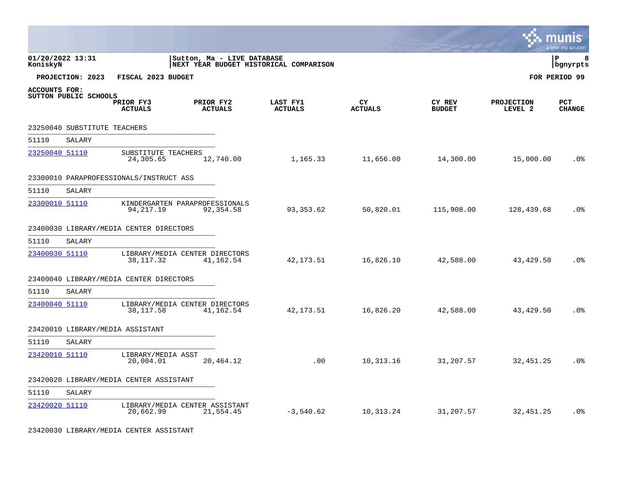|                      |                              |                                         |                                                                      |                            |                      |                         |                              | nıs<br>a tyler erp solution |
|----------------------|------------------------------|-----------------------------------------|----------------------------------------------------------------------|----------------------------|----------------------|-------------------------|------------------------------|-----------------------------|
| KoniskyN             | 01/20/2022 13:31             |                                         | Sutton, Ma - LIVE DATABASE<br>NEXT YEAR BUDGET HISTORICAL COMPARISON |                            |                      |                         |                              | l P<br>8<br>bgnyrpts        |
|                      | PROJECTION: 2023             | FISCAL 2023 BUDGET                      |                                                                      |                            |                      |                         |                              | FOR PERIOD 99               |
| <b>ACCOUNTS FOR:</b> | SUTTON PUBLIC SCHOOLS        | PRIOR FY3<br><b>ACTUALS</b>             | PRIOR FY2<br><b>ACTUALS</b>                                          | LAST FY1<br><b>ACTUALS</b> | CY<br><b>ACTUALS</b> | CY REV<br><b>BUDGET</b> | <b>PROJECTION</b><br>LEVEL 2 | <b>PCT</b><br><b>CHANGE</b> |
|                      | 23250040 SUBSTITUTE TEACHERS |                                         |                                                                      |                            |                      |                         |                              |                             |
| 51110                | SALARY                       |                                         |                                                                      |                            |                      |                         |                              |                             |
| 23250040 51110       |                              | SUBSTITUTE TEACHERS<br>24,305.65        | 12,740.00                                                            | 1,165.33                   | 11,656.00            | 14,300.00               | 15,000.00                    | .0%                         |
|                      |                              | 23300010 PARAPROFESSIONALS/INSTRUCT ASS |                                                                      |                            |                      |                         |                              |                             |
| 51110                | SALARY                       |                                         |                                                                      |                            |                      |                         |                              |                             |
| 23300010 51110       |                              | 94, 217. 19                             | KINDERGARTEN PARAPROFESSIONALS<br>92,354.58                          | 93,353.62                  | 50,820.01            | 115,908.00              | 128,439.68                   | .0%                         |
|                      |                              | 23400030 LIBRARY/MEDIA CENTER DIRECTORS |                                                                      |                            |                      |                         |                              |                             |
| 51110                | SALARY                       |                                         |                                                                      |                            |                      |                         |                              |                             |
| 23400030 51110       |                              | 38,117.32                               | LIBRARY/MEDIA CENTER DIRECTORS<br>41,162.54                          | 42, 173. 51                | 16,826.10            | 42,588.00               | 43, 429.50                   | .0%                         |
|                      |                              | 23400040 LIBRARY/MEDIA CENTER DIRECTORS |                                                                      |                            |                      |                         |                              |                             |
| 51110                | SALARY                       |                                         |                                                                      |                            |                      |                         |                              |                             |
| 23400040 51110       |                              | 38, 117.58                              | LIBRARY/MEDIA CENTER DIRECTORS<br>41,162.54                          | 42, 173. 51                | 16,826.20            | 42,588.00               | 43,429.50                    | .0%                         |
|                      |                              | 23420010 LIBRARY/MEDIA ASSISTANT        |                                                                      |                            |                      |                         |                              |                             |
| 51110                | SALARY                       |                                         |                                                                      |                            |                      |                         |                              |                             |
| 23420010 51110       |                              | LIBRARY/MEDIA ASST<br>20,004.01         | 20,464.12                                                            | .00                        | 10,313.16            | 31,207.57               | 32,451.25                    | .0%                         |
|                      |                              | 23420020 LIBRARY/MEDIA CENTER ASSISTANT |                                                                      |                            |                      |                         |                              |                             |
| 51110                | SALARY                       |                                         |                                                                      |                            |                      |                         |                              |                             |
| 23420020 51110       |                              | 20,662.99                               | LIBRARY/MEDIA CENTER ASSISTANT<br>21,554.45                          | $-3,540.62$                | 10,313.24            | 31,207.57               | 32,451.25                    | .0%                         |

23420030 LIBRARY/MEDIA CENTER ASSISTANT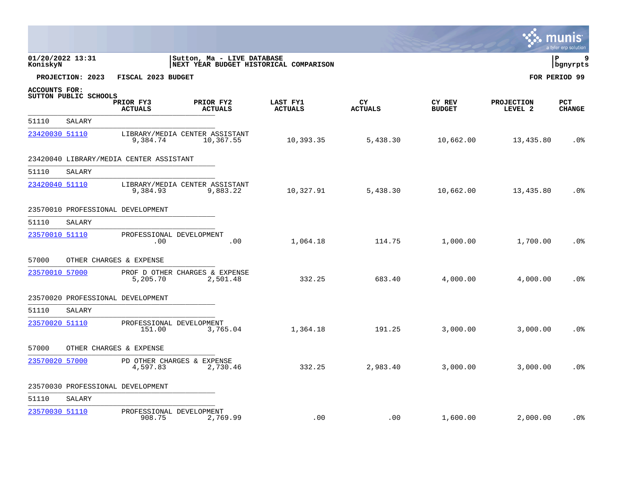|                      |                       |                                         |                                                                      |                            |                      |                         |                              | $\sim$ munis<br>a tyler erp solution |
|----------------------|-----------------------|-----------------------------------------|----------------------------------------------------------------------|----------------------------|----------------------|-------------------------|------------------------------|--------------------------------------|
| KoniskyN             | 01/20/2022 13:31      |                                         | Sutton, Ma - LIVE DATABASE<br>NEXT YEAR BUDGET HISTORICAL COMPARISON |                            |                      |                         |                              | l P<br>q<br>  bgnyrpts               |
|                      | PROJECTION: 2023      | FISCAL 2023 BUDGET                      |                                                                      |                            |                      |                         |                              | FOR PERIOD 99                        |
| <b>ACCOUNTS FOR:</b> | SUTTON PUBLIC SCHOOLS | PRIOR FY3<br><b>ACTUALS</b>             | PRIOR FY2<br><b>ACTUALS</b>                                          | LAST FY1<br><b>ACTUALS</b> | CY<br><b>ACTUALS</b> | CY REV<br><b>BUDGET</b> | <b>PROJECTION</b><br>LEVEL 2 | <b>PCT</b><br><b>CHANGE</b>          |
| 51110                | SALARY                |                                         |                                                                      |                            |                      |                         |                              |                                      |
| 23420030 51110       |                       | 9,384.74                                | LIBRARY/MEDIA CENTER ASSISTANT<br>10,367.55                          | 10,393.35                  | 5,438.30             | 10,662.00               | 13,435.80                    | .0 <sub>8</sub>                      |
|                      |                       | 23420040 LIBRARY/MEDIA CENTER ASSISTANT |                                                                      |                            |                      |                         |                              |                                      |
| 51110                | SALARY                |                                         |                                                                      |                            |                      |                         |                              |                                      |
| 23420040 51110       |                       | 9,384.93                                | LIBRARY/MEDIA CENTER ASSISTANT<br>9,883.22                           | 10,327.91                  | 5,438.30             | 10,662.00               | 13,435.80                    | .0 <sub>8</sub>                      |
|                      |                       | 23570010 PROFESSIONAL DEVELOPMENT       |                                                                      |                            |                      |                         |                              |                                      |
| 51110                | SALARY                |                                         |                                                                      |                            |                      |                         |                              |                                      |
| 23570010 51110       |                       | PROFESSIONAL DEVELOPMENT<br>.00         | .00                                                                  | 1,064.18                   | 114.75               | 1,000.00                | 1,700.00                     | .0 <sup>°</sup>                      |
| 57000                |                       | OTHER CHARGES & EXPENSE                 |                                                                      |                            |                      |                         |                              |                                      |
| 23570010 57000       |                       | 5,205.70                                | PROF D OTHER CHARGES & EXPENSE<br>2,501.48                           | 332.25                     | 683.40               | 4,000.00                | 4,000.00                     | .0 <sub>8</sub>                      |
|                      |                       | 23570020 PROFESSIONAL DEVELOPMENT       |                                                                      |                            |                      |                         |                              |                                      |
| 51110                | SALARY                |                                         |                                                                      |                            |                      |                         |                              |                                      |
| 23570020 51110       |                       | PROFESSIONAL DEVELOPMENT<br>151.00      | 3,765.04                                                             | 1,364.18                   | 191.25               | 3,000.00                | 3,000.00                     | .0 <sub>8</sub>                      |
| 57000                |                       | OTHER CHARGES & EXPENSE                 |                                                                      |                            |                      |                         |                              |                                      |
| 23570020 57000       |                       | PD OTHER CHARGES & EXPENSE<br>4,597.83  | 2,730.46                                                             | 332.25                     | 2,983.40             | 3,000.00                | 3,000.00                     | .0 <sub>8</sub>                      |
|                      |                       | 23570030 PROFESSIONAL DEVELOPMENT       |                                                                      |                            |                      |                         |                              |                                      |
| 51110                | SALARY                |                                         |                                                                      |                            |                      |                         |                              |                                      |
| 23570030 51110       |                       | PROFESSIONAL DEVELOPMENT<br>908.75      | 2,769.99                                                             | .00                        | .00                  | 1,600.00                | 2,000.00                     | .0 <sub>8</sub>                      |

 $\mathbf{1}$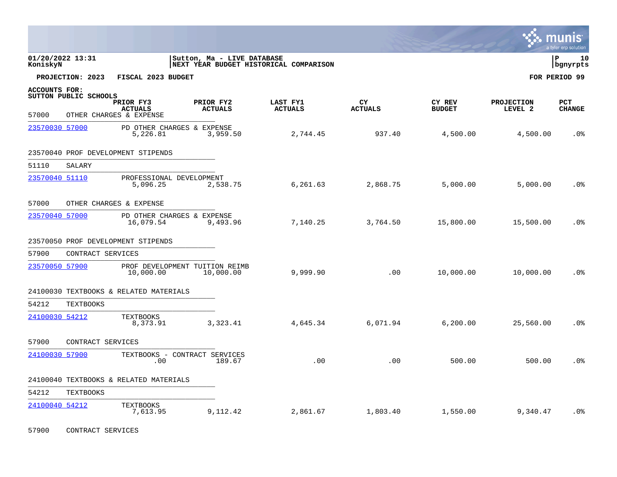|                               |                       |                                                        |                                                                      |                            |                             |                         | <b>W. MUNIS</b>              | a tyler erp solution |
|-------------------------------|-----------------------|--------------------------------------------------------|----------------------------------------------------------------------|----------------------------|-----------------------------|-------------------------|------------------------------|----------------------|
| KoniskyN                      | 01/20/2022 13:31      |                                                        | Sutton, Ma - LIVE DATABASE<br>NEXT YEAR BUDGET HISTORICAL COMPARISON |                            |                             |                         |                              | lР<br>10<br>bgnyrpts |
|                               | PROJECTION: 2023      | FISCAL 2023 BUDGET                                     |                                                                      |                            |                             |                         |                              | FOR PERIOD 99        |
| <b>ACCOUNTS FOR:</b><br>57000 | SUTTON PUBLIC SCHOOLS | PRIOR FY3<br><b>ACTUALS</b><br>OTHER CHARGES & EXPENSE | PRIOR FY2<br><b>ACTUALS</b>                                          | LAST FY1<br><b>ACTUALS</b> | <b>CY</b><br><b>ACTUALS</b> | CY REV<br><b>BUDGET</b> | <b>PROJECTION</b><br>LEVEL 2 | PCT<br><b>CHANGE</b> |
| 23570030 57000                |                       | PD OTHER CHARGES & EXPENSE<br>5,226.81                 | 3,959.50                                                             | 2,744.45                   | 937.40                      | 4,500.00                | 4,500.00                     | .0 <sup>°</sup>      |
|                               |                       | 23570040 PROF DEVELOPMENT STIPENDS                     |                                                                      |                            |                             |                         |                              |                      |
| 51110                         | SALARY                |                                                        |                                                                      |                            |                             |                         |                              |                      |
| 23570040 51110                |                       | PROFESSIONAL DEVELOPMENT<br>5,096.25                   | 2,538.75                                                             | 6,261.63                   | 2,868.75                    | 5,000.00                | 5,000.00                     | .0 <sub>8</sub>      |
| 57000                         |                       | OTHER CHARGES & EXPENSE                                |                                                                      |                            |                             |                         |                              |                      |
| 23570040 57000                |                       | PD OTHER CHARGES & EXPENSE<br>16,079.54                | 9,493.96                                                             | 7,140.25                   | 3,764.50                    | 15,800.00               | 15,500.00                    | .0 <sub>8</sub>      |
|                               |                       | 23570050 PROF DEVELOPMENT STIPENDS                     |                                                                      |                            |                             |                         |                              |                      |
| 57900                         | CONTRACT SERVICES     |                                                        |                                                                      |                            |                             |                         |                              |                      |
| 23570050 57900                |                       | 10,000.00                                              | PROF DEVELOPMENT TUITION REIMB<br>10,000.00                          | 9,999.90                   | .00                         | 10,000.00               | 10,000.00                    | .0%                  |
|                               |                       | 24100030 TEXTBOOKS & RELATED MATERIALS                 |                                                                      |                            |                             |                         |                              |                      |
| 54212                         | <b>TEXTBOOKS</b>      |                                                        |                                                                      |                            |                             |                         |                              |                      |
| 24100030 54212                |                       | <b>TEXTBOOKS</b><br>8,373.91                           | 3,323.41                                                             | 4,645.34                   | 6,071.94                    | 6, 200.00               | 25,560.00                    | .0%                  |
| 57900                         | CONTRACT SERVICES     |                                                        |                                                                      |                            |                             |                         |                              |                      |
| 24100030 57900                |                       | .00                                                    | TEXTBOOKS - CONTRACT SERVICES<br>189.67                              | .00                        | .00                         | 500.00                  | 500.00                       | .0 <sub>8</sub>      |
|                               |                       | 24100040 TEXTBOOKS & RELATED MATERIALS                 |                                                                      |                            |                             |                         |                              |                      |
| 54212                         | <b>TEXTBOOKS</b>      |                                                        |                                                                      |                            |                             |                         |                              |                      |
| 24100040 54212                |                       | <b>TEXTBOOKS</b><br>7,613.95                           | 9,112.42                                                             | 2,861.67                   | 1,803.40                    | 1,550.00                | 9,340.47                     | .0%                  |

57900 CONTRACT SERVICES

 $\mathcal{L}^{\bullet}$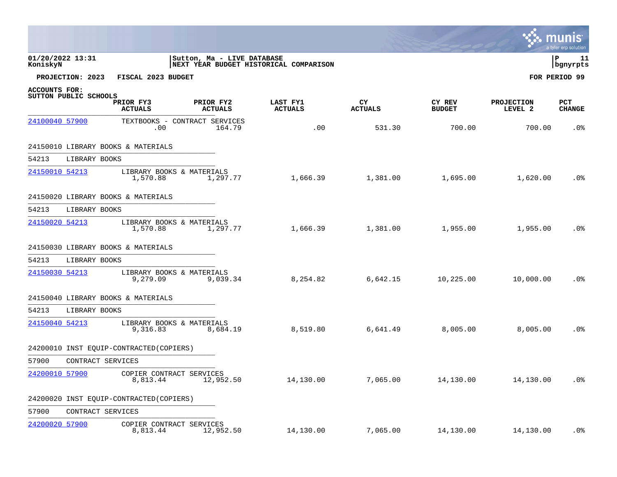|                |                       |                                          |                             |                                        |                      |                         |                              | a tyler erp solution           |
|----------------|-----------------------|------------------------------------------|-----------------------------|----------------------------------------|----------------------|-------------------------|------------------------------|--------------------------------|
| KoniskyN       | 01/20/2022 13:31      |                                          | Sutton, Ma - LIVE DATABASE  | NEXT YEAR BUDGET HISTORICAL COMPARISON |                      |                         |                              | $\mathbf{P}$<br>11<br>bgnyrpts |
|                | PROJECTION: 2023      | FISCAL 2023 BUDGET                       |                             |                                        |                      |                         |                              | FOR PERIOD 99                  |
| ACCOUNTS FOR:  |                       |                                          |                             |                                        |                      |                         |                              |                                |
|                | SUTTON PUBLIC SCHOOLS | PRIOR FY3<br><b>ACTUALS</b>              | PRIOR FY2<br><b>ACTUALS</b> | LAST FY1<br><b>ACTUALS</b>             | CY<br><b>ACTUALS</b> | CY REV<br><b>BUDGET</b> | <b>PROJECTION</b><br>LEVEL 2 | PCT<br><b>CHANGE</b>           |
| 24100040 57900 |                       | TEXTBOOKS - CONTRACT SERVICES<br>.00     | 164.79                      | .00                                    | 531.30               | 700.00                  | 700.00                       | .0 <sup>8</sup>                |
|                |                       | 24150010 LIBRARY BOOKS & MATERIALS       |                             |                                        |                      |                         |                              |                                |
| 54213          | LIBRARY BOOKS         |                                          |                             |                                        |                      |                         |                              |                                |
| 24150010 54213 |                       | LIBRARY BOOKS & MATERIALS<br>1,570.88    | 1,297.77                    |                                        | 1,666.39 1,381.00    | 1,695.00                | 1,620.00                     | $.0\%$                         |
|                |                       | 24150020 LIBRARY BOOKS & MATERIALS       |                             |                                        |                      |                         |                              |                                |
| 54213          | LIBRARY BOOKS         |                                          |                             |                                        |                      |                         |                              |                                |
| 24150020 54213 |                       | LIBRARY BOOKS & MATERIALS<br>1,570.88    | 1,297.77                    | 1,666.39                               | 1,381.00             | 1,955.00                | 1,955.00                     | .0 <sup>8</sup>                |
|                |                       | 24150030 LIBRARY BOOKS & MATERIALS       |                             |                                        |                      |                         |                              |                                |
| 54213          | LIBRARY BOOKS         |                                          |                             |                                        |                      |                         |                              |                                |
| 24150030 54213 |                       | LIBRARY BOOKS & MATERIALS<br>9,279.09    | 9,039.34                    | 8,254.82                               | 6,642.15             | 10,225.00               | 10,000.00                    | .0 <sub>8</sub>                |
|                |                       | 24150040 LIBRARY BOOKS & MATERIALS       |                             |                                        |                      |                         |                              |                                |
| 54213          | LIBRARY BOOKS         |                                          |                             |                                        |                      |                         |                              |                                |
| 24150040 54213 |                       | LIBRARY BOOKS & MATERIALS<br>9,316.83    | 8,684.19                    | 8,519.80                               | 6,641.49             | 8,005.00                | 8,005.00                     | .0 <sub>8</sub>                |
|                |                       | 24200010 INST EQUIP-CONTRACTED (COPIERS) |                             |                                        |                      |                         |                              |                                |
| 57900          | CONTRACT SERVICES     |                                          |                             |                                        |                      |                         |                              |                                |
|                | 24200010 57900        | COPIER CONTRACT SERVICES<br>8,813.44     | 12,952.50                   | 14,130.00                              | 7,065.00             | 14,130.00               | 14,130.00                    | .0%                            |
|                |                       | 24200020 INST EQUIP-CONTRACTED (COPIERS) |                             |                                        |                      |                         |                              |                                |
| 57900          | CONTRACT SERVICES     |                                          |                             |                                        |                      |                         |                              |                                |
| 24200020 57900 |                       | COPIER CONTRACT SERVICES<br>8,813.44     | 12,952.50                   | 14,130.00                              | 7,065.00             | 14,130.00               | 14,130.00                    | .0%                            |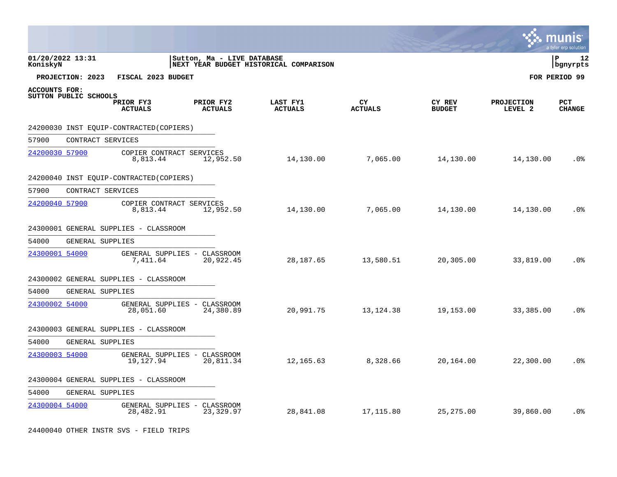|                |                       |                                          |                                           |                                        |                      |                         |                              | <b>S.</b> munis<br>a tyler erp solution |
|----------------|-----------------------|------------------------------------------|-------------------------------------------|----------------------------------------|----------------------|-------------------------|------------------------------|-----------------------------------------|
| KoniskyN       | 01/20/2022 13:31      |                                          | Sutton, Ma - LIVE DATABASE                | NEXT YEAR BUDGET HISTORICAL COMPARISON |                      |                         |                              | l P<br>12<br>bgnyrpts                   |
|                | PROJECTION: 2023      | FISCAL 2023 BUDGET                       |                                           |                                        |                      |                         |                              | FOR PERIOD 99                           |
| ACCOUNTS FOR:  | SUTTON PUBLIC SCHOOLS | PRIOR FY3<br><b>ACTUALS</b>              | PRIOR FY2<br><b>ACTUALS</b>               | LAST FY1<br><b>ACTUALS</b>             | CY<br><b>ACTUALS</b> | CY REV<br><b>BUDGET</b> | <b>PROJECTION</b><br>LEVEL 2 | <b>PCT</b><br><b>CHANGE</b>             |
|                |                       | 24200030 INST EOUIP-CONTRACTED (COPIERS) |                                           |                                        |                      |                         |                              |                                         |
| 57900          | CONTRACT SERVICES     |                                          |                                           |                                        |                      |                         |                              |                                         |
| 24200030 57900 |                       | COPIER CONTRACT SERVICES<br>8,813.44     | 12,952.50                                 | 14,130.00                              | 7,065.00             | 14,130.00               | 14,130.00                    | .0 <sub>8</sub>                         |
|                |                       | 24200040 INST EOUIP-CONTRACTED (COPIERS) |                                           |                                        |                      |                         |                              |                                         |
| 57900          | CONTRACT SERVICES     |                                          |                                           |                                        |                      |                         |                              |                                         |
| 24200040 57900 |                       | COPIER CONTRACT SERVICES<br>8,813.44     | 12,952.50                                 | 14,130.00                              | 7,065.00             | 14,130.00               | 14,130.00                    | .0 <sup>°</sup>                         |
|                |                       | 24300001 GENERAL SUPPLIES - CLASSROOM    |                                           |                                        |                      |                         |                              |                                         |
| 54000          | GENERAL SUPPLIES      |                                          |                                           |                                        |                      |                         |                              |                                         |
| 24300001 54000 |                       | 7,411.64                                 | GENERAL SUPPLIES - CLASSROOM<br>20,922.45 | 28, 187.65                             | 13,580.51            | 20,305.00               | 33,819.00                    | .0%                                     |
|                |                       | 24300002 GENERAL SUPPLIES - CLASSROOM    |                                           |                                        |                      |                         |                              |                                         |
| 54000          | GENERAL SUPPLIES      |                                          |                                           |                                        |                      |                         |                              |                                         |
| 24300002 54000 |                       | 28,051.60                                | GENERAL SUPPLIES - CLASSROOM<br>24,380.89 | 20,991.75                              | 13, 124. 38          | 19,153.00               | 33,385.00                    | .0 <sup>°</sup>                         |
|                |                       | 24300003 GENERAL SUPPLIES - CLASSROOM    |                                           |                                        |                      |                         |                              |                                         |
| 54000          | GENERAL SUPPLIES      |                                          |                                           |                                        |                      |                         |                              |                                         |
| 24300003 54000 |                       | 19,127.94                                | GENERAL SUPPLIES - CLASSROOM<br>20,811.34 | 12,165.63                              | 8,328.66             | 20,164.00               | 22,300.00                    | .0%                                     |
|                |                       | 24300004 GENERAL SUPPLIES - CLASSROOM    |                                           |                                        |                      |                         |                              |                                         |
| 54000          | GENERAL SUPPLIES      |                                          |                                           |                                        |                      |                         |                              |                                         |
| 24300004 54000 |                       | 28,482.91                                | GENERAL SUPPLIES - CLASSROOM<br>23,329.97 | 28,841.08                              | 17,115.80            | 25, 275.00              | 39,860.00                    | .0 <sub>8</sub>                         |

24400040 OTHER INSTR SVS - FIELD TRIPS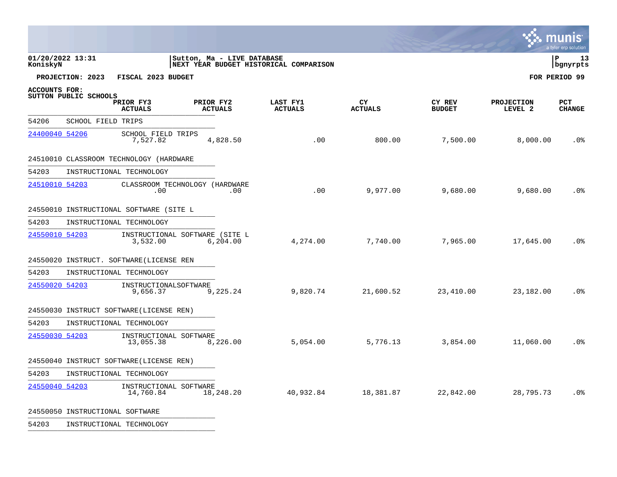|                              |                                 |                                            |                             |                                        |                      |                         |                              | mun<br>a tyler erp solution |
|------------------------------|---------------------------------|--------------------------------------------|-----------------------------|----------------------------------------|----------------------|-------------------------|------------------------------|-----------------------------|
| 01/20/2022 13:31<br>KoniskyN |                                 |                                            | Sutton, Ma - LIVE DATABASE  | NEXT YEAR BUDGET HISTORICAL COMPARISON |                      |                         |                              | l P<br>13<br>bgnyrpts       |
|                              | PROJECTION: 2023                | FISCAL 2023 BUDGET                         |                             |                                        |                      |                         |                              | FOR PERIOD 99               |
| <b>ACCOUNTS FOR:</b>         | SUTTON PUBLIC SCHOOLS           | PRIOR FY3<br><b>ACTUALS</b>                | PRIOR FY2<br><b>ACTUALS</b> | LAST FY1<br><b>ACTUALS</b>             | CY<br><b>ACTUALS</b> | CY REV<br><b>BUDGET</b> | <b>PROJECTION</b><br>LEVEL 2 | PCT<br><b>CHANGE</b>        |
| 54206                        | SCHOOL FIELD TRIPS              |                                            |                             |                                        |                      |                         |                              |                             |
| 24400040 54206               |                                 | SCHOOL FIELD TRIPS<br>7,527.82             | 4,828.50                    | .00                                    | 800.00               | 7,500.00                | 8,000.00                     | .0%                         |
|                              |                                 | 24510010 CLASSROOM TECHNOLOGY (HARDWARE    |                             |                                        |                      |                         |                              |                             |
| 54203                        |                                 | INSTRUCTIONAL TECHNOLOGY                   |                             |                                        |                      |                         |                              |                             |
| 24510010 54203               |                                 | CLASSROOM TECHNOLOGY (HARDWARE<br>.00      | .00                         | .00                                    | 9,977.00             | 9,680.00                | 9,680.00                     | .0 <sup>°</sup>             |
|                              |                                 | 24550010 INSTRUCTIONAL SOFTWARE (SITE L    |                             |                                        |                      |                         |                              |                             |
| 54203                        |                                 | INSTRUCTIONAL TECHNOLOGY                   |                             |                                        |                      |                         |                              |                             |
| 24550010 54203               |                                 | INSTRUCTIONAL SOFTWARE (SITE L<br>3,532.00 | 6, 204.00                   | 4,274.00                               | 7,740.00             | 7,965.00                | 17,645.00                    | .0 <sub>8</sub>             |
|                              |                                 | 24550020 INSTRUCT. SOFTWARE (LICENSE REN   |                             |                                        |                      |                         |                              |                             |
| 54203                        |                                 | INSTRUCTIONAL TECHNOLOGY                   |                             |                                        |                      |                         |                              |                             |
| 24550020 54203               |                                 | INSTRUCTIONALSOFTWARE<br>9,656.37          | 9,225.24                    | 9,820.74                               | 21,600.52            | 23,410.00               | 23,182.00                    | .0%                         |
|                              |                                 | 24550030 INSTRUCT SOFTWARE (LICENSE REN)   |                             |                                        |                      |                         |                              |                             |
| 54203                        |                                 | INSTRUCTIONAL TECHNOLOGY                   |                             |                                        |                      |                         |                              |                             |
| 24550030 54203               |                                 | INSTRUCTIONAL SOFTWARE<br>13,055.38        | 8,226.00                    | 5,054.00                               | 5,776.13             | 3,854.00                | 11,060.00                    | .0 <sub>8</sub>             |
|                              |                                 | 24550040 INSTRUCT SOFTWARE (LICENSE REN)   |                             |                                        |                      |                         |                              |                             |
| 54203                        |                                 | INSTRUCTIONAL TECHNOLOGY                   |                             |                                        |                      |                         |                              |                             |
| 24550040 54203               |                                 | INSTRUCTIONAL SOFTWARE<br>14,760.84        | 18,248.20                   | 40,932.84                              | 18,381.87            | 22,842.00               | 28,795.73                    | .0%                         |
|                              | 24550050 INSTRUCTIONAL SOFTWARE |                                            |                             |                                        |                      |                         |                              |                             |

54203 INSTRUCTIONAL TECHNOLOGY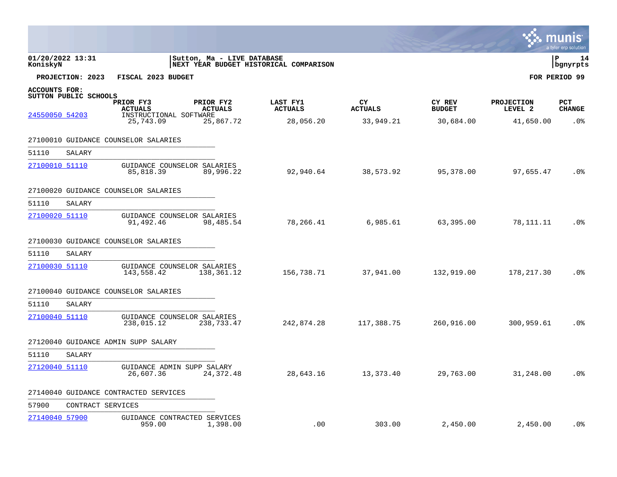|                                 |                       |                                                                    |                                          |                                         |                                   |                                      |                                           | a tyler erp solution               |
|---------------------------------|-----------------------|--------------------------------------------------------------------|------------------------------------------|-----------------------------------------|-----------------------------------|--------------------------------------|-------------------------------------------|------------------------------------|
| KoniskyN                        | 01/20/2022 13:31      |                                                                    | Sutton, Ma - LIVE DATABASE               | NEXT YEAR BUDGET HISTORICAL COMPARISON  |                                   |                                      |                                           | P<br>14<br>bgnyrpts                |
|                                 | PROJECTION: 2023      | FISCAL 2023 BUDGET                                                 |                                          |                                         |                                   |                                      |                                           | FOR PERIOD 99                      |
| ACCOUNTS FOR:<br>24550050 54203 | SUTTON PUBLIC SCHOOLS | PRIOR FY3<br><b>ACTUALS</b><br>INSTRUCTIONAL SOFTWARE<br>25,743.09 | PRIOR FY2<br><b>ACTUALS</b><br>25,867.72 | LAST FY1<br><b>ACTUALS</b><br>28,056.20 | CY<br><b>ACTUALS</b><br>33,949.21 | CY REV<br><b>BUDGET</b><br>30,684.00 | <b>PROJECTION</b><br>LEVEL 2<br>41,650.00 | <b>PCT</b><br><b>CHANGE</b><br>.0% |
|                                 |                       | 27100010 GUIDANCE COUNSELOR SALARIES                               |                                          |                                         |                                   |                                      |                                           |                                    |
| 51110                           | SALARY                |                                                                    |                                          |                                         |                                   |                                      |                                           |                                    |
| 27100010 51110                  |                       | GUIDANCE COUNSELOR SALARIES<br>85,818.39                           | 89,996.22                                | 92,940.64                               | 38,573.92                         | 95,378.00                            | 97,655.47                                 | .0%                                |
|                                 |                       | 27100020 GUIDANCE COUNSELOR SALARIES                               |                                          |                                         |                                   |                                      |                                           |                                    |
| 51110                           | SALARY                |                                                                    |                                          |                                         |                                   |                                      |                                           |                                    |
| 27100020 51110                  |                       | GUIDANCE COUNSELOR SALARIES<br>91,492.46                           | 98,485.54                                | 78,266.41                               | 6,985.61                          | 63,395.00                            | 78,111.11                                 | .0%                                |
|                                 |                       | 27100030 GUIDANCE COUNSELOR SALARIES                               |                                          |                                         |                                   |                                      |                                           |                                    |
| 51110                           | SALARY                |                                                                    |                                          |                                         |                                   |                                      |                                           |                                    |
| 27100030 51110                  |                       | GUIDANCE COUNSELOR SALARIES<br>143,558.42                          | 138,361.12                               | 156,738.71                              | 37,941.00                         | 132,919.00                           | 178, 217.30                               | .0 <sub>8</sub>                    |
|                                 |                       | 27100040 GUIDANCE COUNSELOR SALARIES                               |                                          |                                         |                                   |                                      |                                           |                                    |
| 51110                           | SALARY                |                                                                    |                                          |                                         |                                   |                                      |                                           |                                    |
| 27100040 51110                  |                       | GUIDANCE COUNSELOR SALARIES<br>238,015.12                          | 238,733.47                               | 242,874.28                              | 117,388.75                        | 260,916.00                           | 300,959.61                                | .0%                                |
|                                 |                       | 27120040 GUIDANCE ADMIN SUPP SALARY                                |                                          |                                         |                                   |                                      |                                           |                                    |
| 51110                           | SALARY                |                                                                    |                                          |                                         |                                   |                                      |                                           |                                    |
| 27120040 51110                  |                       | GUIDANCE ADMIN SUPP SALARY<br>26,607.36                            | 24,372.48                                | 28,643.16                               | 13,373.40                         | 29,763.00                            | 31,248.00                                 | .0%                                |
|                                 |                       | 27140040 GUIDANCE CONTRACTED SERVICES                              |                                          |                                         |                                   |                                      |                                           |                                    |
| 57900                           | CONTRACT SERVICES     |                                                                    |                                          |                                         |                                   |                                      |                                           |                                    |
| 27140040 57900                  |                       | GUIDANCE CONTRACTED SERVICES<br>959.00                             | 1,398.00                                 | .00                                     | 303.00                            | 2,450.00                             | 2,450.00                                  | .0 <sub>8</sub>                    |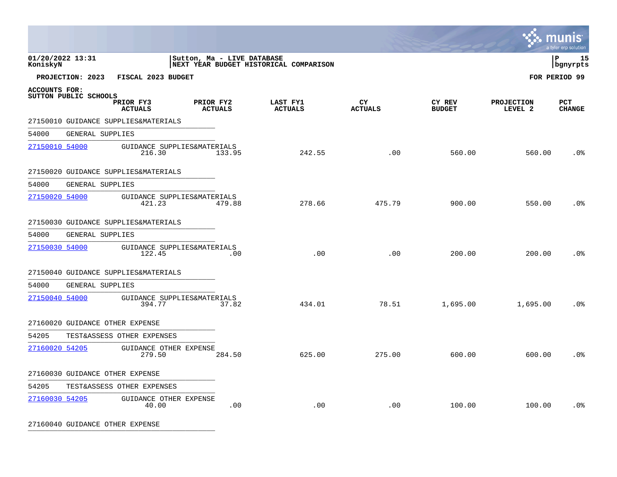|                              |                         |                                       |                             |                                        |                      |                         |                              | INIS<br>a tyler erp solution |
|------------------------------|-------------------------|---------------------------------------|-----------------------------|----------------------------------------|----------------------|-------------------------|------------------------------|------------------------------|
| 01/20/2022 13:31<br>KoniskyN |                         |                                       | Sutton, Ma - LIVE DATABASE  | NEXT YEAR BUDGET HISTORICAL COMPARISON |                      |                         |                              | l P<br>15<br>bgnyrpts        |
|                              | PROJECTION: 2023        | FISCAL 2023 BUDGET                    |                             |                                        |                      |                         |                              | FOR PERIOD 99                |
| <b>ACCOUNTS FOR:</b>         | SUTTON PUBLIC SCHOOLS   | PRIOR FY3<br><b>ACTUALS</b>           | PRIOR FY2<br><b>ACTUALS</b> | LAST FY1<br><b>ACTUALS</b>             | CY<br><b>ACTUALS</b> | CY REV<br><b>BUDGET</b> | <b>PROJECTION</b><br>LEVEL 2 | <b>PCT</b><br><b>CHANGE</b>  |
|                              |                         | 27150010 GUIDANCE SUPPLIES&MATERIALS  |                             |                                        |                      |                         |                              |                              |
| 54000                        | <b>GENERAL SUPPLIES</b> |                                       |                             |                                        |                      |                         |                              |                              |
| 27150010 54000               |                         | GUIDANCE SUPPLIES&MATERIALS<br>216.30 | 133.95                      | 242.55                                 | .00                  | 560.00                  | 560.00                       | .0 <sub>8</sub>              |
|                              |                         | 27150020 GUIDANCE SUPPLIES&MATERIALS  |                             |                                        |                      |                         |                              |                              |
| 54000                        | GENERAL SUPPLIES        |                                       |                             |                                        |                      |                         |                              |                              |
| 27150020 54000               |                         | GUIDANCE SUPPLIES&MATERIALS<br>421.23 | 479.88                      | 278.66                                 | 475.79               | 900.00                  | 550.00                       | .0 <sup>°</sup>              |
|                              |                         | 27150030 GUIDANCE SUPPLIES&MATERIALS  |                             |                                        |                      |                         |                              |                              |
| 54000                        | GENERAL SUPPLIES        |                                       |                             |                                        |                      |                         |                              |                              |
| 27150030 54000               |                         | GUIDANCE SUPPLIES&MATERIALS<br>122.45 | .00                         | .00                                    | .00                  | 200.00                  | 200.00                       | $.0\%$                       |
|                              |                         | 27150040 GUIDANCE SUPPLIES&MATERIALS  |                             |                                        |                      |                         |                              |                              |
| 54000                        | GENERAL SUPPLIES        |                                       |                             |                                        |                      |                         |                              |                              |
| 27150040 54000               |                         | GUIDANCE SUPPLIES&MATERIALS<br>394.77 | 37.82                       | 434.01                                 | 78.51                | 1,695.00                | 1,695.00                     | .0%                          |
|                              |                         | 27160020 GUIDANCE OTHER EXPENSE       |                             |                                        |                      |                         |                              |                              |
| 54205                        |                         | TEST&ASSESS OTHER EXPENSES            |                             |                                        |                      |                         |                              |                              |
| 27160020 54205               |                         | GUIDANCE OTHER EXPENSE<br>279.50      | 284.50                      | 625.00                                 | 275.00               | 600.00                  | 600.00                       | .0%                          |
|                              |                         | 27160030 GUIDANCE OTHER EXPENSE       |                             |                                        |                      |                         |                              |                              |
| 54205                        |                         | TEST&ASSESS OTHER EXPENSES            |                             |                                        |                      |                         |                              |                              |
| 27160030 54205               |                         | GUIDANCE OTHER EXPENSE<br>40.00       | .00                         | .00                                    | .00                  | 100.00                  | 100.00                       | .0%                          |

27160040 GUIDANCE OTHER EXPENSE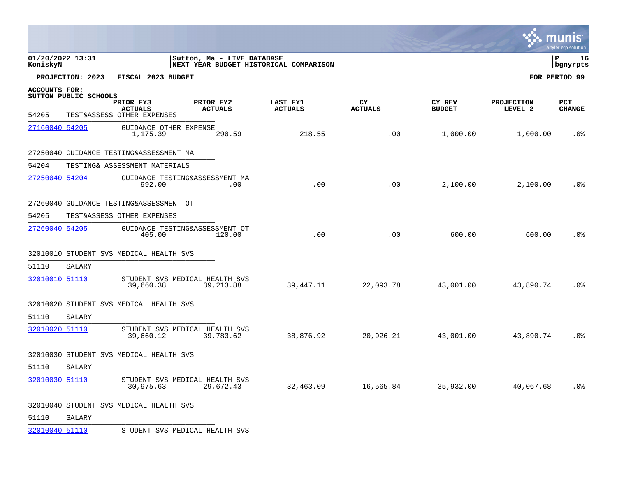|                                                        |                  |                                                           |                                              |                                        |                      |                         |                              | <u>оо шишэ</u><br>a tyler erp solution |
|--------------------------------------------------------|------------------|-----------------------------------------------------------|----------------------------------------------|----------------------------------------|----------------------|-------------------------|------------------------------|----------------------------------------|
| 01/20/2022 13:31<br>KoniskyN                           |                  |                                                           | Sutton, Ma - LIVE DATABASE                   | NEXT YEAR BUDGET HISTORICAL COMPARISON |                      |                         |                              | l P<br>16<br>bgnyrpts                  |
|                                                        | PROJECTION: 2023 | FISCAL 2023 BUDGET                                        |                                              |                                        |                      |                         |                              | FOR PERIOD 99                          |
| <b>ACCOUNTS FOR:</b><br>SUTTON PUBLIC SCHOOLS<br>54205 |                  | PRIOR FY3<br><b>ACTUALS</b><br>TEST&ASSESS OTHER EXPENSES | PRIOR FY2<br><b>ACTUALS</b>                  | LAST FY1<br><b>ACTUALS</b>             | CY<br><b>ACTUALS</b> | CY REV<br><b>BUDGET</b> | <b>PROJECTION</b><br>LEVEL 2 | PCT<br><b>CHANGE</b>                   |
| 27160040 54205                                         |                  | GUIDANCE OTHER EXPENSE<br>1,175.39                        | 290.59                                       | 218.55                                 | .00                  | 1,000.00                | 1,000.00                     | .0 <sub>8</sub>                        |
|                                                        |                  | 27250040 GUIDANCE TESTING&ASSESSMENT MA                   |                                              |                                        |                      |                         |                              |                                        |
| 54204                                                  |                  | TESTING& ASSESSMENT MATERIALS                             |                                              |                                        |                      |                         |                              |                                        |
| 27250040 54204                                         |                  | 992.00                                                    | GUIDANCE TESTING&ASSESSMENT MA<br>.00.       | .00                                    | .00                  | 2,100.00                | 2,100.00                     | .0%                                    |
|                                                        |                  | 27260040 GUIDANCE TESTING&ASSESSMENT OT                   |                                              |                                        |                      |                         |                              |                                        |
| 54205                                                  |                  | TEST&ASSESS OTHER EXPENSES                                |                                              |                                        |                      |                         |                              |                                        |
| 27260040 54205                                         |                  | 405.00                                                    | GUIDANCE TESTING&ASSESSMENT OT<br>120.00     | .00                                    | .00                  | 600.00                  | 600.00                       | .0 <sub>8</sub>                        |
|                                                        |                  | 32010010 STUDENT SVS MEDICAL HEALTH SVS                   |                                              |                                        |                      |                         |                              |                                        |
| 51110                                                  | SALARY           |                                                           |                                              |                                        |                      |                         |                              |                                        |
| 32010010 51110                                         |                  | 39,660.38                                                 | STUDENT SVS MEDICAL HEALTH SVS<br>39, 213.88 | 39,447.11                              | 22,093.78            | 43,001.00               | 43,890.74                    | .0%                                    |
|                                                        |                  | 32010020 STUDENT SVS MEDICAL HEALTH SVS                   |                                              |                                        |                      |                         |                              |                                        |
| 51110                                                  | SALARY           |                                                           |                                              |                                        |                      |                         |                              |                                        |
| 32010020 51110                                         |                  | 39,660.12                                                 | STUDENT SVS MEDICAL HEALTH SVS<br>39,783.62  | 38,876.92                              | 20,926.21            | 43,001.00               | 43,890.74                    | .0%                                    |
|                                                        |                  | 32010030 STUDENT SVS MEDICAL HEALTH SVS                   |                                              |                                        |                      |                         |                              |                                        |
| 51110                                                  | SALARY           |                                                           |                                              |                                        |                      |                         |                              |                                        |
| 32010030 51110                                         |                  | 30,975.63                                                 | STUDENT SVS MEDICAL HEALTH SVS<br>29,672.43  | 32,463.09                              | 16,565.84            | 35,932.00               | 40,067.68                    | .0%                                    |
|                                                        |                  | 32010040 STUDENT SVS MEDICAL HEALTH SVS                   |                                              |                                        |                      |                         |                              |                                        |
| 51110                                                  | SALARY           |                                                           |                                              |                                        |                      |                         |                              |                                        |

[32010040 51110](http://munis.sps.local:55000/_layouts/15/DashboardMunisV6.3/PassThru.aspx?-E=gVTyz6ZwkLpCpKSu6EP9Xgr1zUDur00QQdXRrY%2BD%2BjpMkpADpxWqLy85DF2sMUBdyozFGCyUV38bn0o7so2UsAwQmcaxtJmlR0oPzLMdSU0=&) STUDENT SVS MEDICAL HEALTH SVS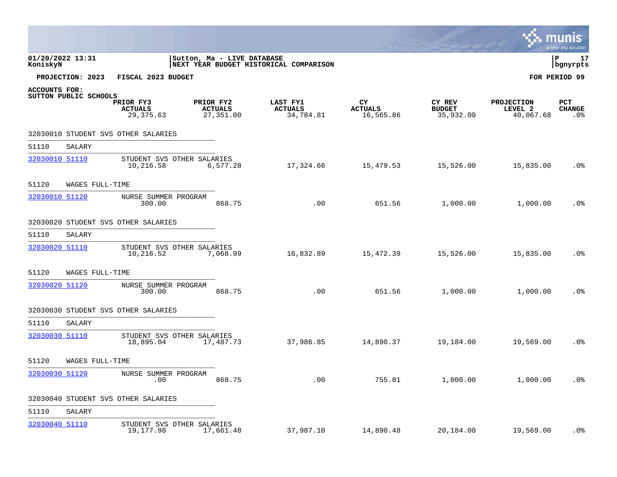|                              |                       |                                           |                                          |                                         |                                   |                                      |                                           | a tyler erp solution                  |
|------------------------------|-----------------------|-------------------------------------------|------------------------------------------|-----------------------------------------|-----------------------------------|--------------------------------------|-------------------------------------------|---------------------------------------|
| 01/20/2022 13:31<br>KoniskyN |                       |                                           | Sutton, Ma - LIVE DATABASE               | NEXT YEAR BUDGET HISTORICAL COMPARISON  |                                   |                                      |                                           | l P<br>17<br>bgnyrpts                 |
|                              | PROJECTION: 2023      | FISCAL 2023 BUDGET                        |                                          |                                         |                                   |                                      |                                           | FOR PERIOD 99                         |
| <b>ACCOUNTS FOR:</b>         | SUTTON PUBLIC SCHOOLS |                                           |                                          |                                         |                                   |                                      |                                           |                                       |
|                              |                       | PRIOR FY3<br><b>ACTUALS</b><br>29, 375.63 | PRIOR FY2<br><b>ACTUALS</b><br>27,351.00 | LAST FY1<br><b>ACTUALS</b><br>34,784.81 | CY<br><b>ACTUALS</b><br>16,565.86 | CY REV<br><b>BUDGET</b><br>35,932.00 | <b>PROJECTION</b><br>LEVEL 2<br>40,067.68 | <b>PCT</b><br><b>CHANGE</b><br>$.0\%$ |
|                              |                       | 32030010 STUDENT SVS OTHER SALARIES       |                                          |                                         |                                   |                                      |                                           |                                       |
| 51110                        | SALARY                |                                           |                                          |                                         |                                   |                                      |                                           |                                       |
| 32030010 51110               |                       | STUDENT SVS OTHER SALARIES<br>10,216.58   | 6,577.28                                 | 17,324.66                               | 15,479.53                         | 15,526.00                            | 15,835.00                                 | .0%                                   |
| 51120                        | WAGES FULL-TIME       |                                           |                                          |                                         |                                   |                                      |                                           |                                       |
| 32030010 51120               |                       | NURSE SUMMER PROGRAM<br>300.00            | 868.75                                   | .00                                     | 651.56                            | 1,000.00                             | 1,000.00                                  | .0%                                   |
|                              |                       | 32030020 STUDENT SVS OTHER SALARIES       |                                          |                                         |                                   |                                      |                                           |                                       |
| 51110                        | SALARY                |                                           |                                          |                                         |                                   |                                      |                                           |                                       |
| 32030020 51110               |                       | STUDENT SVS OTHER SALARIES<br>10,216.52   | 7,068.99                                 | 16,832.89                               | 15,472.39                         | 15,526.00                            | 15,835.00                                 | .0 <sub>8</sub>                       |
| 51120                        | WAGES FULL-TIME       |                                           |                                          |                                         |                                   |                                      |                                           |                                       |
| 32030020 51120               |                       | NURSE SUMMER PROGRAM<br>300.00            | 868.75                                   | .00                                     | 651.56                            | 1,000.00                             | 1,000.00                                  | .0%                                   |
|                              |                       | 32030030 STUDENT SVS OTHER SALARIES       |                                          |                                         |                                   |                                      |                                           |                                       |
| 51110                        | SALARY                |                                           |                                          |                                         |                                   |                                      |                                           |                                       |
| 32030030 51110               |                       | STUDENT SVS OTHER SALARIES<br>18,895.04   | 17,487.73                                | 37,986.85                               | 14,890.37                         | 19,184.00                            | 19,569.00                                 | .0 <sub>8</sub>                       |
| 51120                        | WAGES FULL-TIME       |                                           |                                          |                                         |                                   |                                      |                                           |                                       |
| 32030030 51120               |                       | NURSE SUMMER PROGRAM<br>.00               | 868.75                                   | .00                                     | 755.81                            | 1,000.00                             | 1,000.00                                  | .0%                                   |
|                              |                       | 32030040 STUDENT SVS OTHER SALARIES       |                                          |                                         |                                   |                                      |                                           |                                       |
| 51110                        | SALARY                |                                           |                                          |                                         |                                   |                                      |                                           |                                       |
| 32030040 51110               |                       | STUDENT SVS OTHER SALARIES<br>19,177.98   | 17,661.48                                | 37,987.10                               | 14,890.48                         | 20,184.00                            | 19,569.00                                 | $.0\%$                                |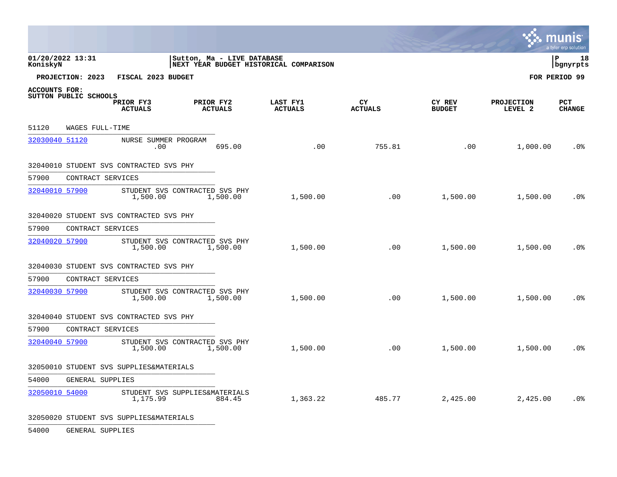|                |                       |                                            |           |                            |                                        |                      |                         | <b>W. MUNIS</b>              | a tyler erp solution  |
|----------------|-----------------------|--------------------------------------------|-----------|----------------------------|----------------------------------------|----------------------|-------------------------|------------------------------|-----------------------|
| KoniskyN       | 01/20/2022 13:31      |                                            |           | Sutton, Ma - LIVE DATABASE | NEXT YEAR BUDGET HISTORICAL COMPARISON |                      |                         |                              | l P<br>18<br>bgnyrpts |
|                | PROJECTION: 2023      | FISCAL 2023 BUDGET                         |           |                            |                                        |                      |                         |                              | FOR PERIOD 99         |
| ACCOUNTS FOR:  | SUTTON PUBLIC SCHOOLS | PRIOR FY3<br><b>ACTUALS</b>                | PRIOR FY2 | <b>ACTUALS</b>             | LAST FY1<br><b>ACTUALS</b>             | CY<br><b>ACTUALS</b> | CY REV<br><b>BUDGET</b> | <b>PROJECTION</b><br>LEVEL 2 | PCT<br><b>CHANGE</b>  |
| 51120          | WAGES FULL-TIME       |                                            |           |                            |                                        |                      |                         |                              |                       |
| 32030040 51120 |                       | NURSE SUMMER PROGRAM<br>.00                |           | 695.00                     | .00                                    | 755.81               | .00                     | 1,000.00                     | .0 <sub>8</sub>       |
|                |                       | 32040010 STUDENT SVS CONTRACTED SVS PHY    |           |                            |                                        |                      |                         |                              |                       |
| 57900          | CONTRACT SERVICES     |                                            |           |                            |                                        |                      |                         |                              |                       |
| 32040010 57900 |                       | STUDENT SVS CONTRACTED SVS PHY<br>1,500.00 |           | 1,500.00                   | 1,500.00                               | .00                  | 1,500.00                | 1,500.00                     | .0%                   |
|                |                       | 32040020 STUDENT SVS CONTRACTED SVS PHY    |           |                            |                                        |                      |                         |                              |                       |
| 57900          | CONTRACT SERVICES     |                                            |           |                            |                                        |                      |                         |                              |                       |
| 32040020 57900 |                       | STUDENT SVS CONTRACTED SVS PHY<br>1,500.00 |           | 1,500.00                   | 1,500.00                               | .00                  | 1,500.00                | 1,500.00                     | .0 <sub>8</sub>       |
|                |                       | 32040030 STUDENT SVS CONTRACTED SVS PHY    |           |                            |                                        |                      |                         |                              |                       |
| 57900          | CONTRACT SERVICES     |                                            |           |                            |                                        |                      |                         |                              |                       |
| 32040030 57900 |                       | STUDENT SVS CONTRACTED SVS PHY<br>1,500.00 |           | 1,500.00                   | 1,500.00                               | .00                  | 1,500.00                | 1,500.00                     | .0 <sub>8</sub>       |
|                |                       | 32040040 STUDENT SVS CONTRACTED SVS PHY    |           |                            |                                        |                      |                         |                              |                       |
| 57900          | CONTRACT SERVICES     |                                            |           |                            |                                        |                      |                         |                              |                       |
| 32040040 57900 |                       | STUDENT SVS CONTRACTED SVS PHY<br>1,500.00 |           | 1,500.00                   | 1,500.00                               | .00                  | 1,500.00                | 1,500.00                     | .0%                   |
|                |                       | 32050010 STUDENT SVS SUPPLIES&MATERIALS    |           |                            |                                        |                      |                         |                              |                       |
| 54000          | GENERAL SUPPLIES      |                                            |           |                            |                                        |                      |                         |                              |                       |
| 32050010 54000 |                       | STUDENT SVS SUPPLIES&MATERIALS<br>1,175.99 |           | 884.45                     | 1,363.22                               | 485.77               | 2,425.00                | 2,425.00                     | .0%                   |
| $\cdots$       |                       | --------                                   |           |                            |                                        |                      |                         |                              |                       |

 $\mathcal{L}^{\pm}$ 

32050020 STUDENT SVS SUPPLIES&MATERIALS

54000 GENERAL SUPPLIES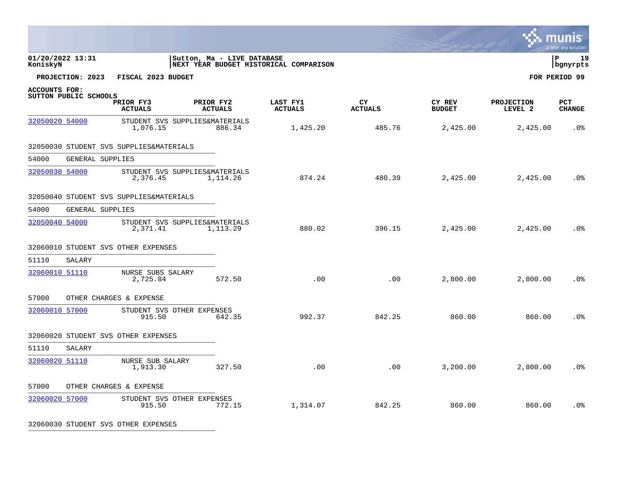|                |                       |                                            |                            |                |                                        |                      |                         |                              | mun<br>a tyler erp solution |
|----------------|-----------------------|--------------------------------------------|----------------------------|----------------|----------------------------------------|----------------------|-------------------------|------------------------------|-----------------------------|
| KoniskyN       | 01/20/2022 13:31      |                                            | Sutton, Ma - LIVE DATABASE |                | NEXT YEAR BUDGET HISTORICAL COMPARISON |                      |                         |                              | 19<br>l P<br>bgnyrpts       |
|                | PROJECTION: 2023      | FISCAL 2023 BUDGET                         |                            |                |                                        |                      |                         |                              | FOR PERIOD 99               |
| ACCOUNTS FOR:  | SUTTON PUBLIC SCHOOLS |                                            |                            |                |                                        |                      |                         |                              |                             |
|                |                       | PRIOR FY3<br><b>ACTUALS</b>                | PRIOR FY2                  | <b>ACTUALS</b> | LAST FY1<br><b>ACTUALS</b>             | CY<br><b>ACTUALS</b> | CY REV<br><b>BUDGET</b> | <b>PROJECTION</b><br>LEVEL 2 | <b>PCT</b><br><b>CHANGE</b> |
| 32050020 54000 |                       | STUDENT SVS SUPPLIES&MATERIALS<br>1,076.15 |                            | 886.34         | 1,425.20                               | 485.76               | 2,425.00                | 2,425.00                     | .0%                         |
|                |                       | 32050030 STUDENT SVS SUPPLIES&MATERIALS    |                            |                |                                        |                      |                         |                              |                             |
| 54000          | GENERAL SUPPLIES      |                                            |                            |                |                                        |                      |                         |                              |                             |
| 32050030 54000 |                       | STUDENT SVS SUPPLIES&MATERIALS<br>2,376.45 |                            | 1,114.26       | 874.24                                 | 480.39               | 2,425.00                | 2,425.00                     | .0 <sub>8</sub>             |
|                |                       | 32050040 STUDENT SVS SUPPLIES&MATERIALS    |                            |                |                                        |                      |                         |                              |                             |
| 54000          | GENERAL SUPPLIES      |                                            |                            |                |                                        |                      |                         |                              |                             |
| 32050040 54000 |                       | STUDENT SVS SUPPLIES&MATERIALS<br>2,371.41 |                            | 1,113.29       | 880.02                                 | 396.15               | 2,425.00                | 2,425.00                     | .0 <sup>°</sup>             |
|                |                       | 32060010 STUDENT SVS OTHER EXPENSES        |                            |                |                                        |                      |                         |                              |                             |
| 51110          | SALARY                |                                            |                            |                |                                        |                      |                         |                              |                             |
| 32060010 51110 |                       | NURSE SUBS SALARY<br>2,725.84              |                            | 572.50         | .00                                    | .00                  | 2,800.00                | 2,800.00                     | .0 <sup>°</sup>             |
| 57000          |                       | OTHER CHARGES & EXPENSE                    |                            |                |                                        |                      |                         |                              |                             |
| 32060010 57000 |                       | STUDENT SVS OTHER EXPENSES<br>915.50       |                            | 642.35         | 992.37                                 | 842.25               | 860.00                  | 860.00                       | .0%                         |
|                |                       | 32060020 STUDENT SVS OTHER EXPENSES        |                            |                |                                        |                      |                         |                              |                             |
| 51110          | SALARY                |                                            |                            |                |                                        |                      |                         |                              |                             |
| 32060020 51110 |                       | NURSE SUB SALARY<br>1,913.30               |                            | 327.50         | .00                                    | .00                  | 3,200.00                | 2,800.00                     | .0 <sub>8</sub>             |
| 57000          |                       | OTHER CHARGES & EXPENSE                    |                            |                |                                        |                      |                         |                              |                             |
| 32060020 57000 |                       | STUDENT SVS OTHER EXPENSES<br>915.50       |                            | 772.15         | 1,314.07                               | 842.25               | 860.00                  | 860.00                       | .0 <sup>°</sup>             |

32060030 STUDENT SVS OTHER EXPENSES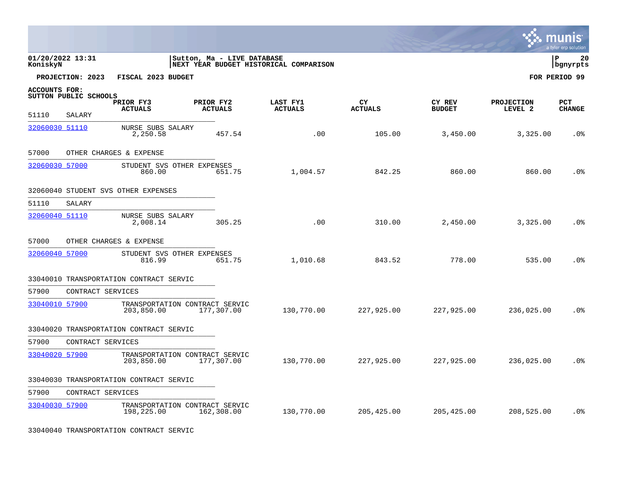|                              |                       |                                         |                                              |                                        |                      |                         |                              | mun<br>a tyler erp solution |
|------------------------------|-----------------------|-----------------------------------------|----------------------------------------------|----------------------------------------|----------------------|-------------------------|------------------------------|-----------------------------|
| 01/20/2022 13:31<br>KoniskyN |                       |                                         | Sutton, Ma - LIVE DATABASE                   | NEXT YEAR BUDGET HISTORICAL COMPARISON |                      |                         |                              | l P<br>20<br>  bgnyrpts     |
|                              | PROJECTION: 2023      | FISCAL 2023 BUDGET                      |                                              |                                        |                      |                         |                              | FOR PERIOD 99               |
| <b>ACCOUNTS FOR:</b>         | SUTTON PUBLIC SCHOOLS | PRIOR FY3<br><b>ACTUALS</b>             | PRIOR FY2<br><b>ACTUALS</b>                  | LAST FY1<br><b>ACTUALS</b>             | CY<br><b>ACTUALS</b> | CY REV<br><b>BUDGET</b> | <b>PROJECTION</b><br>LEVEL 2 | PCT<br><b>CHANGE</b>        |
| 51110                        | SALARY                |                                         |                                              |                                        |                      |                         |                              |                             |
| 32060030 51110               |                       | NURSE SUBS SALARY<br>2,250.58           | 457.54                                       | .00                                    | 105.00               | 3,450.00                | 3,325.00                     | .0 <sub>8</sub>             |
| 57000                        |                       | OTHER CHARGES & EXPENSE                 |                                              |                                        |                      |                         |                              |                             |
| 32060030 57000               |                       | STUDENT SVS OTHER EXPENSES<br>860.00    | 651.75                                       | 1,004.57                               | 842.25               | 860.00                  | 860.00                       | .0 <sup>°</sup>             |
|                              |                       | 32060040 STUDENT SVS OTHER EXPENSES     |                                              |                                        |                      |                         |                              |                             |
| 51110                        | SALARY                |                                         |                                              |                                        |                      |                         |                              |                             |
| 32060040 51110               |                       | NURSE SUBS SALARY<br>2,008.14           | 305.25                                       | .00                                    | 310.00               | 2,450.00                | 3,325.00                     | .0%                         |
| 57000                        |                       | OTHER CHARGES & EXPENSE                 |                                              |                                        |                      |                         |                              |                             |
| 32060040 57000               |                       | STUDENT SVS OTHER EXPENSES<br>816.99    | 651.75                                       | 1,010.68                               | 843.52               | 778.00                  | 535.00                       | .0 <sup>8</sup>             |
|                              |                       | 33040010 TRANSPORTATION CONTRACT SERVIC |                                              |                                        |                      |                         |                              |                             |
| 57900                        | CONTRACT SERVICES     |                                         |                                              |                                        |                      |                         |                              |                             |
| 33040010 57900               |                       | 203,850.00                              | TRANSPORTATION CONTRACT SERVIC<br>177,307.00 | 130,770.00                             | 227,925.00           | 227,925.00              | 236,025.00                   | .0 <sup>°</sup>             |
|                              |                       | 33040020 TRANSPORTATION CONTRACT SERVIC |                                              |                                        |                      |                         |                              |                             |
| 57900                        | CONTRACT SERVICES     |                                         |                                              |                                        |                      |                         |                              |                             |
| 33040020 57900               |                       | 203,850.00                              | TRANSPORTATION CONTRACT SERVIC<br>177,307.00 | 130,770.00                             | 227,925.00           | 227,925.00              | 236,025.00                   | .0 <sub>8</sub>             |
|                              |                       | 33040030 TRANSPORTATION CONTRACT SERVIC |                                              |                                        |                      |                         |                              |                             |
| 57900                        | CONTRACT SERVICES     |                                         |                                              |                                        |                      |                         |                              |                             |
| 33040030 57900               |                       | 198,225.00                              | TRANSPORTATION CONTRACT SERVIC<br>162,308.00 | 130,770.00                             | 205,425.00           | 205,425.00              | 208,525.00                   | .0%                         |

33040040 TRANSPORTATION CONTRACT SERVIC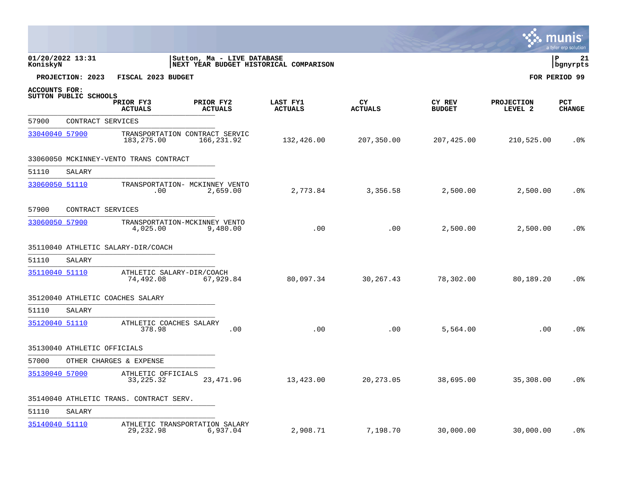|                      |                       |                                              |                             |                                        |                       |                         |                              | mu<br>Inis<br>a tyler erp solution |
|----------------------|-----------------------|----------------------------------------------|-----------------------------|----------------------------------------|-----------------------|-------------------------|------------------------------|------------------------------------|
| KoniskyN             | 01/20/2022 13:31      |                                              | Sutton, Ma - LIVE DATABASE  | NEXT YEAR BUDGET HISTORICAL COMPARISON |                       |                         |                              | P<br>21<br>bgnyrpts                |
|                      | PROJECTION: 2023      | FISCAL 2023 BUDGET                           |                             |                                        |                       |                         |                              | FOR PERIOD 99                      |
| <b>ACCOUNTS FOR:</b> |                       |                                              |                             |                                        |                       |                         |                              |                                    |
|                      | SUTTON PUBLIC SCHOOLS | PRIOR FY3<br><b>ACTUALS</b>                  | PRIOR FY2<br><b>ACTUALS</b> | LAST FY1<br><b>ACTUALS</b>             | CY.<br><b>ACTUALS</b> | CY REV<br><b>BUDGET</b> | <b>PROJECTION</b><br>LEVEL 2 | PCT<br><b>CHANGE</b>               |
| 57900                |                       | CONTRACT SERVICES                            |                             |                                        |                       |                         |                              |                                    |
| 33040040 57900       |                       | TRANSPORTATION CONTRACT SERVIC<br>183,275.00 | 166,231.92                  | 132,426.00                             | 207,350.00            | 207,425.00              | 210,525.00                   | $.0\%$                             |
|                      |                       | 33060050 MCKINNEY-VENTO TRANS CONTRACT       |                             |                                        |                       |                         |                              |                                    |
| 51110                | SALARY                |                                              |                             |                                        |                       |                         |                              |                                    |
| 33060050 51110       |                       | TRANSPORTATION- MCKINNEY VENTO<br>.00        | 2,659.00                    | 2,773.84                               | 3,356.58              | 2,500.00                | 2,500.00                     | . 0%                               |
| 57900                |                       | CONTRACT SERVICES                            |                             |                                        |                       |                         |                              |                                    |
| 33060050 57900       |                       | TRANSPORTATION-MCKINNEY VENTO<br>4,025.00    | 9,480.00                    | .00                                    | .00                   | 2,500.00                | 2,500.00                     | $.0\%$                             |
|                      |                       | 35110040 ATHLETIC SALARY-DIR/COACH           |                             |                                        |                       |                         |                              |                                    |
| 51110                | SALARY                |                                              |                             |                                        |                       |                         |                              |                                    |
| 35110040 51110       |                       | ATHLETIC SALARY-DIR/COACH<br>74,492.08       | 67,929.84                   | 80,097.34                              | 30, 267. 43           | 78,302.00               | 80,189.20                    | .0 <sub>8</sub>                    |
|                      |                       | 35120040 ATHLETIC COACHES SALARY             |                             |                                        |                       |                         |                              |                                    |
| 51110                | SALARY                |                                              |                             |                                        |                       |                         |                              |                                    |
| 35120040 51110       |                       | ATHLETIC COACHES SALARY<br>378.98            | .00                         | .00                                    | .00                   | 5,564.00                | .00                          | .0 <sub>8</sub>                    |
|                      |                       | 35130040 ATHLETIC OFFICIALS                  |                             |                                        |                       |                         |                              |                                    |
| 57000                |                       | OTHER CHARGES & EXPENSE                      |                             |                                        |                       |                         |                              |                                    |
| 35130040 57000       |                       | ATHLETIC OFFICIALS<br>33, 225. 32            | 23, 471.96                  | 13,423.00                              | 20, 273.05            | 38,695.00               | 35,308.00                    | .0%                                |
|                      |                       | 35140040 ATHLETIC TRANS. CONTRACT SERV.      |                             |                                        |                       |                         |                              |                                    |
| 51110                | SALARY                |                                              |                             |                                        |                       |                         |                              |                                    |
| 35140040 51110       |                       | ATHLETIC TRANSPORTATION SALARY<br>29, 232.98 | 6,937.04                    | 2,908.71                               | 7,198.70              | 30,000.00               | 30,000.00                    | .0%                                |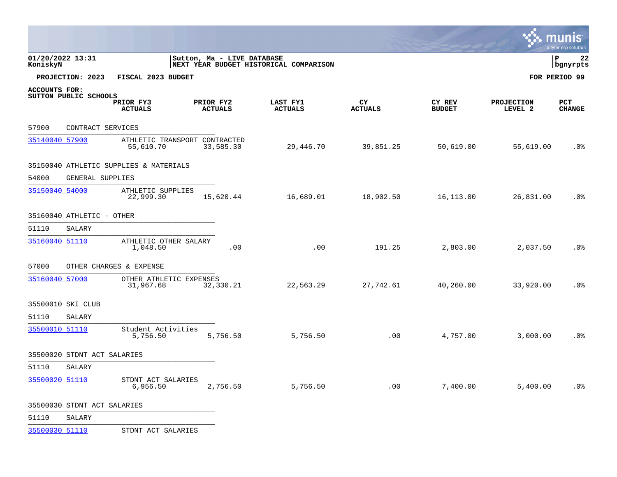|                      |                             |                                            |                             |           |                                        |                      |                         |                              | munis<br>a tyler erp solution |
|----------------------|-----------------------------|--------------------------------------------|-----------------------------|-----------|----------------------------------------|----------------------|-------------------------|------------------------------|-------------------------------|
| KoniskyN             | 01/20/2022 13:31            |                                            | Sutton, Ma - LIVE DATABASE  |           | NEXT YEAR BUDGET HISTORICAL COMPARISON |                      |                         |                              | l P<br>22<br>bgnyrpts         |
|                      | PROJECTION: 2023            | FISCAL 2023 BUDGET                         |                             |           |                                        |                      |                         |                              | FOR PERIOD 99                 |
| <b>ACCOUNTS FOR:</b> | SUTTON PUBLIC SCHOOLS       |                                            |                             |           |                                        |                      |                         |                              |                               |
|                      |                             | PRIOR FY3<br><b>ACTUALS</b>                | PRIOR FY2<br><b>ACTUALS</b> |           | LAST FY1<br><b>ACTUALS</b>             | CY<br><b>ACTUALS</b> | CY REV<br><b>BUDGET</b> | <b>PROJECTION</b><br>LEVEL 2 | <b>PCT</b><br><b>CHANGE</b>   |
| 57900                | CONTRACT SERVICES           |                                            |                             |           |                                        |                      |                         |                              |                               |
| 35140040 57900       |                             | ATHLETIC TRANSPORT CONTRACTED<br>55,610.70 |                             | 33,585.30 | 29,446.70                              | 39,851.25            | 50,619.00               | 55,619.00                    | .0%                           |
|                      |                             | 35150040 ATHLETIC SUPPLIES & MATERIALS     |                             |           |                                        |                      |                         |                              |                               |
| 54000                | GENERAL SUPPLIES            |                                            |                             |           |                                        |                      |                         |                              |                               |
| 35150040 54000       |                             | ATHLETIC SUPPLIES<br>22,999.30             |                             | 15,620.44 | 16,689.01                              | 18,902.50            | 16,113.00               | 26,831.00                    | $.0\%$                        |
|                      | 35160040 ATHLETIC - OTHER   |                                            |                             |           |                                        |                      |                         |                              |                               |
| 51110                | SALARY                      |                                            |                             |           |                                        |                      |                         |                              |                               |
| 35160040 51110       |                             | ATHLETIC OTHER SALARY<br>1,048.50          |                             | .00       | .00                                    | 191.25               | 2,803.00                | 2,037.50                     | .0 <sub>8</sub>               |
| 57000                |                             | OTHER CHARGES & EXPENSE                    |                             |           |                                        |                      |                         |                              |                               |
| 35160040 57000       |                             | OTHER ATHLETIC EXPENSES<br>31,967.68       |                             | 32,330.21 | 22,563.29                              | 27,742.61            | 40,260.00               | 33,920.00                    | .0 <sub>8</sub>               |
|                      | 35500010 SKI CLUB           |                                            |                             |           |                                        |                      |                         |                              |                               |
| 51110                | SALARY                      |                                            |                             |           |                                        |                      |                         |                              |                               |
| 35500010 51110       |                             | Student Activities<br>5,756.50             |                             | 5,756.50  | 5,756.50                               | .00                  | 4,757.00                | 3,000.00                     | .0 <sub>8</sub>               |
|                      | 35500020 STDNT ACT SALARIES |                                            |                             |           |                                        |                      |                         |                              |                               |
| 51110                | SALARY                      |                                            |                             |           |                                        |                      |                         |                              |                               |
| 35500020 51110       |                             | STDNT ACT SALARIES<br>6,956.50             |                             | 2,756.50  | 5,756.50                               | .00                  | 7,400.00                | 5,400.00                     | .0 <sub>8</sub>               |
|                      | 35500030 STDNT ACT SALARIES |                                            |                             |           |                                        |                      |                         |                              |                               |

 $\bullet$ 

51110 SALARY \_\_\_\_\_\_\_\_\_\_\_\_\_\_\_\_\_\_\_\_\_\_\_\_\_\_\_\_\_\_\_\_\_\_\_\_\_\_\_\_\_\_\_\_

[35500030 51110](http://munis.sps.local:55000/_layouts/15/DashboardMunisV6.3/PassThru.aspx?-E=9nvg2xJ83DjdY4MZZUtBdDhI/GvJ4eEvk17ho8Mr1J%2B0NWzWcVtF75hsU1CoudoBPv2MhVBJD38t7JImpzD48hZWrE6%2B5Xnx9NnwGzR3U/0=&) STDNT ACT SALARIES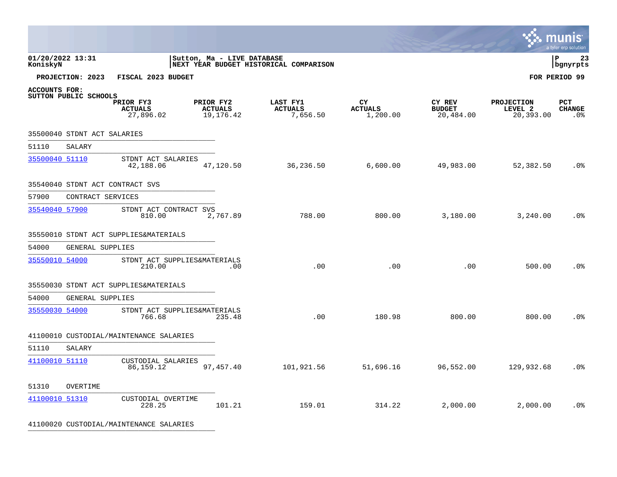|                              |                             |                                          |                                            |                                        |                                  |                                      |                                           | <b>A.</b> HIUIIIS<br>a tyler erp solution |
|------------------------------|-----------------------------|------------------------------------------|--------------------------------------------|----------------------------------------|----------------------------------|--------------------------------------|-------------------------------------------|-------------------------------------------|
| 01/20/2022 13:31<br>KoniskyN |                             |                                          | Sutton, Ma - LIVE DATABASE                 | NEXT YEAR BUDGET HISTORICAL COMPARISON |                                  |                                      |                                           | l P<br>23<br>bgnyrpts                     |
|                              | PROJECTION: 2023            | FISCAL 2023 BUDGET                       |                                            |                                        |                                  |                                      |                                           | FOR PERIOD 99                             |
| <b>ACCOUNTS FOR:</b>         | SUTTON PUBLIC SCHOOLS       | PRIOR FY3<br><b>ACTUALS</b><br>27,896.02 | PRIOR FY2<br><b>ACTUALS</b><br>19, 176. 42 | LAST FY1<br><b>ACTUALS</b><br>7,656.50 | CY<br><b>ACTUALS</b><br>1,200.00 | CY REV<br><b>BUDGET</b><br>20,484.00 | <b>PROJECTION</b><br>LEVEL 2<br>20,393.00 | PCT<br><b>CHANGE</b><br>.0 <sup>°</sup>   |
|                              | 35500040 STDNT ACT SALARIES |                                          |                                            |                                        |                                  |                                      |                                           |                                           |
| 51110                        | SALARY                      |                                          |                                            |                                        |                                  |                                      |                                           |                                           |
| 35500040 51110               |                             | STDNT ACT SALARIES<br>42,188.06          | 47,120.50                                  | 36,236.50                              | 6,600.00                         | 49,983.00                            | 52,382.50                                 | .0 <sub>8</sub>                           |
|                              |                             | 35540040 STDNT ACT CONTRACT SVS          |                                            |                                        |                                  |                                      |                                           |                                           |
| 57900                        | CONTRACT SERVICES           |                                          |                                            |                                        |                                  |                                      |                                           |                                           |
| 35540040 57900               |                             | STDNT ACT CONTRACT SVS<br>810.00         | 2,767.89                                   | 788.00                                 | 800.00                           | 3,180.00                             | 3,240.00                                  | .0 <sup>°</sup>                           |
|                              |                             | 35550010 STDNT ACT SUPPLIES&MATERIALS    |                                            |                                        |                                  |                                      |                                           |                                           |
| 54000                        | GENERAL SUPPLIES            |                                          |                                            |                                        |                                  |                                      |                                           |                                           |
| 35550010 54000               |                             | STDNT ACT SUPPLIES&MATERIALS<br>210.00   | .00                                        | .00                                    | .00                              | .00                                  | 500.00                                    | .0 <sub>8</sub>                           |
|                              |                             | 35550030 STDNT ACT SUPPLIES&MATERIALS    |                                            |                                        |                                  |                                      |                                           |                                           |
| 54000                        | GENERAL SUPPLIES            |                                          |                                            |                                        |                                  |                                      |                                           |                                           |
| 35550030 54000               |                             | STDNT ACT SUPPLIES&MATERIALS<br>766.68   | 235.48                                     | .00                                    | 180.98                           | 800.00                               | 800.00                                    | .0 <sub>8</sub>                           |
|                              |                             | 41100010 CUSTODIAL/MAINTENANCE SALARIES  |                                            |                                        |                                  |                                      |                                           |                                           |
| 51110                        | SALARY                      |                                          |                                            |                                        |                                  |                                      |                                           |                                           |
| 41100010 51110               |                             | CUSTODIAL SALARIES<br>86, 159. 12        | 97, 457.40                                 | 101,921.56                             | 51,696.16                        | 96,552.00                            | 129,932.68                                | .0 <sup>°</sup>                           |
| 51310                        | OVERTIME                    |                                          |                                            |                                        |                                  |                                      |                                           |                                           |
| 41100010 51310               |                             | CUSTODIAL OVERTIME<br>228.25             | 101.21                                     | 159.01                                 | 314.22                           | 2,000.00                             | 2,000.00                                  | .0 <sup>°</sup>                           |

41100020 CUSTODIAL/MAINTENANCE SALARIES \_\_\_\_\_\_\_\_\_\_\_\_\_\_\_\_\_\_\_\_\_\_\_\_\_\_\_\_\_\_\_\_\_\_\_\_\_\_\_\_\_\_\_\_

 $\mathcal{L}$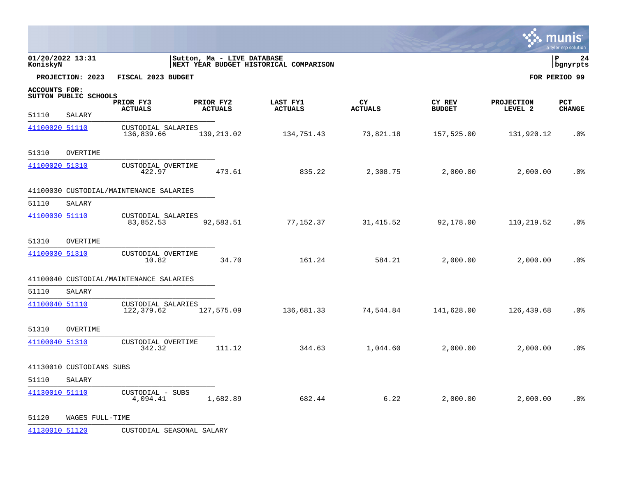|                              |                          |                                         |           |                            |                                        |                      |                         |                              | mun<br>a tyler erp solution |
|------------------------------|--------------------------|-----------------------------------------|-----------|----------------------------|----------------------------------------|----------------------|-------------------------|------------------------------|-----------------------------|
| 01/20/2022 13:31<br>KoniskyN |                          |                                         |           | Sutton, Ma - LIVE DATABASE | NEXT YEAR BUDGET HISTORICAL COMPARISON |                      |                         |                              | l P<br>24<br>bgnyrpts       |
|                              | PROJECTION: 2023         | FISCAL 2023 BUDGET                      |           |                            |                                        |                      |                         |                              | FOR PERIOD 99               |
| <b>ACCOUNTS FOR:</b>         | SUTTON PUBLIC SCHOOLS    | PRIOR FY3<br><b>ACTUALS</b>             | PRIOR FY2 | <b>ACTUALS</b>             | LAST FY1<br><b>ACTUALS</b>             | CY<br><b>ACTUALS</b> | CY REV<br><b>BUDGET</b> | <b>PROJECTION</b><br>LEVEL 2 | <b>PCT</b><br><b>CHANGE</b> |
| 51110                        | SALARY                   |                                         |           |                            |                                        |                      |                         |                              |                             |
| 41100020 51110               |                          | CUSTODIAL SALARIES<br>136,839.66        |           | 139,213.02                 | 134,751.43                             | 73,821.18            | 157,525.00              | 131,920.12                   | .0 <sub>8</sub>             |
| 51310                        | OVERTIME                 |                                         |           |                            |                                        |                      |                         |                              |                             |
| 41100020 51310               |                          | CUSTODIAL OVERTIME<br>422.97            |           | 473.61                     | 835.22                                 | 2,308.75             | 2,000.00                | 2,000.00                     | .0%                         |
|                              |                          | 41100030 CUSTODIAL/MAINTENANCE SALARIES |           |                            |                                        |                      |                         |                              |                             |
| 51110                        | <b>SALARY</b>            |                                         |           |                            |                                        |                      |                         |                              |                             |
| 41100030 51110               |                          | CUSTODIAL SALARIES<br>83,852.53         |           | 92,583.51                  | 77,152.37                              | 31, 415.52           | 92,178.00               | 110,219.52                   | .0%                         |
| 51310                        | OVERTIME                 |                                         |           |                            |                                        |                      |                         |                              |                             |
| 41100030 51310               |                          | CUSTODIAL OVERTIME<br>10.82             |           | 34.70                      | 161.24                                 | 584.21               | 2,000.00                | 2,000.00                     | .0 <sub>8</sub>             |
|                              |                          | 41100040 CUSTODIAL/MAINTENANCE SALARIES |           |                            |                                        |                      |                         |                              |                             |
| 51110                        | SALARY                   |                                         |           |                            |                                        |                      |                         |                              |                             |
| 41100040 51110               |                          | CUSTODIAL SALARIES<br>122,379.62        |           | 127,575.09                 | 136,681.33                             | 74,544.84            | 141,628.00              | 126,439.68                   | .0%                         |
| 51310                        | OVERTIME                 |                                         |           |                            |                                        |                      |                         |                              |                             |
| 41100040 51310               |                          | CUSTODIAL OVERTIME<br>342.32            |           | 111.12                     | 344.63                                 | 1,044.60             | 2,000.00                | 2,000.00                     | .0 <sub>8</sub>             |
|                              | 41130010 CUSTODIANS SUBS |                                         |           |                            |                                        |                      |                         |                              |                             |
| 51110                        | SALARY                   |                                         |           |                            |                                        |                      |                         |                              |                             |
| 41130010 51110               |                          | CUSTODIAL - SUBS<br>4,094.41            |           | 1,682.89                   | 682.44                                 | 6.22                 | 2,000.00                | 2,000.00                     | .0%                         |
| 51120                        | WAGES FULL-TIME          |                                         |           |                            |                                        |                      |                         |                              |                             |

[41130010 51120](http://munis.sps.local:55000/_layouts/15/DashboardMunisV6.3/PassThru.aspx?-E=%2BqHeXuFszIkAg9MdsZRGTQtwxeiZM1zqROqAAjbWi7KFAiPOVQ6dvGvZeYorjCThxqfG1T/2RsZSXJB%2Bk%2BBopa7JSG9rod85rIOsj65I7Ag=&) CUSTODIAL SEASONAL SALARY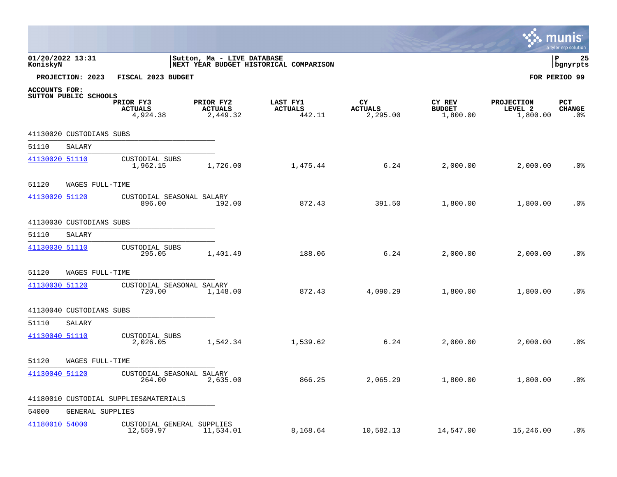|                |                          |                                         |                                         |                                        |                                  |                                            |                                          | <b>A.</b> IIIUIIIS<br>a tyler erp solution |
|----------------|--------------------------|-----------------------------------------|-----------------------------------------|----------------------------------------|----------------------------------|--------------------------------------------|------------------------------------------|--------------------------------------------|
| KoniskyN       | 01/20/2022 13:31         |                                         | Sutton, Ma - LIVE DATABASE              | NEXT YEAR BUDGET HISTORICAL COMPARISON |                                  |                                            |                                          | l P<br>25<br>  bgnyrpts                    |
|                | PROJECTION: 2023         | FISCAL 2023 BUDGET                      |                                         |                                        |                                  |                                            |                                          | FOR PERIOD 99                              |
| ACCOUNTS FOR:  | SUTTON PUBLIC SCHOOLS    | PRIOR FY3<br><b>ACTUALS</b><br>4,924.38 | PRIOR FY2<br><b>ACTUALS</b><br>2,449.32 | LAST FY1<br><b>ACTUALS</b><br>442.11   | CY<br><b>ACTUALS</b><br>2,295.00 | <b>CY REV</b><br><b>BUDGET</b><br>1,800.00 | <b>PROJECTION</b><br>LEVEL 2<br>1,800.00 | <b>PCT</b><br><b>CHANGE</b><br>.0%         |
|                | 41130020 CUSTODIANS SUBS |                                         |                                         |                                        |                                  |                                            |                                          |                                            |
| 51110          | SALARY                   |                                         |                                         |                                        |                                  |                                            |                                          |                                            |
| 41130020 51110 |                          | CUSTODIAL SUBS<br>1,962.15              | 1,726.00                                | 1,475.44                               | 6.24                             | 2,000.00                                   | 2,000.00                                 | .0 <sub>8</sub>                            |
| 51120          | WAGES FULL-TIME          |                                         |                                         |                                        |                                  |                                            |                                          |                                            |
| 41130020 51120 |                          | CUSTODIAL SEASONAL SALARY<br>896.00     | 192.00                                  | 872.43                                 | 391.50                           | 1,800.00                                   | 1,800.00                                 | .0%                                        |
|                | 41130030 CUSTODIANS SUBS |                                         |                                         |                                        |                                  |                                            |                                          |                                            |
| 51110          | SALARY                   |                                         |                                         |                                        |                                  |                                            |                                          |                                            |
| 41130030 51110 |                          | CUSTODIAL SUBS<br>295.05                | 1,401.49                                | 188.06                                 | 6.24                             | 2,000.00                                   | 2,000.00                                 | .0 <sub>8</sub>                            |
| 51120          | WAGES FULL-TIME          |                                         |                                         |                                        |                                  |                                            |                                          |                                            |
| 41130030 51120 |                          | CUSTODIAL SEASONAL SALARY<br>720.00     | 1,148.00                                | 872.43                                 | 4,090.29                         | 1,800.00                                   | 1,800.00                                 | .0%                                        |
|                | 41130040 CUSTODIANS SUBS |                                         |                                         |                                        |                                  |                                            |                                          |                                            |
| 51110          | SALARY                   |                                         |                                         |                                        |                                  |                                            |                                          |                                            |
| 41130040 51110 |                          | CUSTODIAL SUBS<br>2,026.05              | 1,542.34                                | 1,539.62                               | 6.24                             | 2,000.00                                   | 2,000.00                                 | .0 <sub>8</sub>                            |
| 51120          | WAGES FULL-TIME          |                                         |                                         |                                        |                                  |                                            |                                          |                                            |
| 41130040 51120 |                          | CUSTODIAL SEASONAL SALARY<br>264.00     | 2,635.00                                | 866.25                                 | 2,065.29                         | 1,800.00                                   | 1,800.00                                 | .0 <sub>8</sub>                            |
|                |                          | 41180010 CUSTODIAL SUPPLIES&MATERIALS   |                                         |                                        |                                  |                                            |                                          |                                            |
| 54000          | GENERAL SUPPLIES         |                                         |                                         |                                        |                                  |                                            |                                          |                                            |
| 41180010 54000 |                          | CUSTODIAL GENERAL SUPPLIES<br>12,559.97 | 11,534.01                               | 8,168.64                               | 10,582.13                        | 14,547.00                                  | 15,246.00                                | $.0\%$                                     |

 $\mathbf{L}$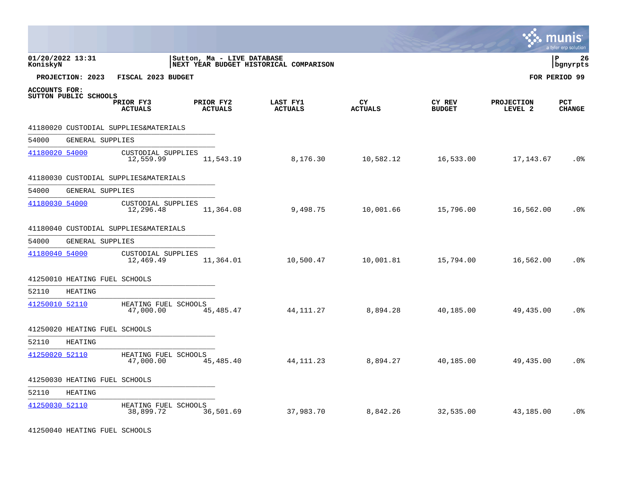|                      |                               |                                       |           |                            |                                        |                      |                         |                              | s: munis<br>a tyler erp solution |
|----------------------|-------------------------------|---------------------------------------|-----------|----------------------------|----------------------------------------|----------------------|-------------------------|------------------------------|----------------------------------|
| KoniskyN             | 01/20/2022 13:31              |                                       |           | Sutton, Ma - LIVE DATABASE | NEXT YEAR BUDGET HISTORICAL COMPARISON |                      |                         |                              | l P<br>26<br>  bgnyrpts          |
|                      | PROJECTION: 2023              | FISCAL 2023 BUDGET                    |           |                            |                                        |                      |                         |                              | FOR PERIOD 99                    |
| <b>ACCOUNTS FOR:</b> | SUTTON PUBLIC SCHOOLS         | PRIOR FY3<br><b>ACTUALS</b>           | PRIOR FY2 | <b>ACTUALS</b>             | LAST FY1<br><b>ACTUALS</b>             | CY<br><b>ACTUALS</b> | CY REV<br><b>BUDGET</b> | <b>PROJECTION</b><br>LEVEL 2 | <b>PCT</b><br><b>CHANGE</b>      |
|                      |                               | 41180020 CUSTODIAL SUPPLIES&MATERIALS |           |                            |                                        |                      |                         |                              |                                  |
| 54000                | GENERAL SUPPLIES              |                                       |           |                            |                                        |                      |                         |                              |                                  |
| 41180020 54000       |                               | CUSTODIAL SUPPLIES<br>12,559.99       |           | 11,543.19                  | 8,176.30                               | 10,582.12            | 16,533.00               | 17,143.67                    | .0%                              |
|                      |                               | 41180030 CUSTODIAL SUPPLIES&MATERIALS |           |                            |                                        |                      |                         |                              |                                  |
| 54000                | GENERAL SUPPLIES              |                                       |           |                            |                                        |                      |                         |                              |                                  |
| 41180030 54000       |                               | CUSTODIAL SUPPLIES<br>12,296.48       |           | 11,364.08                  | 9,498.75                               | 10,001.66            | 15,796.00               | 16,562.00                    | .0 <sub>8</sub>                  |
|                      |                               | 41180040 CUSTODIAL SUPPLIES&MATERIALS |           |                            |                                        |                      |                         |                              |                                  |
| 54000                | GENERAL SUPPLIES              |                                       |           |                            |                                        |                      |                         |                              |                                  |
| 41180040 54000       |                               | CUSTODIAL SUPPLIES<br>12,469.49       |           | 11,364.01                  | 10,500.47                              | 10,001.81            | 15,794.00               | 16,562.00                    | .0%                              |
|                      | 41250010 HEATING FUEL SCHOOLS |                                       |           |                            |                                        |                      |                         |                              |                                  |
| 52110                | <b>HEATING</b>                |                                       |           |                            |                                        |                      |                         |                              |                                  |
| 41250010 52110       |                               | HEATING FUEL SCHOOLS<br>47,000.00     |           | 45,485.47                  | 44, 111. 27                            | 8,894.28             | 40,185.00               | 49,435.00                    | .0%                              |
|                      | 41250020 HEATING FUEL SCHOOLS |                                       |           |                            |                                        |                      |                         |                              |                                  |
| 52110                | HEATING                       |                                       |           |                            |                                        |                      |                         |                              |                                  |
| 41250020 52110       |                               | HEATING FUEL SCHOOLS<br>47,000.00     |           | 45,485.40                  | 44, 111. 23                            | 8,894.27             | 40,185.00               | 49,435.00                    | $.0\%$                           |
|                      | 41250030 HEATING FUEL SCHOOLS |                                       |           |                            |                                        |                      |                         |                              |                                  |
| 52110                | <b>HEATING</b>                |                                       |           |                            |                                        |                      |                         |                              |                                  |
| 41250030 52110       |                               | HEATING FUEL SCHOOLS<br>38,899.72     |           | 36,501.69                  | 37,983.70                              | 8,842.26             | 32,535.00               | 43,185.00                    | .0 <sub>8</sub>                  |

41250040 HEATING FUEL SCHOOLS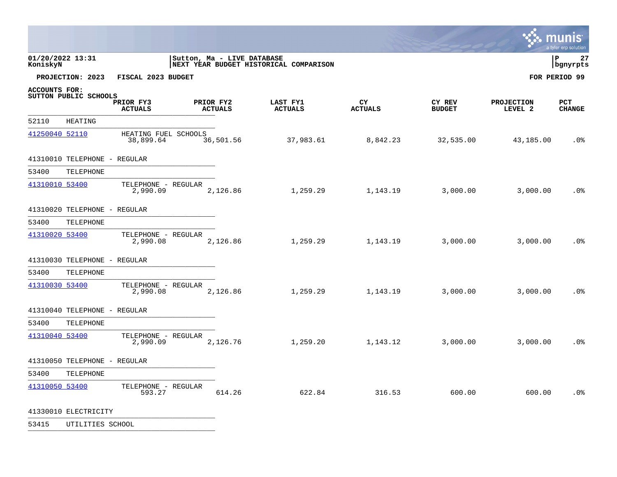|                      |                              |                                   |                            |                             |                                        |                      |                         |                              | mun<br>a tyler erp solution |
|----------------------|------------------------------|-----------------------------------|----------------------------|-----------------------------|----------------------------------------|----------------------|-------------------------|------------------------------|-----------------------------|
| KoniskyN             | 01/20/2022 13:31             |                                   | Sutton, Ma - LIVE DATABASE |                             | NEXT YEAR BUDGET HISTORICAL COMPARISON |                      |                         |                              | 27<br>l P<br>bgnyrpts       |
|                      | PROJECTION: 2023             | FISCAL 2023 BUDGET                |                            |                             |                                        |                      |                         |                              | FOR PERIOD 99               |
| <b>ACCOUNTS FOR:</b> | SUTTON PUBLIC SCHOOLS        | PRIOR FY3<br><b>ACTUALS</b>       |                            | PRIOR FY2<br><b>ACTUALS</b> | LAST FY1<br><b>ACTUALS</b>             | CY<br><b>ACTUALS</b> | CY REV<br><b>BUDGET</b> | <b>PROJECTION</b><br>LEVEL 2 | PCT<br><b>CHANGE</b>        |
| 52110                | <b>HEATING</b>               |                                   |                            |                             |                                        |                      |                         |                              |                             |
| 41250040 52110       |                              | HEATING FUEL SCHOOLS<br>38,899.64 |                            | 36,501.56                   | 37,983.61                              | 8,842.23             | 32,535.00               | 43,185.00                    | .0 <sub>8</sub>             |
|                      | 41310010 TELEPHONE - REGULAR |                                   |                            |                             |                                        |                      |                         |                              |                             |
| 53400                | TELEPHONE                    |                                   |                            |                             |                                        |                      |                         |                              |                             |
| 41310010 53400       |                              | TELEPHONE - REGULAR<br>2,990.09   |                            | 2,126.86                    | 1,259.29                               | 1,143.19             | 3,000.00                | 3,000.00                     | .0%                         |
|                      | 41310020 TELEPHONE - REGULAR |                                   |                            |                             |                                        |                      |                         |                              |                             |
| 53400                | TELEPHONE                    |                                   |                            |                             |                                        |                      |                         |                              |                             |
| 41310020 53400       |                              | TELEPHONE - REGULAR<br>2,990.08   |                            | 2,126.86                    | 1,259.29                               | 1,143.19             | 3,000.00                | 3,000.00                     | .0 <sub>8</sub>             |
|                      | 41310030 TELEPHONE - REGULAR |                                   |                            |                             |                                        |                      |                         |                              |                             |
| 53400                | TELEPHONE                    |                                   |                            |                             |                                        |                      |                         |                              |                             |
| 41310030 53400       |                              | TELEPHONE - REGULAR<br>2,990.08   |                            | 2,126.86                    | 1,259.29                               | 1,143.19             | 3,000.00                | 3,000.00                     | .0 <sub>8</sub>             |
|                      | 41310040 TELEPHONE - REGULAR |                                   |                            |                             |                                        |                      |                         |                              |                             |
| 53400                | TELEPHONE                    |                                   |                            |                             |                                        |                      |                         |                              |                             |
| 41310040 53400       |                              | TELEPHONE - REGULAR<br>2,990.09   |                            | 2,126.76                    | 1,259.20                               | 1,143.12             | 3,000.00                | 3,000.00                     | .0 <sub>8</sub>             |
|                      | 41310050 TELEPHONE - REGULAR |                                   |                            |                             |                                        |                      |                         |                              |                             |
| 53400                | TELEPHONE                    |                                   |                            |                             |                                        |                      |                         |                              |                             |
| 41310050 53400       |                              | TELEPHONE - REGULAR<br>593.27     |                            | 614.26                      | 622.84                                 | 316.53               | 600.00                  | 600.00                       | .0 <sup>°</sup>             |
|                      | 41330010 ELECTRICITY         |                                   |                            |                             |                                        |                      |                         |                              |                             |

53415 UTILITIES SCHOOL \_\_\_\_\_\_\_\_\_\_\_\_\_\_\_\_\_\_\_\_\_\_\_\_\_\_\_\_\_\_\_\_\_\_\_\_\_\_\_\_\_\_\_\_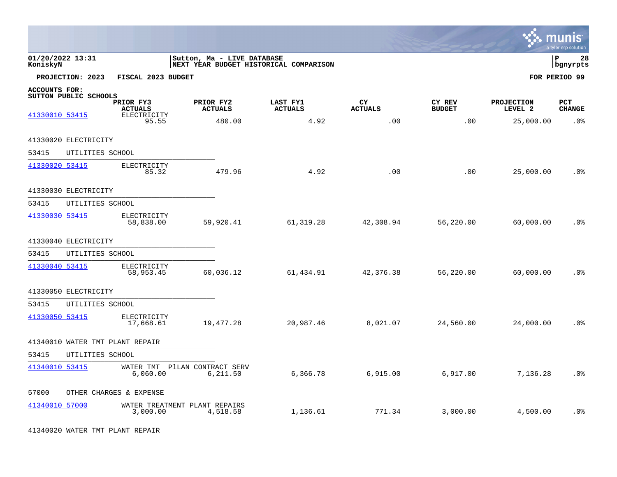|                                        |                                 |                                            |                            |                |                                        |                      |                         |                              | mun<br>a tyler erp solution |
|----------------------------------------|---------------------------------|--------------------------------------------|----------------------------|----------------|----------------------------------------|----------------------|-------------------------|------------------------------|-----------------------------|
| 01/20/2022 13:31<br>KoniskyN           |                                 |                                            | Sutton, Ma - LIVE DATABASE |                | NEXT YEAR BUDGET HISTORICAL COMPARISON |                      |                         |                              | ΙP<br>28<br>bgnyrpts        |
|                                        | PROJECTION: 2023                | FISCAL 2023 BUDGET                         |                            |                |                                        |                      |                         |                              | FOR PERIOD 99               |
| <b>ACCOUNTS FOR:</b><br>41330010 53415 | SUTTON PUBLIC SCHOOLS           | PRIOR FY3<br><b>ACTUALS</b><br>ELECTRICITY | PRIOR FY2                  | <b>ACTUALS</b> | LAST FY1<br><b>ACTUALS</b>             | CY<br><b>ACTUALS</b> | CY REV<br><b>BUDGET</b> | <b>PROJECTION</b><br>LEVEL 2 | PCT<br><b>CHANGE</b>        |
|                                        |                                 | 95.55                                      |                            | 480.00         | 4.92                                   | .00                  | .00                     | 25,000.00                    | .0%                         |
|                                        | 41330020 ELECTRICITY            |                                            |                            |                |                                        |                      |                         |                              |                             |
| 53415                                  | UTILITIES SCHOOL                |                                            |                            |                |                                        |                      |                         |                              |                             |
| 41330020 53415                         |                                 | ELECTRICITY<br>85.32                       |                            | 479.96         | 4.92                                   | .00                  | .00                     | 25,000.00                    | .0%                         |
|                                        | 41330030 ELECTRICITY            |                                            |                            |                |                                        |                      |                         |                              |                             |
| 53415                                  | UTILITIES SCHOOL                |                                            |                            |                |                                        |                      |                         |                              |                             |
| 41330030 53415                         |                                 | ELECTRICITY<br>58,838.00                   |                            | 59,920.41      | 61, 319.28                             | 42,308.94            | 56,220.00               | 60,000.00                    | .0 <sub>8</sub>             |
|                                        | 41330040 ELECTRICITY            |                                            |                            |                |                                        |                      |                         |                              |                             |
| 53415                                  | UTILITIES SCHOOL                |                                            |                            |                |                                        |                      |                         |                              |                             |
| 41330040 53415                         |                                 | ELECTRICITY<br>58,953.45                   |                            | 60,036.12      | 61,434.91                              | 42,376.38            | 56,220.00               | 60,000.00                    | .0 <sub>8</sub>             |
|                                        | 41330050 ELECTRICITY            |                                            |                            |                |                                        |                      |                         |                              |                             |
| 53415                                  | UTILITIES SCHOOL                |                                            |                            |                |                                        |                      |                         |                              |                             |
| 41330050 53415                         |                                 | ELECTRICITY<br>17,668.61                   |                            | 19, 477.28     | 20,987.46                              | 8,021.07             | 24,560.00               | 24,000.00                    | .0 <sub>8</sub>             |
|                                        | 41340010 WATER TMT PLANT REPAIR |                                            |                            |                |                                        |                      |                         |                              |                             |
| 53415                                  | UTILITIES SCHOOL                |                                            |                            |                |                                        |                      |                         |                              |                             |
| 41340010 53415                         |                                 | WATER TMT PILAN CONTRACT SERV<br>6,060.00  |                            | 6,211.50       | 6,366.78                               | 6,915.00             | 6,917.00                | 7,136.28                     | .0%                         |
| 57000                                  |                                 | OTHER CHARGES & EXPENSE                    |                            |                |                                        |                      |                         |                              |                             |
| 41340010 57000                         |                                 | WATER TREATMENT PLANT REPAIRS<br>3,000.00  |                            | 4,518.58       | 1,136.61                               | 771.34               | 3,000.00                | 4,500.00                     | .0 <sub>8</sub>             |

41340020 WATER TMT PLANT REPAIR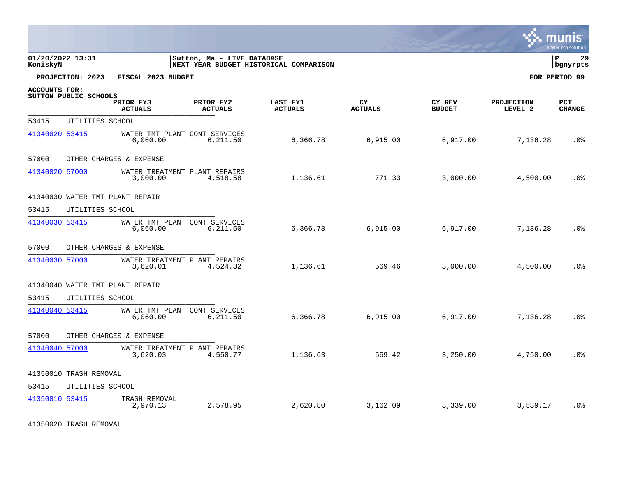|                      |                        |                                           |                            |                                        |                |               |                   | mun<br>a tyler erp solution |
|----------------------|------------------------|-------------------------------------------|----------------------------|----------------------------------------|----------------|---------------|-------------------|-----------------------------|
| KoniskyN             | 01/20/2022 13:31       |                                           | Sutton, Ma - LIVE DATABASE | NEXT YEAR BUDGET HISTORICAL COMPARISON |                |               |                   | 29<br>l P<br>bgnyrpts       |
|                      | PROJECTION: 2023       | FISCAL 2023 BUDGET                        |                            |                                        |                |               |                   | FOR PERIOD 99               |
| <b>ACCOUNTS FOR:</b> | SUTTON PUBLIC SCHOOLS  | PRIOR FY3                                 | PRIOR FY2                  | LAST FY1                               | CY             | CY REV        | <b>PROJECTION</b> | <b>PCT</b>                  |
|                      |                        | <b>ACTUALS</b>                            | <b>ACTUALS</b>             | <b>ACTUALS</b>                         | <b>ACTUALS</b> | <b>BUDGET</b> | LEVEL 2           | <b>CHANGE</b>               |
| 53415                | UTILITIES SCHOOL       |                                           |                            |                                        |                |               |                   |                             |
| 41340020 53415       |                        | WATER TMT PLANT CONT SERVICES<br>6,060.00 | 6,211.50                   | 6,366.78                               | 6,915.00       | 6,917.00      | 7,136.28          | .0 <sup>°</sup>             |
| 57000                |                        | OTHER CHARGES & EXPENSE                   |                            |                                        |                |               |                   |                             |
| 41340020 57000       |                        | WATER TREATMENT PLANT REPAIRS<br>3,000.00 | 4,518.58                   | 1,136.61                               | 771.33         | 3,000.00      | 4,500.00          | .0%                         |
|                      |                        | 41340030 WATER TMT PLANT REPAIR           |                            |                                        |                |               |                   |                             |
| 53415                | UTILITIES SCHOOL       |                                           |                            |                                        |                |               |                   |                             |
| 41340030 53415       |                        | WATER TMT PLANT CONT SERVICES<br>6,060.00 | 6,211.50                   | 6,366.78                               | 6,915.00       | 6,917.00      | 7,136.28          | .0 <sub>8</sub>             |
| 57000                |                        | OTHER CHARGES & EXPENSE                   |                            |                                        |                |               |                   |                             |
| 41340030 57000       |                        | WATER TREATMENT PLANT REPAIRS<br>3,620.01 | 4,524.32                   | 1,136.61                               | 569.46         | 3,000.00      | 4,500.00          | .0%                         |
|                      |                        | 41340040 WATER TMT PLANT REPAIR           |                            |                                        |                |               |                   |                             |
| 53415                | UTILITIES SCHOOL       |                                           |                            |                                        |                |               |                   |                             |
| 41340040 53415       |                        | WATER TMT PLANT CONT SERVICES<br>6,060.00 | 6,211.50                   | 6,366.78                               | 6,915.00       | 6,917.00      | 7,136.28          | .0%                         |
| 57000                |                        | OTHER CHARGES & EXPENSE                   |                            |                                        |                |               |                   |                             |
| 41340040 57000       |                        | WATER TREATMENT PLANT REPAIRS<br>3,620.03 | 4,550.77                   | 1,136.63                               | 569.42         | 3,250.00      | 4,750.00          | .0%                         |
|                      | 41350010 TRASH REMOVAL |                                           |                            |                                        |                |               |                   |                             |
| 53415                | UTILITIES SCHOOL       |                                           |                            |                                        |                |               |                   |                             |
| 41350010 53415       |                        | TRASH REMOVAL<br>2,970.13                 | 2,578.95                   | 2,620.80                               | 3,162.09       | 3,339.00      | 3,539.17          | .0 <sub>8</sub>             |

41350020 TRASH REMOVAL \_\_\_\_\_\_\_\_\_\_\_\_\_\_\_\_\_\_\_\_\_\_\_\_\_\_\_\_\_\_\_\_\_\_\_\_\_\_\_\_\_\_\_\_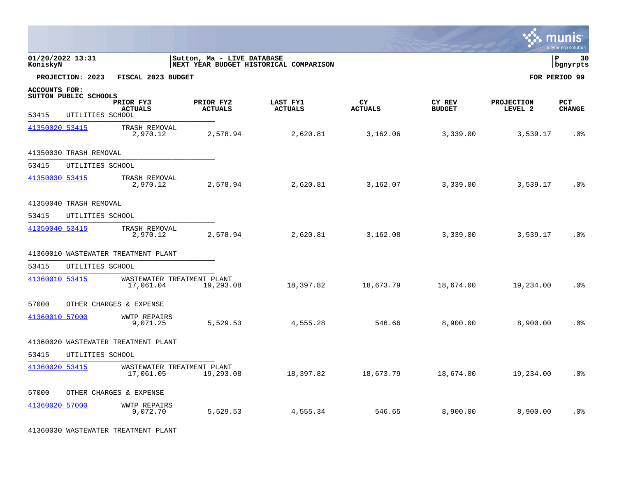|                      |                        |                                         |                             |                                        |                       |                         |                              | munis<br>a tyler erp solution |
|----------------------|------------------------|-----------------------------------------|-----------------------------|----------------------------------------|-----------------------|-------------------------|------------------------------|-------------------------------|
| KoniskyN             | 01/20/2022 13:31       |                                         | Sutton, Ma - LIVE DATABASE  | NEXT YEAR BUDGET HISTORICAL COMPARISON |                       |                         |                              | ΙP<br>30<br>bgnyrpts          |
|                      | PROJECTION: 2023       | FISCAL 2023 BUDGET                      |                             |                                        |                       |                         |                              | FOR PERIOD 99                 |
| <b>ACCOUNTS FOR:</b> | SUTTON PUBLIC SCHOOLS  | PRIOR FY3<br><b>ACTUALS</b>             | PRIOR FY2<br><b>ACTUALS</b> | LAST FY1<br><b>ACTUALS</b>             | CY.<br><b>ACTUALS</b> | CY REV<br><b>BUDGET</b> | <b>PROJECTION</b><br>LEVEL 2 | <b>PCT</b><br><b>CHANGE</b>   |
| 53415                | UTILITIES SCHOOL       |                                         |                             |                                        |                       |                         |                              |                               |
| 41350020 53415       |                        | TRASH REMOVAL<br>2,970.12               | 2,578.94                    | 2,620.81                               | 3,162.06              | 3,339.00                | 3,539.17                     | .0 <sub>8</sub>               |
|                      | 41350030 TRASH REMOVAL |                                         |                             |                                        |                       |                         |                              |                               |
| 53415                | UTILITIES SCHOOL       |                                         |                             |                                        |                       |                         |                              |                               |
| 41350030 53415       |                        | TRASH REMOVAL<br>2,970.12               | 2,578.94                    | 2,620.81                               | 3,162.07              | 3,339.00                | 3,539.17                     | .0 <sub>8</sub>               |
|                      | 41350040 TRASH REMOVAL |                                         |                             |                                        |                       |                         |                              |                               |
| 53415                | UTILITIES SCHOOL       |                                         |                             |                                        |                       |                         |                              |                               |
| 41350040 53415       |                        | TRASH REMOVAL<br>2,970.12               | 2,578.94                    | 2,620.81                               | 3,162.08              | 3,339.00                | 3,539.17                     | .0 <sub>8</sub>               |
|                      |                        | 41360010 WASTEWATER TREATMENT PLANT     |                             |                                        |                       |                         |                              |                               |
| 53415                | UTILITIES SCHOOL       |                                         |                             |                                        |                       |                         |                              |                               |
| 41360010 53415       |                        | WASTEWATER TREATMENT PLANT<br>17,061.04 | 19,293.08                   | 18,397.82                              | 18,673.79             | 18,674.00               | 19,234.00                    | .0 <sub>8</sub>               |
| 57000                |                        | OTHER CHARGES & EXPENSE                 |                             |                                        |                       |                         |                              |                               |
| 41360010 57000       |                        | <b>WWTP REPAIRS</b><br>9,071.25         | 5,529.53                    | 4,555.28                               | 546.66                | 8,900.00                | 8,900.00                     | .0 <sub>8</sub>               |
|                      |                        | 41360020 WASTEWATER TREATMENT PLANT     |                             |                                        |                       |                         |                              |                               |
| 53415                | UTILITIES SCHOOL       |                                         |                             |                                        |                       |                         |                              |                               |
| 41360020 53415       |                        | WASTEWATER TREATMENT PLANT<br>17,061.05 | 19,293.08                   | 18,397.82                              | 18,673.79             | 18,674.00               | 19,234.00                    | .0 <sub>8</sub>               |
| 57000                |                        | OTHER CHARGES & EXPENSE                 |                             |                                        |                       |                         |                              |                               |
| 41360020 57000       |                        | <b>WWTP REPAIRS</b><br>9,072.70         | 5,529.53                    | 4,555.34                               | 546.65                | 8,900.00                | 8,900.00                     | .0%                           |

41360030 WASTEWATER TREATMENT PLANT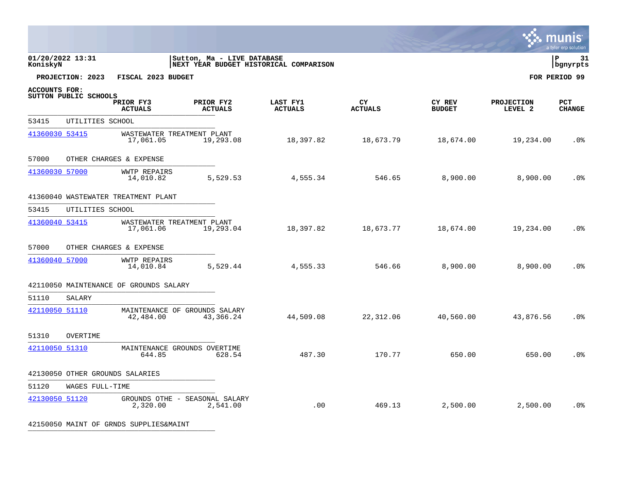|                      |                       |                                         |                                                                      |                            |                       |                         |                              | a tyler erp solution        |
|----------------------|-----------------------|-----------------------------------------|----------------------------------------------------------------------|----------------------------|-----------------------|-------------------------|------------------------------|-----------------------------|
| KoniskyN             | 01/20/2022 13:31      |                                         | Sutton, Ma - LIVE DATABASE<br>NEXT YEAR BUDGET HISTORICAL COMPARISON |                            |                       |                         |                              | l P<br>31<br>bgnyrpts       |
|                      | PROJECTION: 2023      | FISCAL 2023 BUDGET                      |                                                                      |                            |                       |                         |                              | FOR PERIOD 99               |
| <b>ACCOUNTS FOR:</b> | SUTTON PUBLIC SCHOOLS | PRIOR FY3<br><b>ACTUALS</b>             | PRIOR FY2<br><b>ACTUALS</b>                                          | LAST FY1<br><b>ACTUALS</b> | CY.<br><b>ACTUALS</b> | CY REV<br><b>BUDGET</b> | <b>PROJECTION</b><br>LEVEL 2 | <b>PCT</b><br><b>CHANGE</b> |
| 53415                | UTILITIES SCHOOL      |                                         |                                                                      |                            |                       |                         |                              |                             |
| 41360030 53415       |                       | WASTEWATER TREATMENT PLANT<br>17,061.05 | 19,293.08                                                            | 18,397.82                  | 18,673.79             | 18,674.00               | 19,234.00                    | .0%                         |
| 57000                |                       | OTHER CHARGES & EXPENSE                 |                                                                      |                            |                       |                         |                              |                             |
| 41360030 57000       |                       | <b>WWTP REPAIRS</b><br>14,010.82        | 5,529.53                                                             | 4,555.34                   | 546.65                | 8,900.00                | 8,900.00                     | .0 <sub>8</sub>             |
|                      |                       | 41360040 WASTEWATER TREATMENT PLANT     |                                                                      |                            |                       |                         |                              |                             |
| 53415                | UTILITIES SCHOOL      |                                         |                                                                      |                            |                       |                         |                              |                             |
| 41360040 53415       |                       | WASTEWATER TREATMENT PLANT<br>17,061.06 | 19,293.04                                                            | 18,397.82                  | 18,673.77             | 18,674.00               | 19,234.00                    | .0%                         |
| 57000                |                       | OTHER CHARGES & EXPENSE                 |                                                                      |                            |                       |                         |                              |                             |
| 41360040 57000       |                       | <b>WWTP REPAIRS</b><br>14,010.84        | 5,529.44                                                             | 4,555.33                   | 546.66                | 8,900.00                | 8,900.00                     | .0 <sub>8</sub>             |
|                      |                       | 42110050 MAINTENANCE OF GROUNDS SALARY  |                                                                      |                            |                       |                         |                              |                             |
| 51110                | SALARY                |                                         |                                                                      |                            |                       |                         |                              |                             |
| 42110050 51110       |                       | 42,484.00                               | MAINTENANCE OF GROUNDS SALARY<br>43,366.24                           | 44,509.08                  | 22,312.06             | 40,560.00               | 43,876.56                    | .0 <sub>8</sub>             |
| 51310                | <b>OVERTIME</b>       |                                         |                                                                      |                            |                       |                         |                              |                             |
| 42110050 51310       |                       | 644.85                                  | MAINTENANCE GROUNDS OVERTIME<br>628.54                               | 487.30                     | 170.77                | 650.00                  | 650.00                       | .0 <sub>8</sub>             |
|                      |                       | 42130050 OTHER GROUNDS SALARIES         |                                                                      |                            |                       |                         |                              |                             |
| 51120                | WAGES FULL-TIME       |                                         |                                                                      |                            |                       |                         |                              |                             |
| 42130050 51120       |                       | 2,320.00                                | GROUNDS OTHE - SEASONAL SALARY<br>2,541.00                           | .00                        | 469.13                | 2,500.00                | 2,500.00                     | .0 <sub>8</sub>             |

42150050 MAINT OF GRNDS SUPPLIES&MAINT \_\_\_\_\_\_\_\_\_\_\_\_\_\_\_\_\_\_\_\_\_\_\_\_\_\_\_\_\_\_\_\_\_\_\_\_\_\_\_\_\_\_\_\_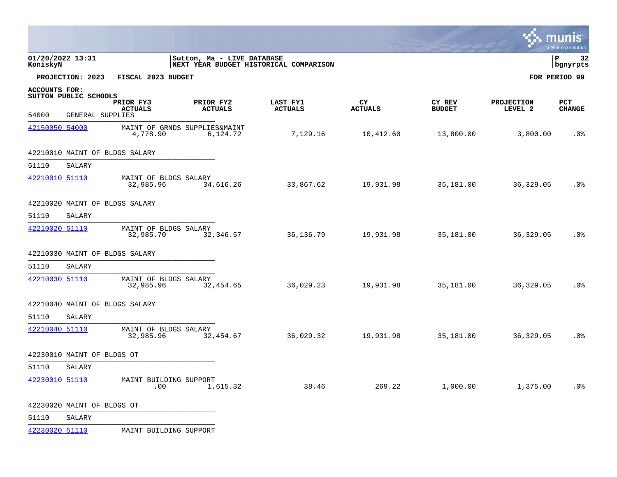|                        |                                           |                                    |                                           |                                        |                      |                         |                              | <u>munis</u><br>a tyler erp solution |
|------------------------|-------------------------------------------|------------------------------------|-------------------------------------------|----------------------------------------|----------------------|-------------------------|------------------------------|--------------------------------------|
| KoniskyN               | 01/20/2022 13:31                          |                                    | Sutton, Ma - LIVE DATABASE                | NEXT YEAR BUDGET HISTORICAL COMPARISON |                      |                         |                              | l P<br>32<br>bgnyrpts                |
|                        | PROJECTION: 2023                          | FISCAL 2023 BUDGET                 |                                           |                                        |                      |                         |                              | FOR PERIOD 99                        |
| ACCOUNTS FOR:<br>54000 | SUTTON PUBLIC SCHOOLS<br>GENERAL SUPPLIES | PRIOR FY3<br><b>ACTUALS</b>        | PRIOR FY2<br><b>ACTUALS</b>               | LAST FY1<br><b>ACTUALS</b>             | CY<br><b>ACTUALS</b> | CY REV<br><b>BUDGET</b> | <b>PROJECTION</b><br>LEVEL 2 | <b>PCT</b><br><b>CHANGE</b>          |
| 42150050 54000         |                                           | 4,778.90                           | MAINT OF GRNDS SUPPLIES&MAINT<br>6,124.72 | 7,129.16                               | 10,412.60            | 13,800.00               | 3,800.00                     | .0 <sub>8</sub>                      |
|                        |                                           | 42210010 MAINT OF BLDGS SALARY     |                                           |                                        |                      |                         |                              |                                      |
| 51110                  | SALARY                                    |                                    |                                           |                                        |                      |                         |                              |                                      |
| 42210010 51110         |                                           | MAINT OF BLDGS SALARY<br>32,985.96 | 34,616.26                                 | 33,867.62                              | 19,931.98            | 35,181.00               | 36,329.05                    | .0%                                  |
|                        |                                           | 42210020 MAINT OF BLDGS SALARY     |                                           |                                        |                      |                         |                              |                                      |
| 51110                  | SALARY                                    |                                    |                                           |                                        |                      |                         |                              |                                      |
| 42210020 51110         |                                           | MAINT OF BLDGS SALARY<br>32,985.70 | 32,346.57                                 | 36,136.79                              | 19,931.98            | 35,181.00               | 36, 329.05                   | .0%                                  |
|                        |                                           | 42210030 MAINT OF BLDGS SALARY     |                                           |                                        |                      |                         |                              |                                      |
| 51110                  | SALARY                                    |                                    |                                           |                                        |                      |                         |                              |                                      |
| 42210030 51110         |                                           | MAINT OF BLDGS SALARY<br>32,985.96 | 32,454.65                                 | 36,029.23                              | 19,931.98            | 35,181.00               | 36,329.05                    | .0 <sub>8</sub>                      |
|                        |                                           | 42210040 MAINT OF BLDGS SALARY     |                                           |                                        |                      |                         |                              |                                      |
| 51110                  | SALARY                                    |                                    |                                           |                                        |                      |                         |                              |                                      |
| 42210040 51110         |                                           | MAINT OF BLDGS SALARY<br>32,985.96 | 32,454.67                                 | 36,029.32                              | 19,931.98            | 35,181.00               | 36,329.05                    | .0 <sub>8</sub>                      |
|                        | 42230010 MAINT OF BLDGS OT                |                                    |                                           |                                        |                      |                         |                              |                                      |
| 51110                  | SALARY                                    |                                    |                                           |                                        |                      |                         |                              |                                      |
| 42230010 51110         |                                           | MAINT BUILDING SUPPORT<br>.00      | 1,615.32                                  | 38.46                                  | 269.22               | 1,000.00                | 1,375.00                     | .0%                                  |
|                        | 42230020 MAINT OF BLDGS OT                |                                    |                                           |                                        |                      |                         |                              |                                      |
| 51110                  | SALARY                                    |                                    |                                           |                                        |                      |                         |                              |                                      |

[42230020 51110](http://munis.sps.local:55000/_layouts/15/DashboardMunisV6.3/PassThru.aspx?-E=vCYO4lht13ote8T7s91OBaT4yoHSsO%2BcXfhr4ZEw0Q7AVsA2JxqJoMFeVAms3EF6Aj9KXNuQi05xutdPN53pD3KEpFmU7v5YtzJmwp5dX98=&) MAINT BUILDING SUPPORT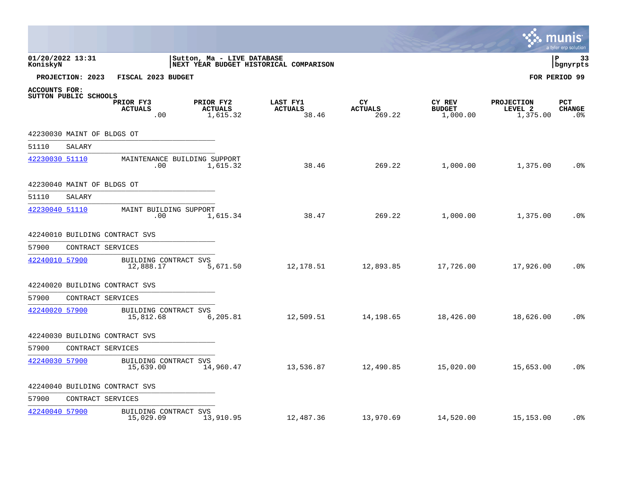|                              |                            |                                     |                                         |                                        |                                |                                     | <b>R. MUNIS</b>                          | a tyler erp solution        |
|------------------------------|----------------------------|-------------------------------------|-----------------------------------------|----------------------------------------|--------------------------------|-------------------------------------|------------------------------------------|-----------------------------|
| 01/20/2022 13:31<br>KoniskyN |                            |                                     | Sutton, Ma - LIVE DATABASE              | NEXT YEAR BUDGET HISTORICAL COMPARISON |                                |                                     |                                          | l P<br>33<br>  bgnyrpts     |
|                              | PROJECTION: 2023           | FISCAL 2023 BUDGET                  |                                         |                                        |                                |                                     |                                          | FOR PERIOD 99               |
| <b>ACCOUNTS FOR:</b>         | SUTTON PUBLIC SCHOOLS      | PRIOR FY3<br><b>ACTUALS</b><br>.00  | PRIOR FY2<br><b>ACTUALS</b><br>1,615.32 | LAST FY1<br><b>ACTUALS</b><br>38.46    | CY<br><b>ACTUALS</b><br>269.22 | CY REV<br><b>BUDGET</b><br>1,000.00 | <b>PROJECTION</b><br>LEVEL 2<br>1,375.00 | PCT<br><b>CHANGE</b><br>.0% |
|                              | 42230030 MAINT OF BLDGS OT |                                     |                                         |                                        |                                |                                     |                                          |                             |
| 51110                        | SALARY                     |                                     |                                         |                                        |                                |                                     |                                          |                             |
| 42230030 51110               |                            | MAINTENANCE BUILDING SUPPORT<br>.00 | 1,615.32                                | 38.46                                  | 269.22                         | 1,000.00                            | 1,375.00                                 | .0 <sub>8</sub>             |
|                              | 42230040 MAINT OF BLDGS OT |                                     |                                         |                                        |                                |                                     |                                          |                             |
| 51110                        | SALARY                     |                                     |                                         |                                        |                                |                                     |                                          |                             |
| 42230040 51110               |                            | MAINT BUILDING SUPPORT<br>$.00 \,$  | 1,615.34                                | 38.47                                  | 269.22                         | 1,000.00                            | 1,375.00                                 | .0 <sub>8</sub>             |
|                              |                            | 42240010 BUILDING CONTRACT SVS      |                                         |                                        |                                |                                     |                                          |                             |
| 57900                        | CONTRACT SERVICES          |                                     |                                         |                                        |                                |                                     |                                          |                             |
| 42240010 57900               |                            | BUILDING CONTRACT SVS<br>12,888.17  | 5,671.50                                | 12,178.51                              | 12,893.85                      | 17,726.00                           | 17,926.00                                | .0%                         |
|                              |                            | 42240020 BUILDING CONTRACT SVS      |                                         |                                        |                                |                                     |                                          |                             |
| 57900                        | CONTRACT SERVICES          |                                     |                                         |                                        |                                |                                     |                                          |                             |
| 42240020 57900               |                            | BUILDING CONTRACT SVS<br>15,812.68  | 6,205.81                                | 12,509.51                              | 14,198.65                      | 18,426.00                           | 18,626.00                                | .0 <sub>8</sub>             |
|                              |                            | 42240030 BUILDING CONTRACT SVS      |                                         |                                        |                                |                                     |                                          |                             |
| 57900                        | CONTRACT SERVICES          |                                     |                                         |                                        |                                |                                     |                                          |                             |
| 42240030 57900               |                            | BUILDING CONTRACT SVS<br>15,639.00  | 14,960.47                               | 13,536.87                              | 12,490.85                      | 15,020.00                           | 15,653.00                                | .0%                         |
|                              |                            | 42240040 BUILDING CONTRACT SVS      |                                         |                                        |                                |                                     |                                          |                             |
| 57900                        | CONTRACT SERVICES          |                                     |                                         |                                        |                                |                                     |                                          |                             |
| 42240040 57900               |                            | BUILDING CONTRACT SVS<br>15,029.09  | 13,910.95                               | 12,487.36                              | 13,970.69                      | 14,520.00                           | 15,153.00                                | $.0\%$                      |

the contract of the contract of the contract of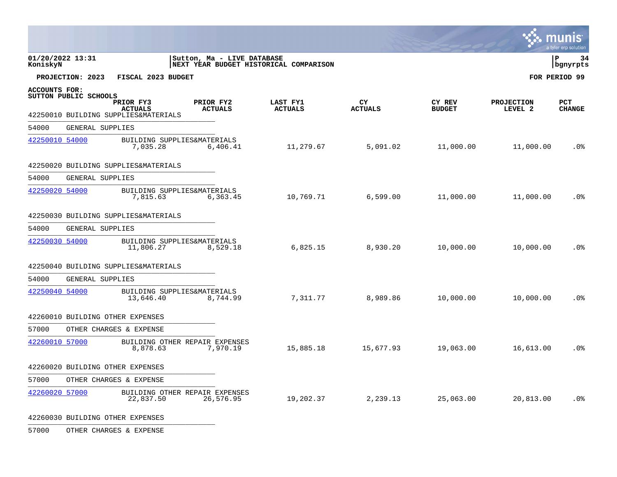|                      |                       |                                                                     |                             |                                        |                      |                         |                              | munis<br>a tyler erp solution |
|----------------------|-----------------------|---------------------------------------------------------------------|-----------------------------|----------------------------------------|----------------------|-------------------------|------------------------------|-------------------------------|
| KoniskyN             | 01/20/2022 13:31      |                                                                     | Sutton, Ma - LIVE DATABASE  | NEXT YEAR BUDGET HISTORICAL COMPARISON |                      |                         |                              | l P<br>34<br>bgnyrpts         |
|                      | PROJECTION: 2023      | FISCAL 2023 BUDGET                                                  |                             |                                        |                      |                         |                              | FOR PERIOD 99                 |
| <b>ACCOUNTS FOR:</b> | SUTTON PUBLIC SCHOOLS | PRIOR FY3<br><b>ACTUALS</b><br>42250010 BUILDING SUPPLIES&MATERIALS | PRIOR FY2<br><b>ACTUALS</b> | LAST FY1<br><b>ACTUALS</b>             | CY<br><b>ACTUALS</b> | CY REV<br><b>BUDGET</b> | <b>PROJECTION</b><br>LEVEL 2 | <b>PCT</b><br><b>CHANGE</b>   |
| 54000                | GENERAL SUPPLIES      |                                                                     |                             |                                        |                      |                         |                              |                               |
| 42250010 54000       |                       | BUILDING SUPPLIES&MATERIALS<br>7,035.28                             | 6,406.41                    | 11,279.67                              | 5,091.02             | 11,000.00               | 11,000.00                    | .0 <sub>8</sub>               |
|                      |                       | 42250020 BUILDING SUPPLIES&MATERIALS                                |                             |                                        |                      |                         |                              |                               |
| 54000                | GENERAL SUPPLIES      |                                                                     |                             |                                        |                      |                         |                              |                               |
| 42250020 54000       |                       | BUILDING SUPPLIES&MATERIALS<br>7,815.63                             | 6,363.45                    | 10,769.71                              | 6,599.00             | 11,000.00               | 11,000.00                    | .0%                           |
|                      |                       | 42250030 BUILDING SUPPLIES&MATERIALS                                |                             |                                        |                      |                         |                              |                               |
| 54000                | GENERAL SUPPLIES      |                                                                     |                             |                                        |                      |                         |                              |                               |
| 42250030 54000       |                       | BUILDING SUPPLIES&MATERIALS<br>11,806.27                            | 8,529.18                    | 6,825.15                               | 8,930.20             | 10,000.00               | 10,000.00                    | .0 <sub>8</sub>               |
|                      |                       | 42250040 BUILDING SUPPLIES&MATERIALS                                |                             |                                        |                      |                         |                              |                               |
| 54000                | GENERAL SUPPLIES      |                                                                     |                             |                                        |                      |                         |                              |                               |
| 42250040 54000       |                       | BUILDING SUPPLIES&MATERIALS<br>13,646.40                            | 8,744.99                    | 7,311.77                               | 8,989.86             | 10,000.00               | 10,000.00                    | .0 <sub>8</sub>               |
|                      |                       | 42260010 BUILDING OTHER EXPENSES                                    |                             |                                        |                      |                         |                              |                               |
| 57000                |                       | OTHER CHARGES & EXPENSE                                             |                             |                                        |                      |                         |                              |                               |
| 42260010 57000       |                       | BUILDING OTHER REPAIR EXPENSES<br>8,878.63                          | 7,970.19                    | 15,885.18                              | 15,677.93            | 19,063.00               | 16,613.00                    | .0 <sub>8</sub>               |
|                      |                       | 42260020 BUILDING OTHER EXPENSES                                    |                             |                                        |                      |                         |                              |                               |
| 57000                |                       | OTHER CHARGES & EXPENSE                                             |                             |                                        |                      |                         |                              |                               |
| 42260020 57000       |                       | BUILDING OTHER REPAIR EXPENSES<br>22,837.50                         | 26,576.95                   | 19,202.37                              | 2,239.13             | 25,063.00               | 20,813.00                    | .0 <sub>8</sub>               |

42260030 BUILDING OTHER EXPENSES \_\_\_\_\_\_\_\_\_\_\_\_\_\_\_\_\_\_\_\_\_\_\_\_\_\_\_\_\_\_\_\_\_\_\_\_\_\_\_\_\_\_\_\_

57000 OTHER CHARGES & EXPENSE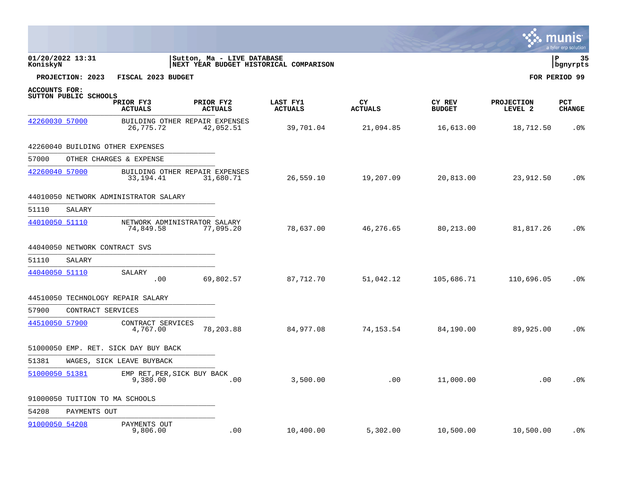|                |                       |                                               |                             |                                        |                      |                         |                       | a tyler erp solution    |
|----------------|-----------------------|-----------------------------------------------|-----------------------------|----------------------------------------|----------------------|-------------------------|-----------------------|-------------------------|
| KoniskyN       | 01/20/2022 13:31      |                                               | Sutton, Ma - LIVE DATABASE  | NEXT YEAR BUDGET HISTORICAL COMPARISON |                      |                         |                       | l P<br>35<br>  bgnyrpts |
|                | PROJECTION: 2023      | FISCAL 2023 BUDGET                            |                             |                                        |                      |                         |                       | FOR PERIOD 99           |
| ACCOUNTS FOR:  | SUTTON PUBLIC SCHOOLS | PRIOR FY3<br><b>ACTUALS</b>                   | PRIOR FY2<br><b>ACTUALS</b> | LAST FY1<br><b>ACTUALS</b>             | CY<br><b>ACTUALS</b> | CY REV<br><b>BUDGET</b> | PROJECTION<br>LEVEL 2 | PCT<br><b>CHANGE</b>    |
| 42260030 57000 |                       | BUILDING OTHER REPAIR EXPENSES<br>26,775.72   | 42,052.51                   | 39,701.04                              | 21,094.85            | 16,613.00               | 18,712.50             | $.0\%$                  |
|                |                       | 42260040 BUILDING OTHER EXPENSES              |                             |                                        |                      |                         |                       |                         |
| 57000          |                       | OTHER CHARGES & EXPENSE                       |                             |                                        |                      |                         |                       |                         |
| 42260040 57000 |                       | BUILDING OTHER REPAIR EXPENSES<br>33, 194. 41 | 31,680.71                   | 26,559.10                              | 19,207.09            | 20,813.00               | 23,912.50             | .0%                     |
|                |                       | 44010050 NETWORK ADMINISTRATOR SALARY         |                             |                                        |                      |                         |                       |                         |
| 51110          | SALARY                |                                               |                             |                                        |                      |                         |                       |                         |
| 44010050 51110 |                       | NETWORK ADMINISTRATOR SALARY<br>74,849.58     | 77,095.20                   | 78,637.00                              | 46,276.65            | 80,213.00               | 81,817.26             | .0 <sub>8</sub>         |
|                |                       | 44040050 NETWORK CONTRACT SVS                 |                             |                                        |                      |                         |                       |                         |
| 51110          | SALARY                |                                               |                             |                                        |                      |                         |                       |                         |
| 44040050 51110 |                       | SALARY<br>.00                                 | 69,802.57                   | 87,712.70                              | 51,042.12            | 105,686.71              | 110,696.05            | .0 <sub>8</sub>         |
|                |                       | 44510050 TECHNOLOGY REPAIR SALARY             |                             |                                        |                      |                         |                       |                         |
| 57900          |                       | CONTRACT SERVICES                             |                             |                                        |                      |                         |                       |                         |
| 44510050 57900 |                       | CONTRACT SERVICES<br>4,767.00                 | 78,203.88                   | 84,977.08                              | 74,153.54            | 84,190.00               | 89,925.00             | .0 <sub>8</sub>         |
|                |                       | 51000050 EMP. RET. SICK DAY BUY BACK          |                             |                                        |                      |                         |                       |                         |
| 51381          |                       | WAGES, SICK LEAVE BUYBACK                     |                             |                                        |                      |                         |                       |                         |
| 51000050 51381 |                       | EMP RET, PER, SICK BUY BACK<br>9,380.00       | .00                         | 3,500.00                               | .00                  | 11,000.00               | .00                   | .0%                     |
|                |                       | 91000050 TUITION TO MA SCHOOLS                |                             |                                        |                      |                         |                       |                         |
| 54208          | PAYMENTS OUT          |                                               |                             |                                        |                      |                         |                       |                         |
| 91000050 54208 |                       | PAYMENTS OUT<br>9,806.00                      | .00                         | 10,400.00                              | 5,302.00             | 10,500.00               | 10,500.00             | .0%                     |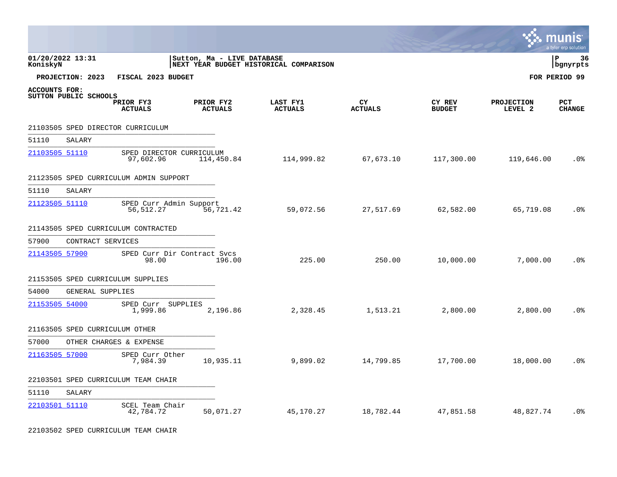|                |                       |                                        |                             |                                        |                      |                         |                              | INIS<br>IMU<br>a tyler erp solution |
|----------------|-----------------------|----------------------------------------|-----------------------------|----------------------------------------|----------------------|-------------------------|------------------------------|-------------------------------------|
| KoniskyN       | 01/20/2022 13:31      |                                        | Sutton, Ma - LIVE DATABASE  | NEXT YEAR BUDGET HISTORICAL COMPARISON |                      |                         |                              | l P<br>36<br>bgnyrpts               |
|                | PROJECTION: 2023      | FISCAL 2023 BUDGET                     |                             |                                        |                      |                         |                              | FOR PERIOD 99                       |
| ACCOUNTS FOR:  | SUTTON PUBLIC SCHOOLS | PRIOR FY3<br><b>ACTUALS</b>            | PRIOR FY2<br><b>ACTUALS</b> | LAST FY1<br><b>ACTUALS</b>             | CY<br><b>ACTUALS</b> | CY REV<br><b>BUDGET</b> | <b>PROJECTION</b><br>LEVEL 2 | <b>PCT</b><br><b>CHANGE</b>         |
|                |                       | 21103505 SPED DIRECTOR CURRICULUM      |                             |                                        |                      |                         |                              |                                     |
| 51110          | SALARY                |                                        |                             |                                        |                      |                         |                              |                                     |
| 21103505 51110 |                       | SPED DIRECTOR CURRICULUM<br>97,602.96  | 114,450.84                  | 114,999.82                             | 67,673.10            | 117,300.00              | 119,646.00                   | .0 <sub>8</sub>                     |
|                |                       | 21123505 SPED CURRICULUM ADMIN SUPPORT |                             |                                        |                      |                         |                              |                                     |
| 51110          | SALARY                |                                        |                             |                                        |                      |                         |                              |                                     |
| 21123505 51110 |                       | SPED Curr Admin Support<br>56,512.27   | 56,721.42                   | 59,072.56                              | 27,517.69            | 62,582.00               | 65,719.08                    | .0 <sub>8</sub>                     |
|                |                       | 21143505 SPED CURRICULUM CONTRACTED    |                             |                                        |                      |                         |                              |                                     |
| 57900          | CONTRACT SERVICES     |                                        |                             |                                        |                      |                         |                              |                                     |
| 21143505 57900 |                       | SPED Curr Dir Contract Svcs<br>98.00   | 196.00                      | 225.00                                 | 250.00               | 10,000.00               | 7,000.00                     | .0 <sup>°</sup>                     |
|                |                       | 21153505 SPED CURRICULUM SUPPLIES      |                             |                                        |                      |                         |                              |                                     |
| 54000          | GENERAL SUPPLIES      |                                        |                             |                                        |                      |                         |                              |                                     |
| 21153505 54000 |                       | SPED Curr SUPPLIES<br>1,999.86         | 2,196.86                    | 2,328.45                               | 1,513.21             | 2,800.00                | 2,800.00                     | .0 <sub>8</sub>                     |
|                |                       | 21163505 SPED CURRICULUM OTHER         |                             |                                        |                      |                         |                              |                                     |
| 57000          |                       | OTHER CHARGES & EXPENSE                |                             |                                        |                      |                         |                              |                                     |
| 21163505 57000 |                       | SPED Curr Other<br>7,984.39            | 10,935.11                   | 9,899.02                               | 14,799.85            | 17,700.00               | 18,000.00                    | .0 <sup>°</sup>                     |
|                |                       | 22103501 SPED CURRICULUM TEAM CHAIR    |                             |                                        |                      |                         |                              |                                     |
| 51110          | SALARY                |                                        |                             |                                        |                      |                         |                              |                                     |
| 22103501 51110 |                       | SCEL Team Chair<br>42,784.72           | 50,071.27                   | 45,170.27                              | 18,782.44            | 47,851.58               | 48,827.74                    | .0%                                 |

22103502 SPED CURRICULUM TEAM CHAIR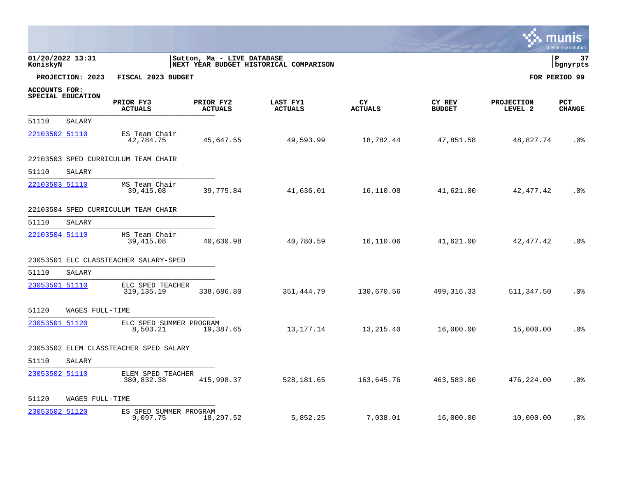|                |                   |                                        |                             |                                        |                       |                         |                              | <b>W. MUNIS</b><br>a tyler erp solution |
|----------------|-------------------|----------------------------------------|-----------------------------|----------------------------------------|-----------------------|-------------------------|------------------------------|-----------------------------------------|
| KoniskyN       | 01/20/2022 13:31  |                                        | Sutton, Ma - LIVE DATABASE  | NEXT YEAR BUDGET HISTORICAL COMPARISON |                       |                         |                              | l P<br>37<br>  bgnyrpts                 |
|                | PROJECTION: 2023  | FISCAL 2023 BUDGET                     |                             |                                        |                       |                         |                              | FOR PERIOD 99                           |
| ACCOUNTS FOR:  | SPECIAL EDUCATION | PRIOR FY3<br><b>ACTUALS</b>            | PRIOR FY2<br><b>ACTUALS</b> | LAST FY1<br><b>ACTUALS</b>             | CY.<br><b>ACTUALS</b> | CY REV<br><b>BUDGET</b> | <b>PROJECTION</b><br>LEVEL 2 | <b>PCT</b><br><b>CHANGE</b>             |
| 51110          | SALARY            |                                        |                             |                                        |                       |                         |                              |                                         |
| 22103502 51110 |                   | ES Team Chair<br>42,784.75             | 45,647.55                   | 49,593.99                              | 18,782.44             | 47,851.58               | 48,827.74                    | .0 <sub>8</sub>                         |
|                |                   | 22103503 SPED CURRICULUM TEAM CHAIR    |                             |                                        |                       |                         |                              |                                         |
| 51110          | SALARY            |                                        |                             |                                        |                       |                         |                              |                                         |
| 22103503 51110 |                   | MS Team Chair<br>39,415.08             | 39,775.84                   | 41,636.01                              | 16,110.08             | 41,621.00               | 42, 477. 42                  | .0%                                     |
|                |                   | 22103504 SPED CURRICULUM TEAM CHAIR    |                             |                                        |                       |                         |                              |                                         |
| 51110          | SALARY            |                                        |                             |                                        |                       |                         |                              |                                         |
| 22103504 51110 |                   | HS Team Chair<br>39,415.08             | 40,630.98                   | 40,780.59                              | 16,110.06             | 41,621.00               | 42,477.42                    | .0 <sub>8</sub>                         |
|                |                   | 23053501 ELC CLASSTEACHER SALARY-SPED  |                             |                                        |                       |                         |                              |                                         |
| 51110          | SALARY            |                                        |                             |                                        |                       |                         |                              |                                         |
| 23053501 51110 |                   | ELC SPED TEACHER<br>319, 135. 19       | 338,686.80                  | 351,444.79                             | 130,670.56            | 499, 316.33             | 511,347.50                   | .0%                                     |
| 51120          | WAGES FULL-TIME   |                                        |                             |                                        |                       |                         |                              |                                         |
| 23053501 51120 |                   | ELC SPED SUMMER PROGRAM<br>8,503.21    | 19,387.65                   | 13,177.14                              | 13,215.40             | 16,000.00               | 15,000.00                    | .0 <sub>8</sub>                         |
|                |                   | 23053502 ELEM CLASSTEACHER SPED SALARY |                             |                                        |                       |                         |                              |                                         |
| 51110          | SALARY            |                                        |                             |                                        |                       |                         |                              |                                         |
| 23053502 51110 |                   | ELEM SPED TEACHER<br>380,832.38        | 415,998.37                  | 528,181.65                             | 163,645.76            | 463,583.00              | 476,224.00                   | .0 <sub>8</sub>                         |
| 51120          | WAGES FULL-TIME   |                                        |                             |                                        |                       |                         |                              |                                         |
| 23053502 51120 |                   | ES SPED SUMMER PROGRAM<br>9,097.75     | 18,297.52                   | 5,852.25                               | 7,038.01              | 16,000.00               | 10,000.00                    | .0%                                     |

 $\sim$   $\sim$   $\sim$   $\sim$   $\sim$   $\sim$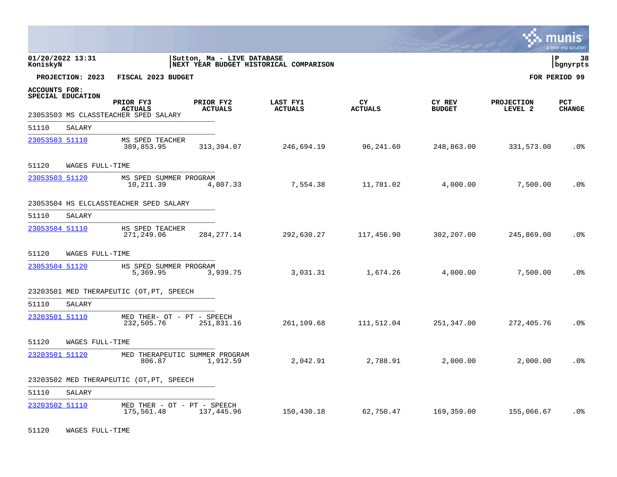|                |                   |                                           |                             |                                        |                      |                         |                              | munis<br>a tyler erp solution |
|----------------|-------------------|-------------------------------------------|-----------------------------|----------------------------------------|----------------------|-------------------------|------------------------------|-------------------------------|
| KoniskyN       | 01/20/2022 13:31  |                                           | Sutton, Ma - LIVE DATABASE  | NEXT YEAR BUDGET HISTORICAL COMPARISON |                      |                         |                              | l P<br>38<br>  bgnyrpts       |
|                | PROJECTION: 2023  | FISCAL 2023 BUDGET                        |                             |                                        |                      |                         |                              | FOR PERIOD 99                 |
| ACCOUNTS FOR:  | SPECIAL EDUCATION | PRIOR FY3<br><b>ACTUALS</b>               | PRIOR FY2<br><b>ACTUALS</b> | LAST FY1<br><b>ACTUALS</b>             | CY<br><b>ACTUALS</b> | CY REV<br><b>BUDGET</b> | <b>PROJECTION</b><br>LEVEL 2 | <b>PCT</b><br><b>CHANGE</b>   |
|                |                   | 23053503 MS CLASSTEACHER SPED SALARY      |                             |                                        |                      |                         |                              |                               |
| 51110          | SALARY            |                                           |                             |                                        |                      |                         |                              |                               |
| 23053503 51110 |                   | MS SPED TEACHER<br>389,853.95             | 313,394.07                  | 246,694.19                             | 96,241.60            | 248,863.00              | 331,573.00                   | .0 <sub>8</sub>               |
| 51120          | WAGES FULL-TIME   |                                           |                             |                                        |                      |                         |                              |                               |
| 23053503 51120 |                   | MS SPED SUMMER PROGRAM<br>10,211.39       | 4,807.33                    | 7,554.38                               | 11,781.02            | 4,000.00                | 7,500.00                     | .0 <sub>8</sub>               |
|                |                   | 23053504 HS ELCLASSTEACHER SPED SALARY    |                             |                                        |                      |                         |                              |                               |
| 51110          | SALARY            |                                           |                             |                                        |                      |                         |                              |                               |
| 23053504 51110 |                   | HS SPED TEACHER<br>271,249.06             | 284, 277.14                 | 292,630.27                             | 117,456.90           | 302,207.00              | 245,869.00                   | .0%                           |
| 51120          | WAGES FULL-TIME   |                                           |                             |                                        |                      |                         |                              |                               |
| 23053504 51120 |                   | HS SPED SUMMER PROGRAM<br>5,369.95        | 3,939.75                    | 3,031.31                               | 1,674.26             | 4,000.00                | 7,500.00                     | .0 <sup>°</sup>               |
|                |                   | 23203501 MED THERAPEUTIC (OT, PT, SPEECH  |                             |                                        |                      |                         |                              |                               |
| 51110          | SALARY            |                                           |                             |                                        |                      |                         |                              |                               |
| 23203501 51110 |                   | MED THER- OT - PT - SPEECH<br>232,505.76  | 251,831.16                  | 261,109.68                             | 111,512.04           | 251,347.00              | 272,405.76                   | .0 <sup>°</sup>               |
| 51120          | WAGES FULL-TIME   |                                           |                             |                                        |                      |                         |                              |                               |
| 23203501 51120 |                   | MED THERAPEUTIC SUMMER PROGRAM<br>806.87  | 1,912.59                    | 2,042.91                               | 2,788.91             | 2,000.00                | 2,000.00                     | .0%                           |
|                |                   | 23203502 MED THERAPEUTIC (OT, PT, SPEECH  |                             |                                        |                      |                         |                              |                               |
| 51110          | SALARY            |                                           |                             |                                        |                      |                         |                              |                               |
| 23203502 51110 |                   | MED THER - OT - PT - SPEECH<br>175,561.48 | 137,445.96                  | 150,430.18                             | 62,750.47            | 169,359.00              | 155,066.67                   | .0 <sub>8</sub>               |

51120 WAGES FULL-TIME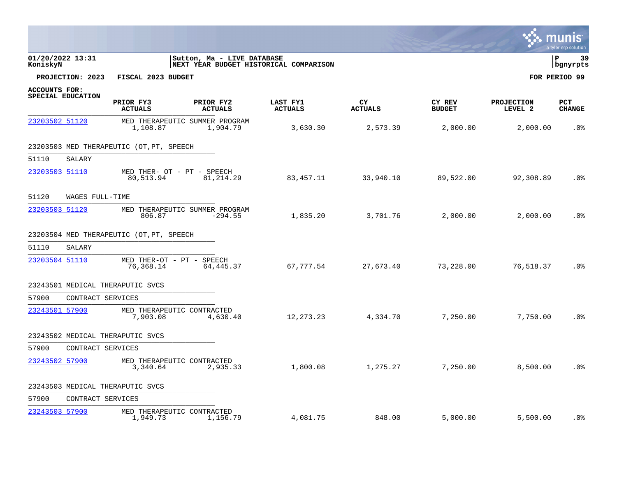|                                           |                                          |                                                                      |                            |                       |                         |                              | mun<br>a tyler erp solution |
|-------------------------------------------|------------------------------------------|----------------------------------------------------------------------|----------------------------|-----------------------|-------------------------|------------------------------|-----------------------------|
| 01/20/2022 13:31<br>KoniskyN              |                                          | Sutton, Ma - LIVE DATABASE<br>NEXT YEAR BUDGET HISTORICAL COMPARISON |                            |                       |                         |                              | l P<br>-39<br>bgnyrpts      |
| PROJECTION: 2023                          | FISCAL 2023 BUDGET                       |                                                                      |                            |                       |                         |                              | FOR PERIOD 99               |
| <b>ACCOUNTS FOR:</b><br>SPECIAL EDUCATION | PRIOR FY3<br><b>ACTUALS</b>              | PRIOR FY2<br><b>ACTUALS</b>                                          | LAST FY1<br><b>ACTUALS</b> | CY.<br><b>ACTUALS</b> | CY REV<br><b>BUDGET</b> | <b>PROJECTION</b><br>LEVEL 2 | <b>PCT</b><br><b>CHANGE</b> |
| 23203502 51120                            | 1,108.87                                 | MED THERAPEUTIC SUMMER PROGRAM<br>1,904.79                           | 3,630.30                   | 2,573.39              | 2,000.00                | 2,000.00                     | .0 <sub>8</sub>             |
|                                           | 23203503 MED THERAPEUTIC (OT, PT, SPEECH |                                                                      |                            |                       |                         |                              |                             |
| 51110<br>SALARY                           |                                          |                                                                      |                            |                       |                         |                              |                             |
| 23203503 51110                            | MED THER- OT - PT - SPEECH<br>80,513.94  | 81,214.29                                                            | 83,457.11                  | 33,940.10             | 89,522.00               | 92,308.89                    | .0%                         |
| 51120<br>WAGES FULL-TIME                  |                                          |                                                                      |                            |                       |                         |                              |                             |
| 23203503 51120                            | 806.87                                   | MED THERAPEUTIC SUMMER PROGRAM<br>$-294.55$                          | 1,835.20                   | 3,701.76              | 2,000.00                | 2,000.00                     | .0 <sub>8</sub>             |
|                                           | 23203504 MED THERAPEUTIC (OT, PT, SPEECH |                                                                      |                            |                       |                         |                              |                             |
| 51110<br>SALARY                           |                                          |                                                                      |                            |                       |                         |                              |                             |
| 23203504 51110                            | MED THER-OT - PT - SPEECH<br>76,368.14   | 64,445.37                                                            | 67,777.54                  | 27,673.40             | 73,228.00               | 76,518.37                    | .0 <sub>8</sub>             |
| 23243501 MEDICAL THERAPUTIC SVCS          |                                          |                                                                      |                            |                       |                         |                              |                             |
| 57900                                     | CONTRACT SERVICES                        |                                                                      |                            |                       |                         |                              |                             |
| 23243501 57900                            | MED THERAPEUTIC CONTRACTED<br>7,903.08   | 4,630.40                                                             | 12,273.23                  | 4,334.70              | 7,250.00                | 7,750.00                     | .0 <sub>8</sub>             |
| 23243502 MEDICAL THERAPUTIC SVCS          |                                          |                                                                      |                            |                       |                         |                              |                             |
| 57900                                     | CONTRACT SERVICES                        |                                                                      |                            |                       |                         |                              |                             |
| 23243502 57900                            | MED THERAPEUTIC CONTRACTED<br>3,340.64   | 2,935.33                                                             | 1,800.08                   | 1,275.27              | 7,250.00                | 8,500.00                     | .0 <sub>8</sub>             |
| 23243503 MEDICAL THERAPUTIC SVCS          |                                          |                                                                      |                            |                       |                         |                              |                             |
| 57900                                     | CONTRACT SERVICES                        |                                                                      |                            |                       |                         |                              |                             |
| 23243503 57900                            | MED THERAPEUTIC CONTRACTED<br>1,949.73   | 1,156.79                                                             | 4,081.75                   | 848.00                | 5,000.00                | 5,500.00                     | .0%                         |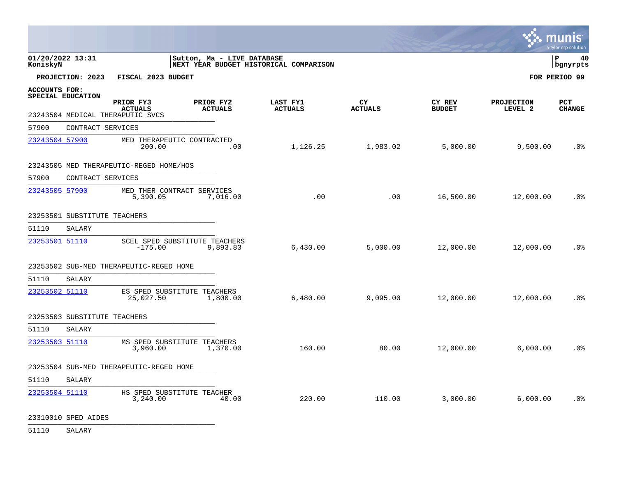|                                           |                                                                 |                             |                                        |                      |                         | ∵. munis                     | a tyler erp solution        |
|-------------------------------------------|-----------------------------------------------------------------|-----------------------------|----------------------------------------|----------------------|-------------------------|------------------------------|-----------------------------|
| 01/20/2022 13:31<br>KoniskyN              |                                                                 | Sutton, Ma - LIVE DATABASE  | NEXT YEAR BUDGET HISTORICAL COMPARISON |                      |                         |                              | ∣P<br>40<br>  bgnyrpts      |
| PROJECTION: 2023                          | FISCAL 2023 BUDGET                                              |                             |                                        |                      |                         |                              | FOR PERIOD 99               |
| <b>ACCOUNTS FOR:</b><br>SPECIAL EDUCATION | PRIOR FY3<br><b>ACTUALS</b><br>23243504 MEDICAL THERAPUTIC SVCS | PRIOR FY2<br><b>ACTUALS</b> | LAST FY1<br><b>ACTUALS</b>             | CY<br><b>ACTUALS</b> | CY REV<br><b>BUDGET</b> | <b>PROJECTION</b><br>LEVEL 2 | <b>PCT</b><br><b>CHANGE</b> |
| 57900                                     | CONTRACT SERVICES                                               |                             |                                        |                      |                         |                              |                             |
| 23243504 57900                            | MED THERAPEUTIC CONTRACTED<br>200.00                            | .00                         | 1,126.25                               | 1,983.02             | 5,000.00                | 9,500.00                     | .0%                         |
|                                           | 23243505 MED THERAPEUTIC-REGED HOME/HOS                         |                             |                                        |                      |                         |                              |                             |
| 57900                                     | CONTRACT SERVICES                                               |                             |                                        |                      |                         |                              |                             |
| 23243505 57900                            | MED THER CONTRACT SERVICES<br>5,390.05                          | 7,016.00                    | .00                                    | .00                  | 16,500.00               | 12,000.00                    | .0%                         |
|                                           | 23253501 SUBSTITUTE TEACHERS                                    |                             |                                        |                      |                         |                              |                             |
| 51110<br>SALARY                           |                                                                 |                             |                                        |                      |                         |                              |                             |
| 23253501 51110                            | SCEL SPED SUBSTITUTE TEACHERS<br>$-175.00$                      | 9,893.83                    | 6,430.00                               | 5,000.00             | 12,000.00               | 12,000.00                    | .0%                         |
|                                           | 23253502 SUB-MED THERAPEUTIC-REGED HOME                         |                             |                                        |                      |                         |                              |                             |
| 51110<br>SALARY                           |                                                                 |                             |                                        |                      |                         |                              |                             |
| 23253502 51110                            | ES SPED SUBSTITUTE TEACHERS<br>25,027.50                        | 1,800.00                    | 6,480.00                               | 9,095.00             | 12,000.00               | 12,000.00                    | .0 <sub>8</sub>             |
|                                           | 23253503 SUBSTITUTE TEACHERS                                    |                             |                                        |                      |                         |                              |                             |
| 51110<br>SALARY                           |                                                                 |                             |                                        |                      |                         |                              |                             |
| 23253503 51110                            | MS SPED SUBSTITUTE TEACHERS<br>3,960.00                         | 1,370.00                    | 160.00                                 | 80.00                | 12,000.00               | 6,000.00                     | .0%                         |
|                                           | 23253504 SUB-MED THERAPEUTIC-REGED HOME                         |                             |                                        |                      |                         |                              |                             |
| 51110<br>SALARY                           |                                                                 |                             |                                        |                      |                         |                              |                             |
| 23253504 51110                            | HS SPED SUBSTITUTE TEACHER<br>3,240.00                          | 40.00                       | 220.00                                 | 110.00               | 3,000.00                | 6,000.00                     | .0%                         |

23310010 SPED AIDES \_\_\_\_\_\_\_\_\_\_\_\_\_\_\_\_\_\_\_\_\_\_\_\_\_\_\_\_\_\_\_\_\_\_\_\_\_\_\_\_\_\_\_\_

51110 SALARY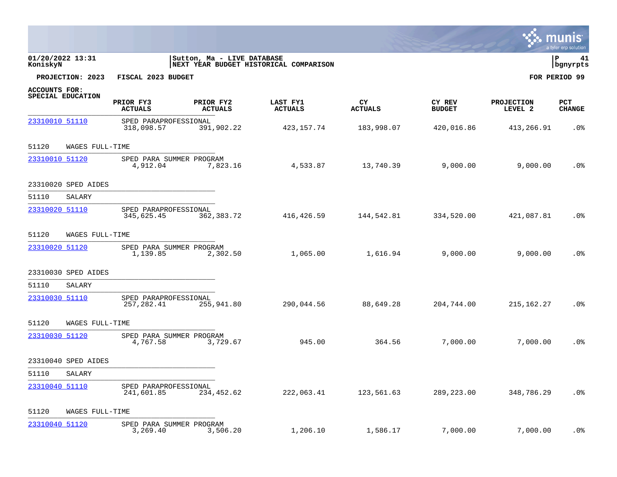|                |                     |                                      |                             |                                        |                      |                         |                              | munis<br>a tyler erp solution |
|----------------|---------------------|--------------------------------------|-----------------------------|----------------------------------------|----------------------|-------------------------|------------------------------|-------------------------------|
| KoniskyN       | 01/20/2022 13:31    |                                      | Sutton, Ma - LIVE DATABASE  | NEXT YEAR BUDGET HISTORICAL COMPARISON |                      |                         |                              | P<br>41<br>  bgnyrpts         |
|                | PROJECTION: 2023    | FISCAL 2023 BUDGET                   |                             |                                        |                      |                         |                              | FOR PERIOD 99                 |
| ACCOUNTS FOR:  | SPECIAL EDUCATION   | PRIOR FY3<br><b>ACTUALS</b>          | PRIOR FY2<br><b>ACTUALS</b> | LAST FY1<br><b>ACTUALS</b>             | CY<br><b>ACTUALS</b> | CY REV<br><b>BUDGET</b> | <b>PROJECTION</b><br>LEVEL 2 | PCT<br><b>CHANGE</b>          |
| 23310010 51110 |                     | SPED PARAPROFESSIONAL<br>318,098.57  | 391,902.22                  | 423,157.74                             | 183,998.07           | 420,016.86              | 413,266.91                   | .0 <sub>8</sub>               |
| 51120          | WAGES FULL-TIME     |                                      |                             |                                        |                      |                         |                              |                               |
| 23310010 51120 |                     | SPED PARA SUMMER PROGRAM<br>4,912.04 | 7,823.16                    | 4,533.87                               | 13,740.39            | 9,000.00                | 9,000.00                     | .0 <sub>8</sub>               |
|                | 23310020 SPED AIDES |                                      |                             |                                        |                      |                         |                              |                               |
| 51110          | SALARY              |                                      |                             |                                        |                      |                         |                              |                               |
| 23310020 51110 |                     | SPED PARAPROFESSIONAL<br>345,625.45  | 362,383.72                  | 416,426.59                             | 144,542.81           | 334,520.00              | 421,087.81                   | .0 <sub>8</sub>               |
| 51120          | WAGES FULL-TIME     |                                      |                             |                                        |                      |                         |                              |                               |
| 23310020 51120 |                     | SPED PARA SUMMER PROGRAM<br>1,139.85 | 2,302.50                    | 1,065.00                               | 1,616.94             | 9,000.00                | 9,000.00                     | . 0%                          |
|                | 23310030 SPED AIDES |                                      |                             |                                        |                      |                         |                              |                               |
| 51110          | SALARY              |                                      |                             |                                        |                      |                         |                              |                               |
| 23310030 51110 |                     | SPED PARAPROFESSIONAL<br>257,282.41  | 255,941.80                  | 290,044.56                             | 88,649.28            | 204,744.00              | 215,162.27                   | .0%                           |
| 51120          | WAGES FULL-TIME     |                                      |                             |                                        |                      |                         |                              |                               |
| 23310030 51120 |                     | SPED PARA SUMMER PROGRAM<br>4,767.58 | 3,729.67                    | 945.00                                 | 364.56               | 7,000.00                | 7,000.00                     | .0 <sub>8</sub>               |
|                | 23310040 SPED AIDES |                                      |                             |                                        |                      |                         |                              |                               |
| 51110          | SALARY              |                                      |                             |                                        |                      |                         |                              |                               |
| 23310040 51110 |                     | SPED PARAPROFESSIONAL<br>241,601.85  | 234,452.62                  | 222,063.41                             | 123,561.63           | 289,223.00              | 348,786.29                   | .0%                           |
| 51120          | WAGES FULL-TIME     |                                      |                             |                                        |                      |                         |                              |                               |
| 23310040 51120 |                     | SPED PARA SUMMER PROGRAM<br>3,269.40 | 3,506.20                    | 1,206.10                               | 1,586.17             | 7,000.00                | 7,000.00                     | $.0\%$                        |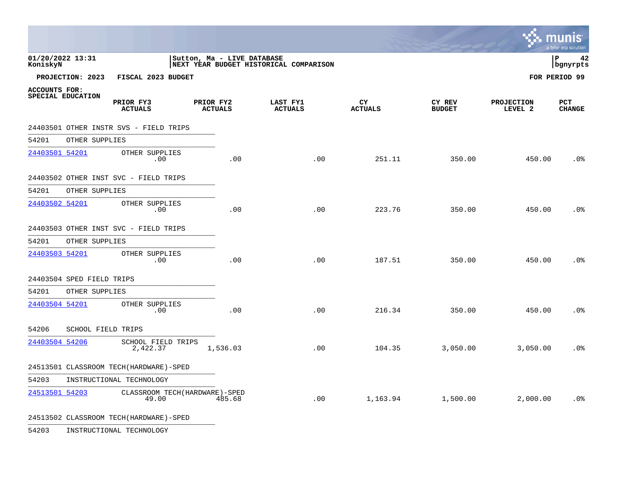|                                           |                                           |                             |                                        |                      |                         | $\sim$ munis                 | a tyler erp solution        |
|-------------------------------------------|-------------------------------------------|-----------------------------|----------------------------------------|----------------------|-------------------------|------------------------------|-----------------------------|
| 01/20/2022 13:31<br>KoniskyN              |                                           | Sutton, Ma - LIVE DATABASE  | NEXT YEAR BUDGET HISTORICAL COMPARISON |                      |                         |                              | 42<br>l P<br>bgnyrpts       |
| PROJECTION: 2023                          | FISCAL 2023 BUDGET                        |                             |                                        |                      |                         |                              | FOR PERIOD 99               |
| <b>ACCOUNTS FOR:</b><br>SPECIAL EDUCATION | PRIOR FY3<br><b>ACTUALS</b>               | PRIOR FY2<br><b>ACTUALS</b> | LAST FY1<br><b>ACTUALS</b>             | CY<br><b>ACTUALS</b> | CY REV<br><b>BUDGET</b> | <b>PROJECTION</b><br>LEVEL 2 | <b>PCT</b><br><b>CHANGE</b> |
|                                           | 24403501 OTHER INSTR SVS - FIELD TRIPS    |                             |                                        |                      |                         |                              |                             |
| 54201                                     | OTHER SUPPLIES                            |                             |                                        |                      |                         |                              |                             |
| 24403501 54201                            | OTHER SUPPLIES<br>.00                     | .00                         | .00                                    | 251.11               | 350.00                  | 450.00                       | .0%                         |
|                                           | 24403502 OTHER INST SVC - FIELD TRIPS     |                             |                                        |                      |                         |                              |                             |
| 54201                                     | OTHER SUPPLIES                            |                             |                                        |                      |                         |                              |                             |
| 24403502 54201                            | OTHER SUPPLIES<br>.00                     | .00                         | .00                                    | 223.76               | 350.00                  | 450.00                       | .0 <sub>8</sub>             |
|                                           | 24403503 OTHER INST SVC - FIELD TRIPS     |                             |                                        |                      |                         |                              |                             |
| 54201                                     | OTHER SUPPLIES                            |                             |                                        |                      |                         |                              |                             |
| 24403503 54201                            | OTHER SUPPLIES<br>.00                     | .00                         | .00                                    | 187.51               | 350.00                  | 450.00                       | .0 <sub>8</sub>             |
| 24403504 SPED FIELD TRIPS                 |                                           |                             |                                        |                      |                         |                              |                             |
| 54201                                     | OTHER SUPPLIES                            |                             |                                        |                      |                         |                              |                             |
| 24403504 54201                            | OTHER SUPPLIES<br>.00                     | .00                         | .00                                    | 216.34               | 350.00                  | 450.00                       | .0 <sub>8</sub>             |
| 54206                                     | SCHOOL FIELD TRIPS                        |                             |                                        |                      |                         |                              |                             |
| 24403504 54206                            | SCHOOL FIELD TRIPS<br>2,422.37            | 1,536.03                    | .00                                    | 104.35               | 3,050.00                | 3,050.00                     | .0 <sub>8</sub>             |
|                                           | 24513501 CLASSROOM TECH (HARDWARE)-SPED   |                             |                                        |                      |                         |                              |                             |
| 54203                                     | INSTRUCTIONAL TECHNOLOGY                  |                             |                                        |                      |                         |                              |                             |
| 24513501 54203                            | CLASSROOM TECH (HARDWARE) - SPED<br>49.00 | 485.68                      | .00                                    | 1,163.94             | 1,500.00                | 2,000.00                     | .0 <sub>8</sub>             |
|                                           | 24513502 CLASSROOM TECH (HARDWARE)-SPED   |                             |                                        |                      |                         |                              |                             |

54203 INSTRUCTIONAL TECHNOLOGY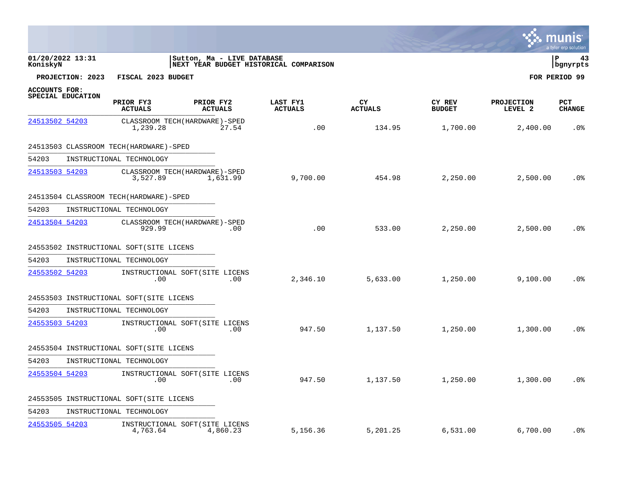|                |                   |                                          |                                                                      |                            |                      |                         |                              | a tyler erp solution |
|----------------|-------------------|------------------------------------------|----------------------------------------------------------------------|----------------------------|----------------------|-------------------------|------------------------------|----------------------|
| KoniskyN       | 01/20/2022 13:31  |                                          | Sutton, Ma - LIVE DATABASE<br>NEXT YEAR BUDGET HISTORICAL COMPARISON |                            |                      |                         |                              | P<br>43<br>bgnyrpts  |
|                | PROJECTION: 2023  | FISCAL 2023 BUDGET                       |                                                                      |                            |                      |                         |                              | FOR PERIOD 99        |
| ACCOUNTS FOR:  | SPECIAL EDUCATION | PRIOR FY3<br><b>ACTUALS</b>              | PRIOR FY2<br><b>ACTUALS</b>                                          | LAST FY1<br><b>ACTUALS</b> | CY<br><b>ACTUALS</b> | CY REV<br><b>BUDGET</b> | <b>PROJECTION</b><br>LEVEL 2 | PCT<br><b>CHANGE</b> |
| 24513502 54203 |                   | 1,239.28                                 | CLASSROOM TECH (HARDWARE) - SPED<br>27.54                            | .00                        | 134.95               | 1,700.00                | 2,400.00                     | .0 <sup>8</sup>      |
|                |                   | 24513503 CLASSROOM TECH (HARDWARE)-SPED  |                                                                      |                            |                      |                         |                              |                      |
| 54203          |                   | INSTRUCTIONAL TECHNOLOGY                 |                                                                      |                            |                      |                         |                              |                      |
| 24513503 54203 |                   | 3,527.89                                 | CLASSROOM TECH (HARDWARE) - SPED<br>1,631.99                         | 9,700.00                   | 454.98               | 2,250.00                | 2,500.00                     | .0 <sub>8</sub>      |
|                |                   | 24513504 CLASSROOM TECH (HARDWARE)-SPED  |                                                                      |                            |                      |                         |                              |                      |
| 54203          |                   | INSTRUCTIONAL TECHNOLOGY                 |                                                                      |                            |                      |                         |                              |                      |
| 24513504 54203 |                   | 929.99                                   | CLASSROOM TECH (HARDWARE) - SPED<br>.00                              | .00                        | 533.00               | 2,250.00                | 2,500.00                     | .0 <sup>8</sup>      |
|                |                   | 24553502 INSTRUCTIONAL SOFT(SITE LICENS  |                                                                      |                            |                      |                         |                              |                      |
| 54203          |                   | INSTRUCTIONAL TECHNOLOGY                 |                                                                      |                            |                      |                         |                              |                      |
| 24553502 54203 |                   | .00                                      | INSTRUCTIONAL SOFT(SITE LICENS<br>.00                                | 2,346.10                   | 5,633.00             | 1,250.00                | 9,100.00                     | .0%                  |
|                |                   | 24553503 INSTRUCTIONAL SOFT (SITE LICENS |                                                                      |                            |                      |                         |                              |                      |
| 54203          |                   | INSTRUCTIONAL TECHNOLOGY                 |                                                                      |                            |                      |                         |                              |                      |
| 24553503 54203 |                   | .00                                      | INSTRUCTIONAL SOFT (SITE LICENS<br>.00                               | 947.50                     | 1,137.50             | 1,250.00                | 1,300.00                     | .0 <sub>8</sub>      |
|                |                   | 24553504 INSTRUCTIONAL SOFT (SITE LICENS |                                                                      |                            |                      |                         |                              |                      |
| 54203          |                   | INSTRUCTIONAL TECHNOLOGY                 |                                                                      |                            |                      |                         |                              |                      |
| 24553504 54203 |                   | .00                                      | INSTRUCTIONAL SOFT(SITE LICENS<br>.00                                | 947.50                     | 1,137.50             | 1,250.00                | 1,300.00                     | .0%                  |
|                |                   | 24553505 INSTRUCTIONAL SOFT (SITE LICENS |                                                                      |                            |                      |                         |                              |                      |
| 54203          |                   | INSTRUCTIONAL TECHNOLOGY                 |                                                                      |                            |                      |                         |                              |                      |
| 24553505 54203 |                   | 4,763.64                                 | INSTRUCTIONAL SOFT(SITE LICENS<br>4,860.23                           | 5,156.36                   | 5,201.25             | 6,531.00                | 6,700.00                     | $.0\%$               |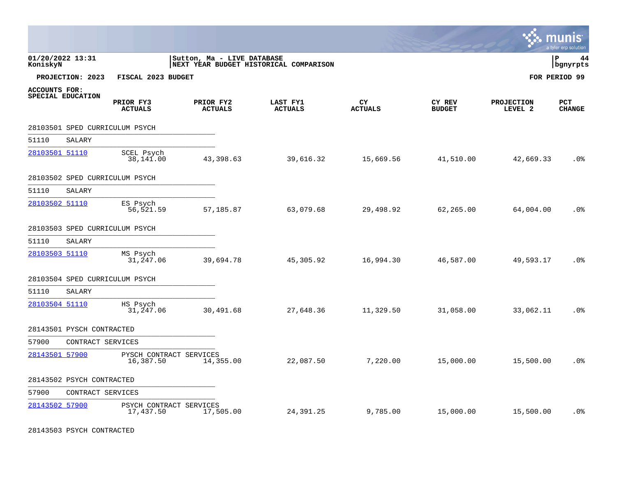|                      |                           |                                      |                             |                                        |                      |                         |                              | munis<br>a tyler erp solution |
|----------------------|---------------------------|--------------------------------------|-----------------------------|----------------------------------------|----------------------|-------------------------|------------------------------|-------------------------------|
| KoniskyN             | 01/20/2022 13:31          |                                      | Sutton, Ma - LIVE DATABASE  | NEXT YEAR BUDGET HISTORICAL COMPARISON |                      |                         |                              | P<br>44<br>bgnyrpts           |
|                      | PROJECTION: 2023          | FISCAL 2023 BUDGET                   |                             |                                        |                      |                         |                              | FOR PERIOD 99                 |
| <b>ACCOUNTS FOR:</b> | SPECIAL EDUCATION         | PRIOR FY3<br><b>ACTUALS</b>          | PRIOR FY2<br><b>ACTUALS</b> | LAST FY1<br><b>ACTUALS</b>             | CY<br><b>ACTUALS</b> | CY REV<br><b>BUDGET</b> | <b>PROJECTION</b><br>LEVEL 2 | <b>PCT</b><br><b>CHANGE</b>   |
|                      |                           | 28103501 SPED CURRICULUM PSYCH       |                             |                                        |                      |                         |                              |                               |
| 51110                | SALARY                    |                                      |                             |                                        |                      |                         |                              |                               |
| 28103501 51110       |                           | SCEL Psych<br>38,141.00              | 43,398.63                   | 39,616.32                              | 15,669.56            | 41,510.00               | 42,669.33                    | .0 <sub>8</sub>               |
|                      |                           | 28103502 SPED CURRICULUM PSYCH       |                             |                                        |                      |                         |                              |                               |
| 51110                | SALARY                    |                                      |                             |                                        |                      |                         |                              |                               |
| 28103502 51110       |                           | ES Psych<br>56,521.59                | 57,185.87                   | 63,079.68                              | 29,498.92            | 62,265.00               | 64,004.00                    | .0 <sub>8</sub>               |
|                      |                           | 28103503 SPED CURRICULUM PSYCH       |                             |                                        |                      |                         |                              |                               |
| 51110                | SALARY                    |                                      |                             |                                        |                      |                         |                              |                               |
| 28103503 51110       |                           | MS Psych<br>31,247.06                | 39,694.78                   | 45,305.92                              | 16,994.30            | 46,587.00               | 49,593.17                    | .0 <sub>8</sub>               |
|                      |                           | 28103504 SPED CURRICULUM PSYCH       |                             |                                        |                      |                         |                              |                               |
| 51110                | SALARY                    |                                      |                             |                                        |                      |                         |                              |                               |
| 28103504 51110       |                           | HS Psych<br>31,247.06                | 30,491.68                   | 27,648.36                              | 11,329.50            | 31,058.00               | 33,062.11                    | .0 <sub>8</sub>               |
|                      | 28143501 PYSCH CONTRACTED |                                      |                             |                                        |                      |                         |                              |                               |
| 57900                | CONTRACT SERVICES         |                                      |                             |                                        |                      |                         |                              |                               |
| 28143501 57900       |                           | PYSCH CONTRACT SERVICES<br>16,387.50 | 14,355.00                   | 22,087.50                              | 7,220.00             | 15,000.00               | 15,500.00                    | .0 <sub>8</sub>               |
|                      | 28143502 PSYCH CONTRACTED |                                      |                             |                                        |                      |                         |                              |                               |
| 57900                | CONTRACT SERVICES         |                                      |                             |                                        |                      |                         |                              |                               |
| 28143502 57900       |                           | PSYCH CONTRACT SERVICES<br>17,437.50 | 17,505.00                   | 24,391.25                              | 9,785.00             | 15,000.00               | 15,500.00                    | .0 <sub>8</sub>               |

28143503 PSYCH CONTRACTED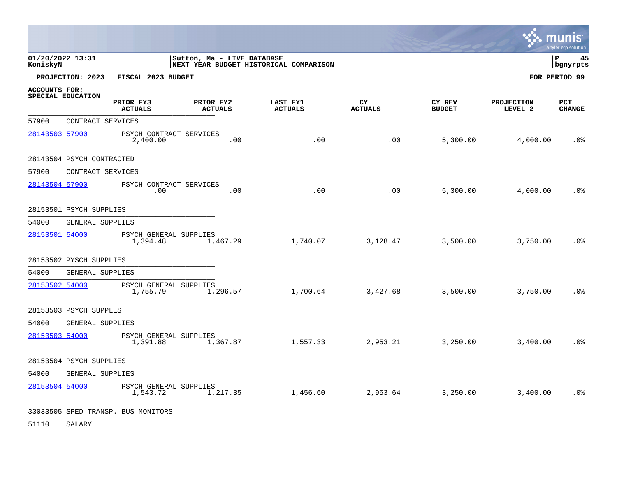|                              |                           |                                     |                             |          |                                        |                      |                         |                              | a tyler erp solution    |
|------------------------------|---------------------------|-------------------------------------|-----------------------------|----------|----------------------------------------|----------------------|-------------------------|------------------------------|-------------------------|
| 01/20/2022 13:31<br>KoniskyN |                           |                                     | Sutton, Ma - LIVE DATABASE  |          | NEXT YEAR BUDGET HISTORICAL COMPARISON |                      |                         |                              | l P<br>45<br>  bgnyrpts |
|                              | PROJECTION: 2023          | FISCAL 2023 BUDGET                  |                             |          |                                        |                      |                         |                              | FOR PERIOD 99           |
| <b>ACCOUNTS FOR:</b>         | SPECIAL EDUCATION         | PRIOR FY3<br><b>ACTUALS</b>         | PRIOR FY2<br><b>ACTUALS</b> |          | LAST FY1<br><b>ACTUALS</b>             | CY<br><b>ACTUALS</b> | CY REV<br><b>BUDGET</b> | <b>PROJECTION</b><br>LEVEL 2 | PCT<br><b>CHANGE</b>    |
| 57900                        | CONTRACT SERVICES         |                                     |                             |          |                                        |                      |                         |                              |                         |
| 28143503 57900               |                           | PSYCH CONTRACT SERVICES<br>2,400.00 |                             | .00      | .00                                    | .00                  | 5,300.00                | 4,000.00                     | .0 <sub>8</sub>         |
|                              | 28143504 PSYCH CONTRACTED |                                     |                             |          |                                        |                      |                         |                              |                         |
| 57900                        | CONTRACT SERVICES         |                                     |                             |          |                                        |                      |                         |                              |                         |
| 28143504 57900               |                           | PSYCH CONTRACT SERVICES<br>.00      |                             | .00      | .00                                    | .00                  | 5,300.00                | 4,000.00                     | $.0\%$                  |
|                              | 28153501 PSYCH SUPPLIES   |                                     |                             |          |                                        |                      |                         |                              |                         |
| 54000                        | GENERAL SUPPLIES          |                                     |                             |          |                                        |                      |                         |                              |                         |
| 28153501 54000               |                           | PSYCH GENERAL SUPPLIES<br>1,394.48  |                             | 1,467.29 | 1,740.07                               | 3,128.47             | 3,500.00                | 3,750.00                     | .0 <sub>8</sub>         |
|                              | 28153502 PYSCH SUPPLIES   |                                     |                             |          |                                        |                      |                         |                              |                         |
| 54000                        | GENERAL SUPPLIES          |                                     |                             |          |                                        |                      |                         |                              |                         |
| 28153502 54000               |                           | PSYCH GENERAL SUPPLIES<br>1,755.79  |                             | 1,296.57 | 1,700.64                               | 3,427.68             | 3,500.00                | 3,750.00                     | .0%                     |
|                              | 28153503 PSYCH SUPPLES    |                                     |                             |          |                                        |                      |                         |                              |                         |
| 54000                        | GENERAL SUPPLIES          |                                     |                             |          |                                        |                      |                         |                              |                         |
| 28153503 54000               |                           | PSYCH GENERAL SUPPLIES<br>1,391.88  |                             | 1,367.87 | 1,557.33                               | 2,953.21             | 3,250.00                | 3,400.00                     | .0 <sub>8</sub>         |
|                              | 28153504 PSYCH SUPPLIES   |                                     |                             |          |                                        |                      |                         |                              |                         |
| 54000                        | GENERAL SUPPLIES          |                                     |                             |          |                                        |                      |                         |                              |                         |
| 28153504 54000               |                           | PSYCH GENERAL SUPPLIES<br>1,543.72  |                             | 1,217.35 | 1,456.60                               | 2,953.64             | 3,250.00                | 3,400.00                     | .0 <sub>8</sub>         |
|                              |                           | 33033505 SPED TRANSP. BUS MONITORS  |                             |          |                                        |                      |                         |                              |                         |

51110 SALARY \_\_\_\_\_\_\_\_\_\_\_\_\_\_\_\_\_\_\_\_\_\_\_\_\_\_\_\_\_\_\_\_\_\_\_\_\_\_\_\_\_\_\_\_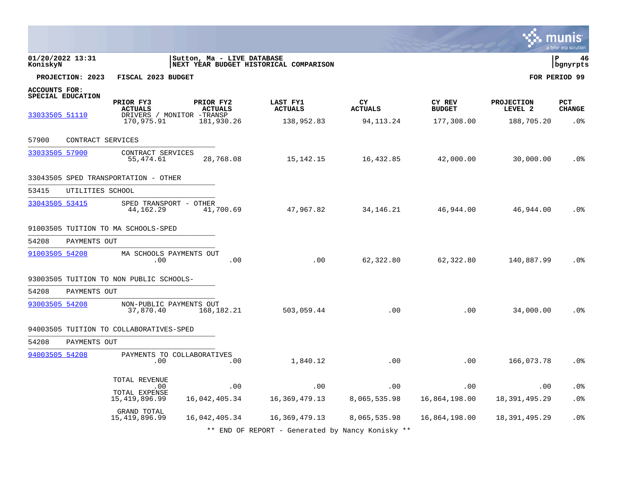|                                                                                                                                       |                                           |                                          |                                      |                                       |                                            | a tyler erp solution                           |
|---------------------------------------------------------------------------------------------------------------------------------------|-------------------------------------------|------------------------------------------|--------------------------------------|---------------------------------------|--------------------------------------------|------------------------------------------------|
| 01/20/2022 13:31<br>KoniskyN                                                                                                          | Sutton, Ma - LIVE DATABASE                | NEXT YEAR BUDGET HISTORICAL COMPARISON   |                                      |                                       |                                            | l P<br>46<br>bgnyrpts                          |
| PROJECTION: 2023<br>FISCAL 2023 BUDGET                                                                                                |                                           |                                          |                                      |                                       |                                            | FOR PERIOD 99                                  |
| <b>ACCOUNTS FOR:</b><br>SPECIAL EDUCATION<br>PRIOR FY3<br><b>ACTUALS</b><br>33033505 51110<br>DRIVERS / MONITOR -TRANSP<br>170,975.91 | PRIOR FY2<br><b>ACTUALS</b><br>181,930.26 | LAST FY1<br><b>ACTUALS</b><br>138,952.83 | CY.<br><b>ACTUALS</b><br>94, 113. 24 | CY REV<br><b>BUDGET</b><br>177,308.00 | <b>PROJECTION</b><br>LEVEL 2<br>188,705.20 | <b>PCT</b><br><b>CHANGE</b><br>.0 <sub>8</sub> |
|                                                                                                                                       |                                           |                                          |                                      |                                       |                                            |                                                |
| 57900<br>CONTRACT SERVICES                                                                                                            |                                           |                                          |                                      |                                       |                                            |                                                |
| 33033505 57900<br>CONTRACT SERVICES<br>55,474.61                                                                                      | 28,768.08                                 | 15,142.15                                | 16,432.85                            | 42,000.00                             | 30,000.00                                  | .0 <sub>8</sub>                                |
| 33043505 SPED TRANSPORTATION - OTHER                                                                                                  |                                           |                                          |                                      |                                       |                                            |                                                |
| 53415<br>UTILITIES SCHOOL                                                                                                             |                                           |                                          |                                      |                                       |                                            |                                                |
| 33043505 53415<br>SPED TRANSPORT - OTHER<br>44,162.29                                                                                 | 41,700.69                                 | 47,967.82                                | 34, 146. 21                          | 46,944.00                             | 46,944.00                                  | .0 <sub>8</sub>                                |
| 91003505 TUITION TO MA SCHOOLS-SPED                                                                                                   |                                           |                                          |                                      |                                       |                                            |                                                |
| 54208<br>PAYMENTS OUT                                                                                                                 |                                           |                                          |                                      |                                       |                                            |                                                |
| 91003505 54208<br>MA SCHOOLS PAYMENTS OUT<br>.00                                                                                      | .00                                       | .00                                      | 62,322.80                            | 62,322.80                             | 140,887.99                                 | .0%                                            |
| 93003505 TUITION TO NON PUBLIC SCHOOLS-                                                                                               |                                           |                                          |                                      |                                       |                                            |                                                |
| 54208<br>PAYMENTS OUT                                                                                                                 |                                           |                                          |                                      |                                       |                                            |                                                |
| 93003505 54208<br>NON-PUBLIC PAYMENTS OUT<br>37,870.40                                                                                | 168,182.21                                | 503,059.44                               | .00                                  | .00                                   | 34,000.00                                  | .0 <sub>8</sub>                                |
| 94003505 TUITION TO COLLABORATIVES-SPED                                                                                               |                                           |                                          |                                      |                                       |                                            |                                                |
| 54208<br>PAYMENTS OUT                                                                                                                 |                                           |                                          |                                      |                                       |                                            |                                                |
| 94003505 54208<br>PAYMENTS TO COLLABORATIVES<br>.00                                                                                   | .00                                       | 1,840.12                                 | .00                                  | .00                                   | 166,073.78                                 | $.0\%$                                         |
| TOTAL REVENUE<br>.00                                                                                                                  | .00                                       | .00                                      | .00                                  | .00                                   | .00                                        | .0%                                            |
| TOTAL EXPENSE<br>15, 419, 896.99                                                                                                      | 16,042,405.34                             | 16,369,479.13                            | 8,065,535.98                         | 16,864,198.00                         | 18, 391, 495. 29                           | .0%                                            |
| GRAND TOTAL<br>15, 419, 896.99                                                                                                        | 16,042,405.34                             | 16,369,479.13                            | 8,065,535.98                         | 16,864,198.00                         | 18, 391, 495. 29                           | .0%                                            |

\*\* END OF REPORT - Generated by Nancy Konisky \*\*